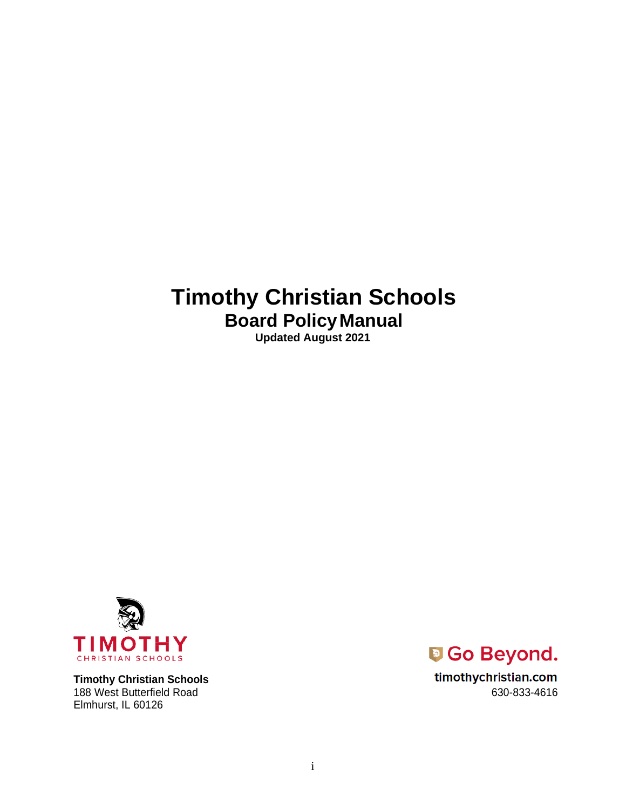# **Timothy Christian Schools Board PolicyManual**

**Updated August 2021**



**Timothy Christian Schools** 188 West Butterfield Road 630-833-4616 Elmhurst, IL 60126



timothychristian.com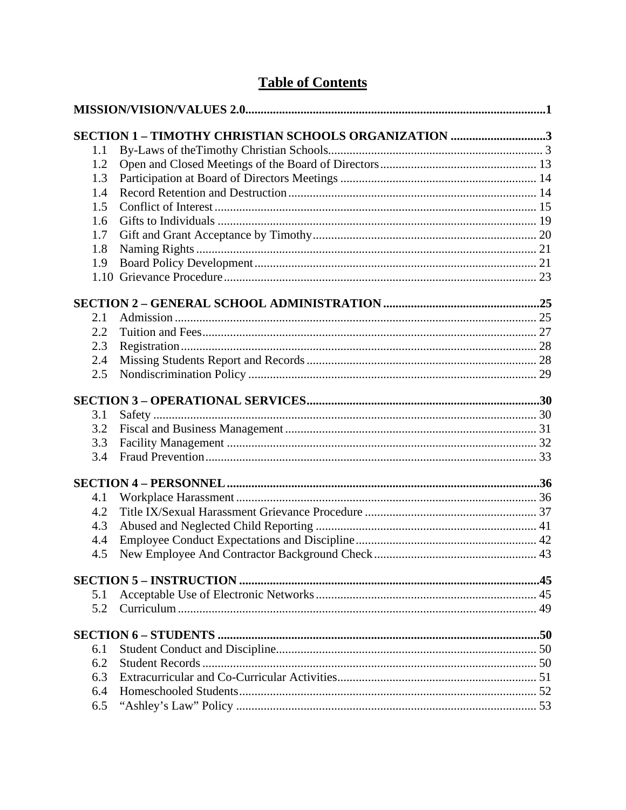# **Table of Contents**

|     | SECTION 1 - TIMOTHY CHRISTIAN SCHOOLS ORGANIZATION 3 |  |
|-----|------------------------------------------------------|--|
| 1.1 |                                                      |  |
| 1.2 |                                                      |  |
| 1.3 |                                                      |  |
| 1.4 |                                                      |  |
| 1.5 |                                                      |  |
| 1.6 |                                                      |  |
| 1.7 |                                                      |  |
| 1.8 |                                                      |  |
| 1.9 |                                                      |  |
|     |                                                      |  |
|     |                                                      |  |
| 2.1 |                                                      |  |
| 2.2 |                                                      |  |
| 2.3 |                                                      |  |
| 2.4 |                                                      |  |
| 2.5 |                                                      |  |
|     |                                                      |  |
| 3.1 |                                                      |  |
| 3.2 |                                                      |  |
| 3.3 |                                                      |  |
| 3.4 |                                                      |  |
|     |                                                      |  |
| 4.1 |                                                      |  |
| 4.2 |                                                      |  |
| 4.3 |                                                      |  |
| 4.4 |                                                      |  |
| 4.5 |                                                      |  |
|     |                                                      |  |
| 5.1 |                                                      |  |
| 5.2 |                                                      |  |
|     |                                                      |  |
| 6.1 |                                                      |  |
| 6.2 |                                                      |  |
| 6.3 |                                                      |  |
| 6.4 |                                                      |  |
| 6.5 |                                                      |  |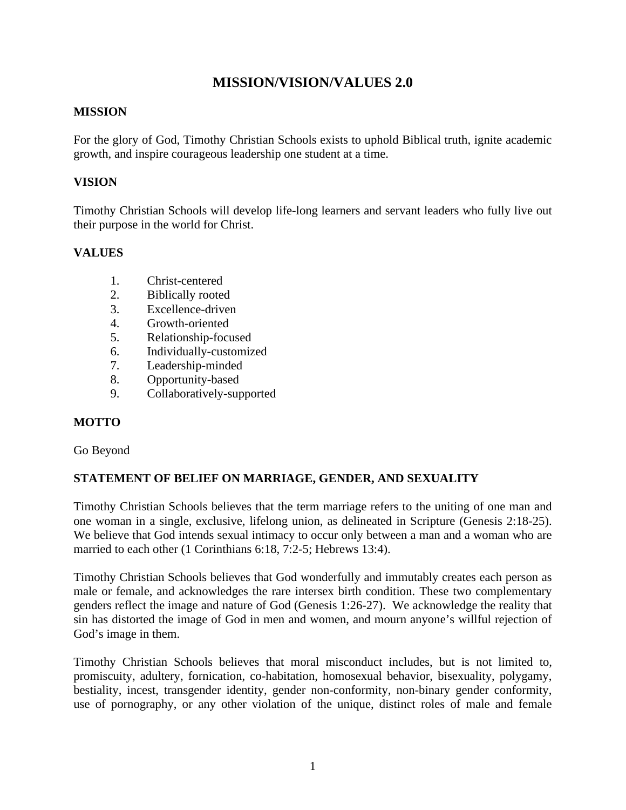# **MISSION/VISION/VALUES 2.0**

### <span id="page-3-0"></span>**MISSION**

For the glory of God, Timothy Christian Schools exists to uphold Biblical truth, ignite academic growth, and inspire courageous leadership one student at a time.

### **VISION**

Timothy Christian Schools will develop life-long learners and servant leaders who fully live out their purpose in the world for Christ.

# **VALUES**

- 1. Christ-centered
- 2. Biblically rooted
- 3. Excellence-driven
- 4. Growth-oriented
- 5. Relationship-focused
- 6. Individually-customized
- 7. Leadership-minded
- 8. Opportunity-based
- 9. Collaboratively-supported

# **MOTTO**

### Go Beyond

# **STATEMENT OF BELIEF ON MARRIAGE, GENDER, AND SEXUALITY**

Timothy Christian Schools believes that the term marriage refers to the uniting of one man and one woman in a single, exclusive, lifelong union, as delineated in Scripture (Genesis 2:18-25). We believe that God intends sexual intimacy to occur only between a man and a woman who are married to each other (1 Corinthians 6:18, 7:2-5; Hebrews 13:4).

Timothy Christian Schools believes that God wonderfully and immutably creates each person as male or female, and acknowledges the rare intersex birth condition. These two complementary genders reflect the image and nature of God (Genesis 1:26-27). We acknowledge the reality that sin has distorted the image of God in men and women, and mourn anyone's willful rejection of God's image in them.

Timothy Christian Schools believes that moral misconduct includes, but is not limited to, promiscuity, adultery, fornication, co-habitation, homosexual behavior, bisexuality, polygamy, bestiality, incest, transgender identity, gender non-conformity, non-binary gender conformity, use of pornography, or any other violation of the unique, distinct roles of male and female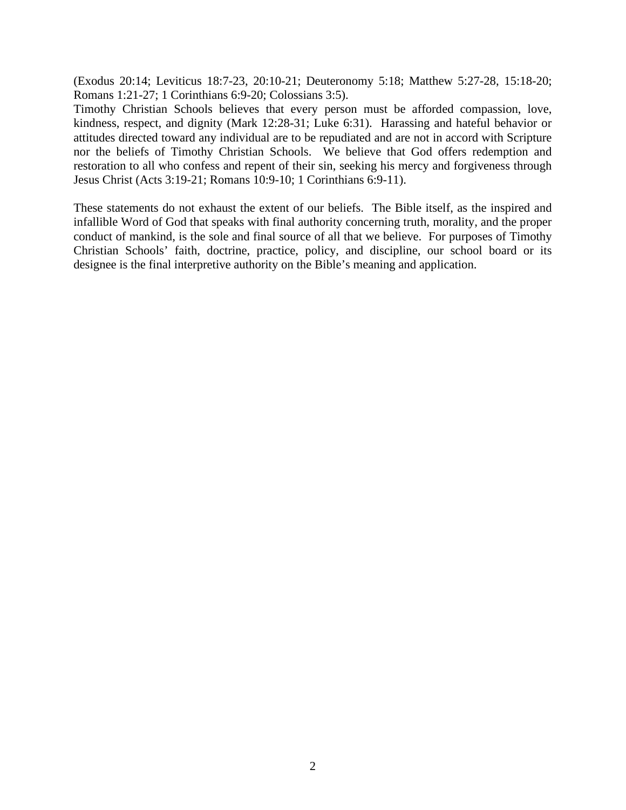(Exodus 20:14; Leviticus 18:7-23, 20:10-21; Deuteronomy 5:18; Matthew 5:27-28, 15:18-20; Romans 1:21-27; 1 Corinthians 6:9-20; Colossians 3:5).

Timothy Christian Schools believes that every person must be afforded compassion, love, kindness, respect, and dignity (Mark 12:28-31; Luke 6:31). Harassing and hateful behavior or attitudes directed toward any individual are to be repudiated and are not in accord with Scripture nor the beliefs of Timothy Christian Schools. We believe that God offers redemption and restoration to all who confess and repent of their sin, seeking his mercy and forgiveness through Jesus Christ (Acts 3:19-21; Romans 10:9-10; 1 Corinthians 6:9-11).

These statements do not exhaust the extent of our beliefs. The Bible itself, as the inspired and infallible Word of God that speaks with final authority concerning truth, morality, and the proper conduct of mankind, is the sole and final source of all that we believe. For purposes of Timothy Christian Schools' faith, doctrine, practice, policy, and discipline, our school board or its designee is the final interpretive authority on the Bible's meaning and application.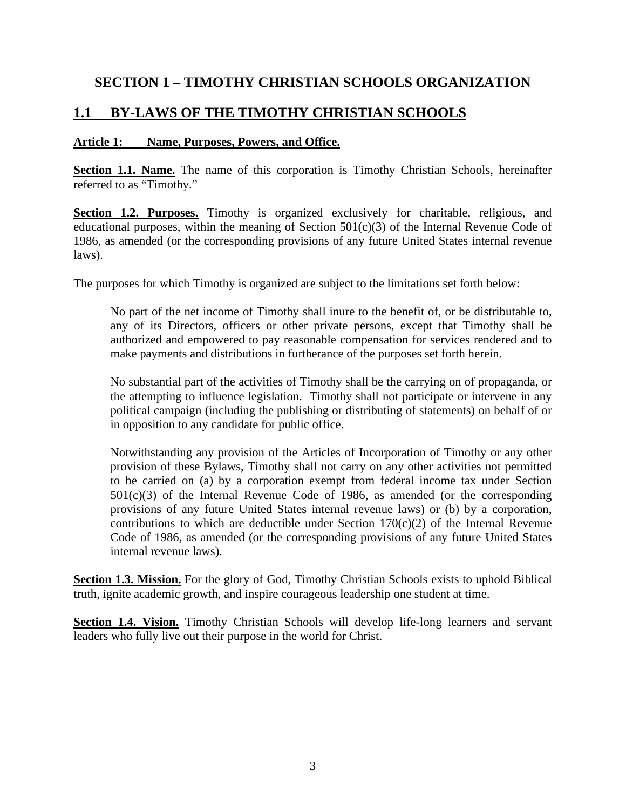# <span id="page-5-0"></span>**SECTION 1 – TIMOTHY CHRISTIAN SCHOOLS ORGANIZATION**

# <span id="page-5-1"></span>**1.1 BY-LAWS OF THE TIMOTHY CHRISTIAN SCHOOLS**

### **Article 1: Name, Purposes, Powers, and Office.**

**Section 1.1. Name.** The name of this corporation is Timothy Christian Schools, hereinafter referred to as "Timothy."

**Section 1.2. Purposes.** Timothy is organized exclusively for charitable, religious, and educational purposes, within the meaning of Section 501(c)(3) of the Internal Revenue Code of 1986, as amended (or the corresponding provisions of any future United States internal revenue laws).

The purposes for which Timothy is organized are subject to the limitations set forth below:

No part of the net income of Timothy shall inure to the benefit of, or be distributable to, any of its Directors, officers or other private persons, except that Timothy shall be authorized and empowered to pay reasonable compensation for services rendered and to make payments and distributions in furtherance of the purposes set forth herein.

No substantial part of the activities of Timothy shall be the carrying on of propaganda, or the attempting to influence legislation. Timothy shall not participate or intervene in any political campaign (including the publishing or distributing of statements) on behalf of or in opposition to any candidate for public office.

Notwithstanding any provision of the Articles of Incorporation of Timothy or any other provision of these Bylaws, Timothy shall not carry on any other activities not permitted to be carried on (a) by a corporation exempt from federal income tax under Section  $501(c)(3)$  of the Internal Revenue Code of 1986, as amended (or the corresponding provisions of any future United States internal revenue laws) or (b) by a corporation, contributions to which are deductible under Section  $170(c)(2)$  of the Internal Revenue Code of 1986, as amended (or the corresponding provisions of any future United States internal revenue laws).

**Section 1.3. Mission.** For the glory of God, Timothy Christian Schools exists to uphold Biblical truth, ignite academic growth, and inspire courageous leadership one student at time.

**Section 1.4. Vision.** Timothy Christian Schools will develop life-long learners and servant leaders who fully live out their purpose in the world for Christ.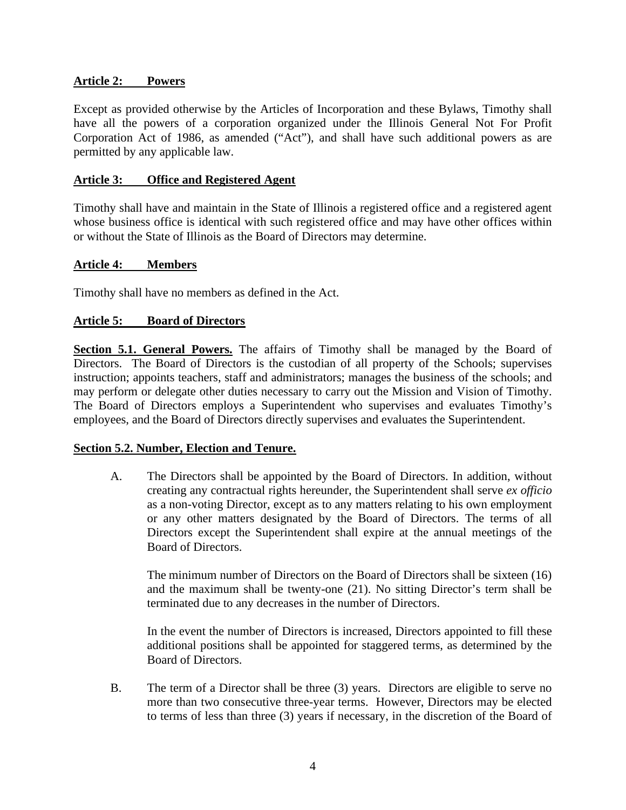### **Article 2: Powers**

Except as provided otherwise by the Articles of Incorporation and these Bylaws, Timothy shall have all the powers of a corporation organized under the Illinois General Not For Profit Corporation Act of 1986, as amended ("Act"), and shall have such additional powers as are permitted by any applicable law.

### **Article 3: Office and Registered Agent**

Timothy shall have and maintain in the State of Illinois a registered office and a registered agent whose business office is identical with such registered office and may have other offices within or without the State of Illinois as the Board of Directors may determine.

### **Article 4: Members**

Timothy shall have no members as defined in the Act.

### **Article 5: Board of Directors**

**Section 5.1. General Powers.** The affairs of Timothy shall be managed by the Board of Directors. The Board of Directors is the custodian of all property of the Schools; supervises instruction; appoints teachers, staff and administrators; manages the business of the schools; and may perform or delegate other duties necessary to carry out the Mission and Vision of Timothy. The Board of Directors employs a Superintendent who supervises and evaluates Timothy's employees, and the Board of Directors directly supervises and evaluates the Superintendent.

### **Section 5.2. Number, Election and Tenure.**

A. The Directors shall be appointed by the Board of Directors. In addition, without creating any contractual rights hereunder, the Superintendent shall serve *ex officio*  as a non-voting Director, except as to any matters relating to his own employment or any other matters designated by the Board of Directors. The terms of all Directors except the Superintendent shall expire at the annual meetings of the Board of Directors.

The minimum number of Directors on the Board of Directors shall be sixteen (16) and the maximum shall be twenty-one (21). No sitting Director's term shall be terminated due to any decreases in the number of Directors.

In the event the number of Directors is increased, Directors appointed to fill these additional positions shall be appointed for staggered terms, as determined by the Board of Directors.

B. The term of a Director shall be three (3) years. Directors are eligible to serve no more than two consecutive three-year terms. However, Directors may be elected to terms of less than three (3) years if necessary, in the discretion of the Board of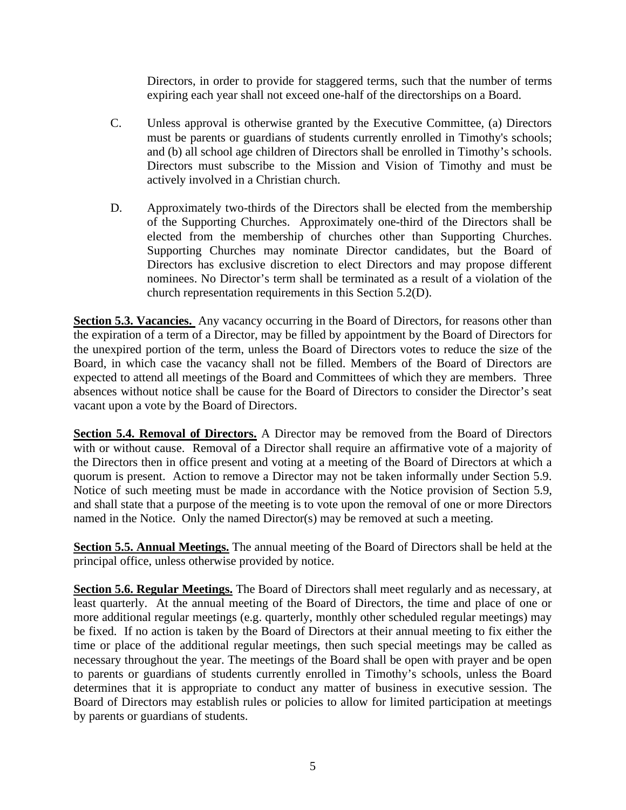Directors, in order to provide for staggered terms, such that the number of terms expiring each year shall not exceed one-half of the directorships on a Board.

- C. Unless approval is otherwise granted by the Executive Committee, (a) Directors must be parents or guardians of students currently enrolled in Timothy's schools; and (b) all school age children of Directors shall be enrolled in Timothy's schools. Directors must subscribe to the Mission and Vision of Timothy and must be actively involved in a Christian church.
- D. Approximately two-thirds of the Directors shall be elected from the membership of the Supporting Churches. Approximately one-third of the Directors shall be elected from the membership of churches other than Supporting Churches. Supporting Churches may nominate Director candidates, but the Board of Directors has exclusive discretion to elect Directors and may propose different nominees. No Director's term shall be terminated as a result of a violation of the church representation requirements in this Section 5.2(D).

**Section 5.3. Vacancies.** Any vacancy occurring in the Board of Directors, for reasons other than the expiration of a term of a Director, may be filled by appointment by the Board of Directors for the unexpired portion of the term, unless the Board of Directors votes to reduce the size of the Board, in which case the vacancy shall not be filled. Members of the Board of Directors are expected to attend all meetings of the Board and Committees of which they are members. Three absences without notice shall be cause for the Board of Directors to consider the Director's seat vacant upon a vote by the Board of Directors.

**Section 5.4. Removal of Directors.** A Director may be removed from the Board of Directors with or without cause. Removal of a Director shall require an affirmative vote of a majority of the Directors then in office present and voting at a meeting of the Board of Directors at which a quorum is present. Action to remove a Director may not be taken informally under Section 5.9. Notice of such meeting must be made in accordance with the Notice provision of Section 5.9, and shall state that a purpose of the meeting is to vote upon the removal of one or more Directors named in the Notice. Only the named Director(s) may be removed at such a meeting.

**Section 5.5. Annual Meetings.** The annual meeting of the Board of Directors shall be held at the principal office, unless otherwise provided by notice.

**Section 5.6. Regular Meetings.** The Board of Directors shall meet regularly and as necessary, at least quarterly. At the annual meeting of the Board of Directors, the time and place of one or more additional regular meetings (e.g. quarterly, monthly other scheduled regular meetings) may be fixed. If no action is taken by the Board of Directors at their annual meeting to fix either the time or place of the additional regular meetings, then such special meetings may be called as necessary throughout the year. The meetings of the Board shall be open with prayer and be open to parents or guardians of students currently enrolled in Timothy's schools, unless the Board determines that it is appropriate to conduct any matter of business in executive session. The Board of Directors may establish rules or policies to allow for limited participation at meetings by parents or guardians of students.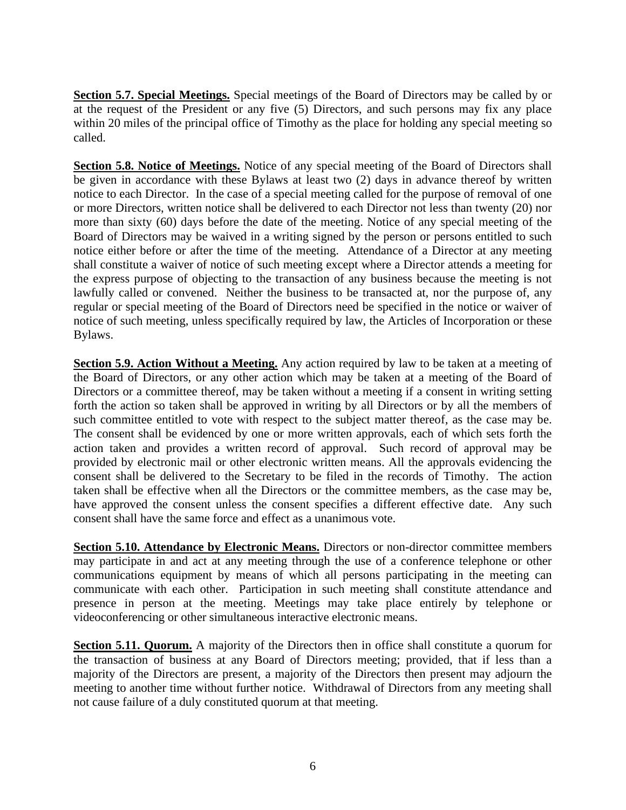**Section 5.7. Special Meetings.** Special meetings of the Board of Directors may be called by or at the request of the President or any five (5) Directors, and such persons may fix any place within 20 miles of the principal office of Timothy as the place for holding any special meeting so called.

**Section 5.8. Notice of Meetings.** Notice of any special meeting of the Board of Directors shall be given in accordance with these Bylaws at least two (2) days in advance thereof by written notice to each Director. In the case of a special meeting called for the purpose of removal of one or more Directors, written notice shall be delivered to each Director not less than twenty (20) nor more than sixty (60) days before the date of the meeting. Notice of any special meeting of the Board of Directors may be waived in a writing signed by the person or persons entitled to such notice either before or after the time of the meeting. Attendance of a Director at any meeting shall constitute a waiver of notice of such meeting except where a Director attends a meeting for the express purpose of objecting to the transaction of any business because the meeting is not lawfully called or convened. Neither the business to be transacted at, nor the purpose of, any regular or special meeting of the Board of Directors need be specified in the notice or waiver of notice of such meeting, unless specifically required by law, the Articles of Incorporation or these Bylaws.

**Section 5.9. Action Without a Meeting.** Any action required by law to be taken at a meeting of the Board of Directors, or any other action which may be taken at a meeting of the Board of Directors or a committee thereof, may be taken without a meeting if a consent in writing setting forth the action so taken shall be approved in writing by all Directors or by all the members of such committee entitled to vote with respect to the subject matter thereof, as the case may be. The consent shall be evidenced by one or more written approvals, each of which sets forth the action taken and provides a written record of approval. Such record of approval may be provided by electronic mail or other electronic written means. All the approvals evidencing the consent shall be delivered to the Secretary to be filed in the records of Timothy. The action taken shall be effective when all the Directors or the committee members, as the case may be, have approved the consent unless the consent specifies a different effective date. Any such consent shall have the same force and effect as a unanimous vote.

**Section 5.10. Attendance by Electronic Means.** Directors or non-director committee members may participate in and act at any meeting through the use of a conference telephone or other communications equipment by means of which all persons participating in the meeting can communicate with each other. Participation in such meeting shall constitute attendance and presence in person at the meeting. Meetings may take place entirely by telephone or videoconferencing or other simultaneous interactive electronic means.

**Section 5.11. Quorum.** A majority of the Directors then in office shall constitute a quorum for the transaction of business at any Board of Directors meeting; provided, that if less than a majority of the Directors are present, a majority of the Directors then present may adjourn the meeting to another time without further notice. Withdrawal of Directors from any meeting shall not cause failure of a duly constituted quorum at that meeting.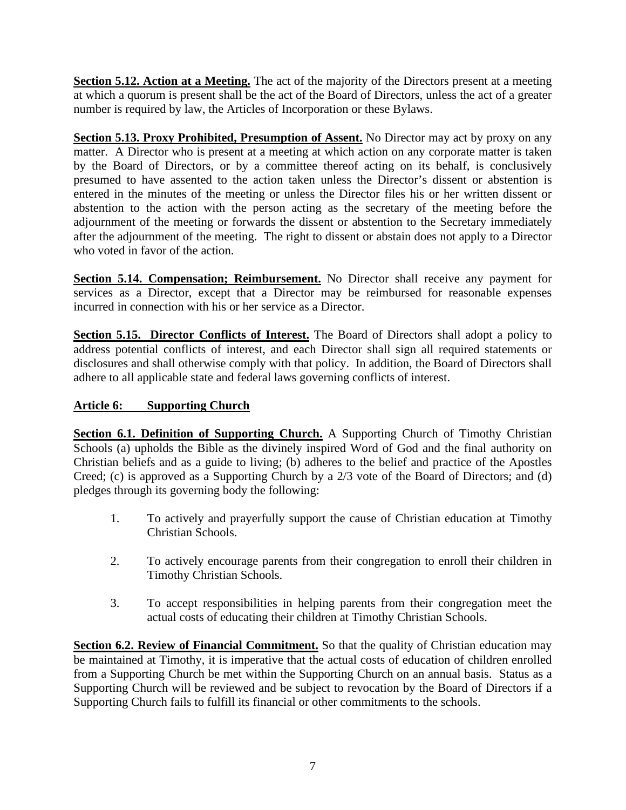**Section 5.12. Action at a Meeting.** The act of the majority of the Directors present at a meeting at which a quorum is present shall be the act of the Board of Directors, unless the act of a greater number is required by law, the Articles of Incorporation or these Bylaws.

**Section 5.13. Proxy Prohibited, Presumption of Assent.** No Director may act by proxy on any matter. A Director who is present at a meeting at which action on any corporate matter is taken by the Board of Directors, or by a committee thereof acting on its behalf, is conclusively presumed to have assented to the action taken unless the Director's dissent or abstention is entered in the minutes of the meeting or unless the Director files his or her written dissent or abstention to the action with the person acting as the secretary of the meeting before the adjournment of the meeting or forwards the dissent or abstention to the Secretary immediately after the adjournment of the meeting. The right to dissent or abstain does not apply to a Director who voted in favor of the action.

**Section 5.14. Compensation; Reimbursement.** No Director shall receive any payment for services as a Director, except that a Director may be reimbursed for reasonable expenses incurred in connection with his or her service as a Director.

**Section 5.15. Director Conflicts of Interest.** The Board of Directors shall adopt a policy to address potential conflicts of interest, and each Director shall sign all required statements or disclosures and shall otherwise comply with that policy. In addition, the Board of Directors shall adhere to all applicable state and federal laws governing conflicts of interest.

# **Article 6: Supporting Church**

**Section 6.1. Definition of Supporting Church.** A Supporting Church of Timothy Christian Schools (a) upholds the Bible as the divinely inspired Word of God and the final authority on Christian beliefs and as a guide to living; (b) adheres to the belief and practice of the Apostles Creed; (c) is approved as a Supporting Church by a 2/3 vote of the Board of Directors; and (d) pledges through its governing body the following:

- 1. To actively and prayerfully support the cause of Christian education at Timothy Christian Schools.
- 2. To actively encourage parents from their congregation to enroll their children in Timothy Christian Schools.
- 3. To accept responsibilities in helping parents from their congregation meet the actual costs of educating their children at Timothy Christian Schools.

**Section 6.2. Review of Financial Commitment.** So that the quality of Christian education may be maintained at Timothy, it is imperative that the actual costs of education of children enrolled from a Supporting Church be met within the Supporting Church on an annual basis. Status as a Supporting Church will be reviewed and be subject to revocation by the Board of Directors if a Supporting Church fails to fulfill its financial or other commitments to the schools.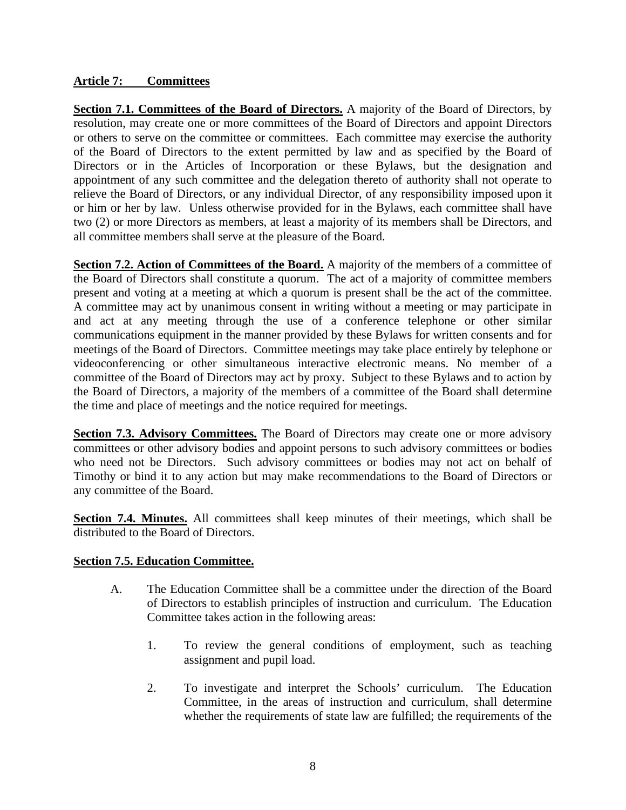### **Article 7: Committees**

**Section 7.1. Committees of the Board of Directors.** A majority of the Board of Directors, by resolution, may create one or more committees of the Board of Directors and appoint Directors or others to serve on the committee or committees. Each committee may exercise the authority of the Board of Directors to the extent permitted by law and as specified by the Board of Directors or in the Articles of Incorporation or these Bylaws, but the designation and appointment of any such committee and the delegation thereto of authority shall not operate to relieve the Board of Directors, or any individual Director, of any responsibility imposed upon it or him or her by law. Unless otherwise provided for in the Bylaws, each committee shall have two (2) or more Directors as members, at least a majority of its members shall be Directors, and all committee members shall serve at the pleasure of the Board.

**Section 7.2. Action of Committees of the Board.** A majority of the members of a committee of the Board of Directors shall constitute a quorum. The act of a majority of committee members present and voting at a meeting at which a quorum is present shall be the act of the committee. A committee may act by unanimous consent in writing without a meeting or may participate in and act at any meeting through the use of a conference telephone or other similar communications equipment in the manner provided by these Bylaws for written consents and for meetings of the Board of Directors. Committee meetings may take place entirely by telephone or videoconferencing or other simultaneous interactive electronic means. No member of a committee of the Board of Directors may act by proxy. Subject to these Bylaws and to action by the Board of Directors, a majority of the members of a committee of the Board shall determine the time and place of meetings and the notice required for meetings.

**Section 7.3. Advisory Committees.** The Board of Directors may create one or more advisory committees or other advisory bodies and appoint persons to such advisory committees or bodies who need not be Directors. Such advisory committees or bodies may not act on behalf of Timothy or bind it to any action but may make recommendations to the Board of Directors or any committee of the Board.

Section 7.4. Minutes. All committees shall keep minutes of their meetings, which shall be distributed to the Board of Directors.

### **Section 7.5. Education Committee.**

- A. The Education Committee shall be a committee under the direction of the Board of Directors to establish principles of instruction and curriculum. The Education Committee takes action in the following areas:
	- 1. To review the general conditions of employment, such as teaching assignment and pupil load.
	- 2. To investigate and interpret the Schools' curriculum. The Education Committee, in the areas of instruction and curriculum, shall determine whether the requirements of state law are fulfilled; the requirements of the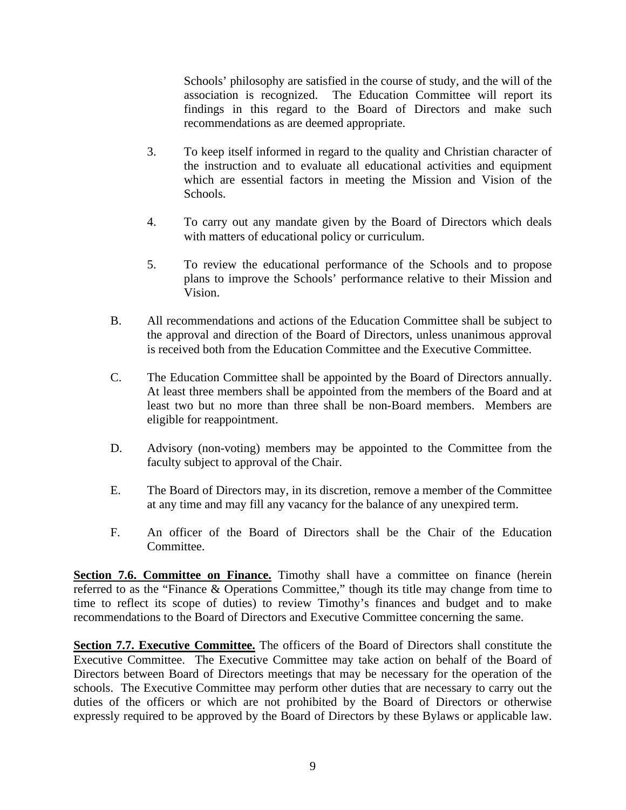Schools' philosophy are satisfied in the course of study, and the will of the association is recognized. The Education Committee will report its findings in this regard to the Board of Directors and make such recommendations as are deemed appropriate.

- 3. To keep itself informed in regard to the quality and Christian character of the instruction and to evaluate all educational activities and equipment which are essential factors in meeting the Mission and Vision of the Schools.
- 4. To carry out any mandate given by the Board of Directors which deals with matters of educational policy or curriculum.
- 5. To review the educational performance of the Schools and to propose plans to improve the Schools' performance relative to their Mission and Vision.
- B. All recommendations and actions of the Education Committee shall be subject to the approval and direction of the Board of Directors, unless unanimous approval is received both from the Education Committee and the Executive Committee.
- C. The Education Committee shall be appointed by the Board of Directors annually. At least three members shall be appointed from the members of the Board and at least two but no more than three shall be non-Board members. Members are eligible for reappointment.
- D. Advisory (non-voting) members may be appointed to the Committee from the faculty subject to approval of the Chair.
- E. The Board of Directors may, in its discretion, remove a member of the Committee at any time and may fill any vacancy for the balance of any unexpired term.
- F. An officer of the Board of Directors shall be the Chair of the Education Committee.

**Section 7.6. Committee on Finance.** Timothy shall have a committee on finance (herein referred to as the "Finance & Operations Committee," though its title may change from time to time to reflect its scope of duties) to review Timothy's finances and budget and to make recommendations to the Board of Directors and Executive Committee concerning the same.

**Section 7.7. Executive Committee.** The officers of the Board of Directors shall constitute the Executive Committee. The Executive Committee may take action on behalf of the Board of Directors between Board of Directors meetings that may be necessary for the operation of the schools. The Executive Committee may perform other duties that are necessary to carry out the duties of the officers or which are not prohibited by the Board of Directors or otherwise expressly required to be approved by the Board of Directors by these Bylaws or applicable law.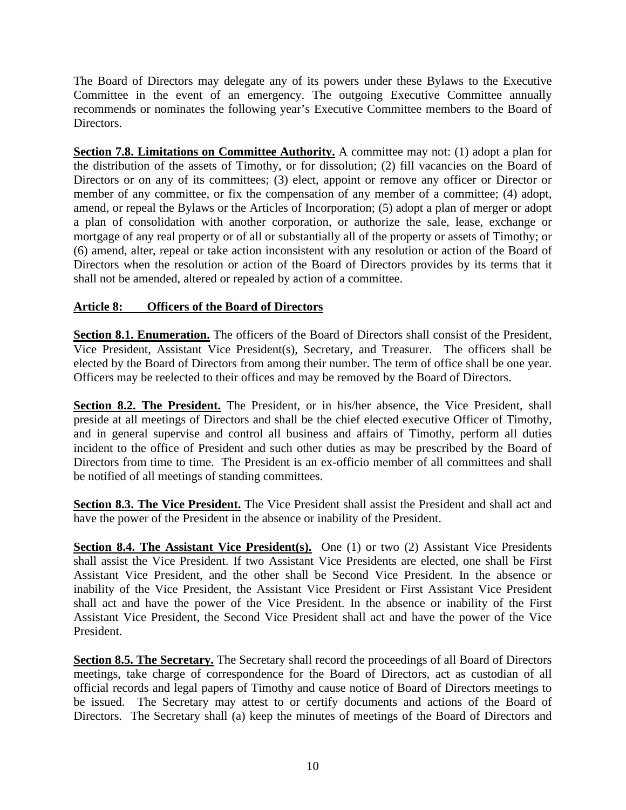The Board of Directors may delegate any of its powers under these Bylaws to the Executive Committee in the event of an emergency. The outgoing Executive Committee annually recommends or nominates the following year's Executive Committee members to the Board of Directors.

**Section 7.8. Limitations on Committee Authority.** A committee may not: (1) adopt a plan for the distribution of the assets of Timothy, or for dissolution; (2) fill vacancies on the Board of Directors or on any of its committees; (3) elect, appoint or remove any officer or Director or member of any committee, or fix the compensation of any member of a committee; (4) adopt, amend, or repeal the Bylaws or the Articles of Incorporation; (5) adopt a plan of merger or adopt a plan of consolidation with another corporation, or authorize the sale, lease, exchange or mortgage of any real property or of all or substantially all of the property or assets of Timothy; or (6) amend, alter, repeal or take action inconsistent with any resolution or action of the Board of Directors when the resolution or action of the Board of Directors provides by its terms that it shall not be amended, altered or repealed by action of a committee.

# **Article 8: Officers of the Board of Directors**

Section 8.1. Enumeration. The officers of the Board of Directors shall consist of the President, Vice President, Assistant Vice President(s), Secretary, and Treasurer. The officers shall be elected by the Board of Directors from among their number. The term of office shall be one year. Officers may be reelected to their offices and may be removed by the Board of Directors.

Section 8.2. The President. The President, or in his/her absence, the Vice President, shall preside at all meetings of Directors and shall be the chief elected executive Officer of Timothy, and in general supervise and control all business and affairs of Timothy, perform all duties incident to the office of President and such other duties as may be prescribed by the Board of Directors from time to time. The President is an ex-officio member of all committees and shall be notified of all meetings of standing committees.

**Section 8.3. The Vice President.** The Vice President shall assist the President and shall act and have the power of the President in the absence or inability of the President.

**Section 8.4. The Assistant Vice President(s).** One (1) or two (2) Assistant Vice Presidents shall assist the Vice President. If two Assistant Vice Presidents are elected, one shall be First Assistant Vice President, and the other shall be Second Vice President. In the absence or inability of the Vice President, the Assistant Vice President or First Assistant Vice President shall act and have the power of the Vice President. In the absence or inability of the First Assistant Vice President, the Second Vice President shall act and have the power of the Vice President.

**Section 8.5. The Secretary.** The Secretary shall record the proceedings of all Board of Directors meetings, take charge of correspondence for the Board of Directors, act as custodian of all official records and legal papers of Timothy and cause notice of Board of Directors meetings to be issued. The Secretary may attest to or certify documents and actions of the Board of Directors. The Secretary shall (a) keep the minutes of meetings of the Board of Directors and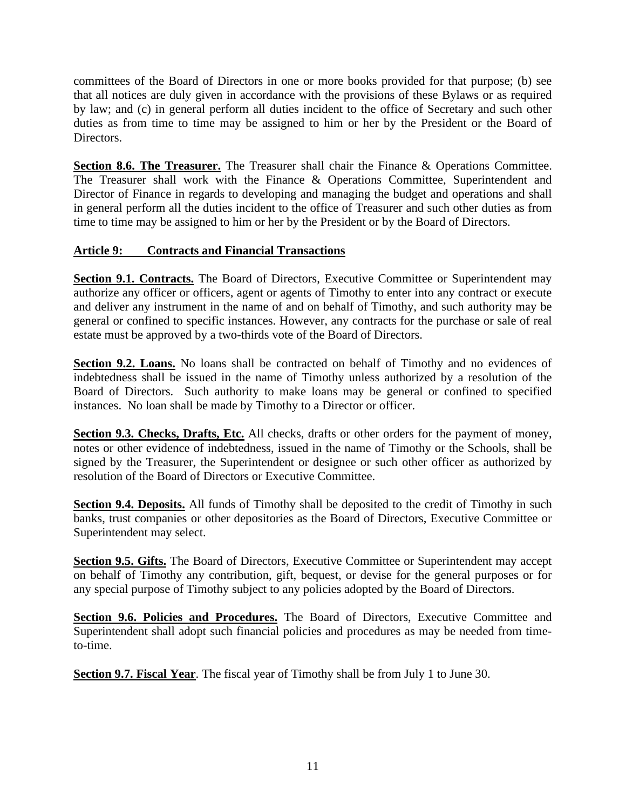committees of the Board of Directors in one or more books provided for that purpose; (b) see that all notices are duly given in accordance with the provisions of these Bylaws or as required by law; and (c) in general perform all duties incident to the office of Secretary and such other duties as from time to time may be assigned to him or her by the President or the Board of Directors.

Section 8.6. The Treasurer. The Treasurer shall chair the Finance & Operations Committee. The Treasurer shall work with the Finance & Operations Committee, Superintendent and Director of Finance in regards to developing and managing the budget and operations and shall in general perform all the duties incident to the office of Treasurer and such other duties as from time to time may be assigned to him or her by the President or by the Board of Directors.

# **Article 9: Contracts and Financial Transactions**

Section 9.1. Contracts. The Board of Directors, Executive Committee or Superintendent may authorize any officer or officers, agent or agents of Timothy to enter into any contract or execute and deliver any instrument in the name of and on behalf of Timothy, and such authority may be general or confined to specific instances. However, any contracts for the purchase or sale of real estate must be approved by a two-thirds vote of the Board of Directors.

Section 9.2. Loans. No loans shall be contracted on behalf of Timothy and no evidences of indebtedness shall be issued in the name of Timothy unless authorized by a resolution of the Board of Directors. Such authority to make loans may be general or confined to specified instances. No loan shall be made by Timothy to a Director or officer.

**Section 9.3. Checks, Drafts, Etc.** All checks, drafts or other orders for the payment of money, notes or other evidence of indebtedness, issued in the name of Timothy or the Schools, shall be signed by the Treasurer, the Superintendent or designee or such other officer as authorized by resolution of the Board of Directors or Executive Committee.

**Section 9.4. Deposits.** All funds of Timothy shall be deposited to the credit of Timothy in such banks, trust companies or other depositories as the Board of Directors, Executive Committee or Superintendent may select.

**Section 9.5. Gifts.** The Board of Directors, Executive Committee or Superintendent may accept on behalf of Timothy any contribution, gift, bequest, or devise for the general purposes or for any special purpose of Timothy subject to any policies adopted by the Board of Directors.

Section 9.6. Policies and Procedures. The Board of Directors, Executive Committee and Superintendent shall adopt such financial policies and procedures as may be needed from timeto-time.

**Section 9.7. Fiscal Year**. The fiscal year of Timothy shall be from July 1 to June 30.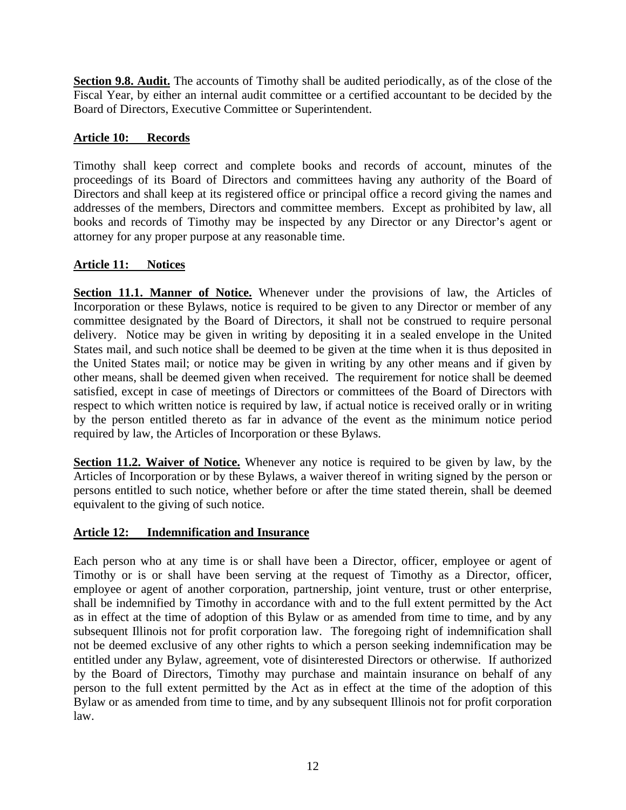**Section 9.8. Audit.** The accounts of Timothy shall be audited periodically, as of the close of the Fiscal Year, by either an internal audit committee or a certified accountant to be decided by the Board of Directors, Executive Committee or Superintendent.

# **Article 10: Records**

Timothy shall keep correct and complete books and records of account, minutes of the proceedings of its Board of Directors and committees having any authority of the Board of Directors and shall keep at its registered office or principal office a record giving the names and addresses of the members, Directors and committee members. Except as prohibited by law, all books and records of Timothy may be inspected by any Director or any Director's agent or attorney for any proper purpose at any reasonable time.

### **Article 11: Notices**

**Section 11.1. Manner of Notice.** Whenever under the provisions of law, the Articles of Incorporation or these Bylaws, notice is required to be given to any Director or member of any committee designated by the Board of Directors, it shall not be construed to require personal delivery. Notice may be given in writing by depositing it in a sealed envelope in the United States mail, and such notice shall be deemed to be given at the time when it is thus deposited in the United States mail; or notice may be given in writing by any other means and if given by other means, shall be deemed given when received. The requirement for notice shall be deemed satisfied, except in case of meetings of Directors or committees of the Board of Directors with respect to which written notice is required by law, if actual notice is received orally or in writing by the person entitled thereto as far in advance of the event as the minimum notice period required by law, the Articles of Incorporation or these Bylaws.

**Section 11.2. Waiver of Notice.** Whenever any notice is required to be given by law, by the Articles of Incorporation or by these Bylaws, a waiver thereof in writing signed by the person or persons entitled to such notice, whether before or after the time stated therein, shall be deemed equivalent to the giving of such notice.

### **Article 12: Indemnification and Insurance**

Each person who at any time is or shall have been a Director, officer, employee or agent of Timothy or is or shall have been serving at the request of Timothy as a Director, officer, employee or agent of another corporation, partnership, joint venture, trust or other enterprise, shall be indemnified by Timothy in accordance with and to the full extent permitted by the Act as in effect at the time of adoption of this Bylaw or as amended from time to time, and by any subsequent Illinois not for profit corporation law. The foregoing right of indemnification shall not be deemed exclusive of any other rights to which a person seeking indemnification may be entitled under any Bylaw, agreement, vote of disinterested Directors or otherwise. If authorized by the Board of Directors, Timothy may purchase and maintain insurance on behalf of any person to the full extent permitted by the Act as in effect at the time of the adoption of this Bylaw or as amended from time to time, and by any subsequent Illinois not for profit corporation law.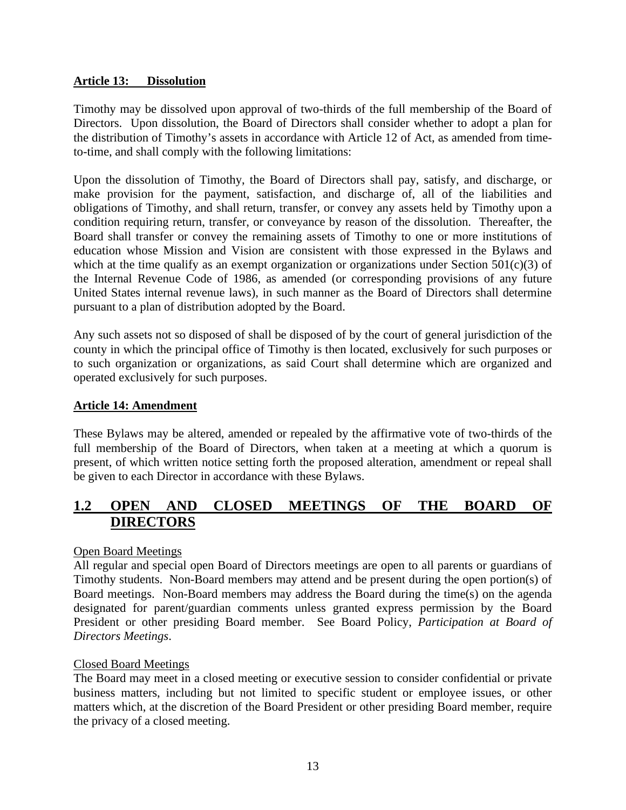### **Article 13: Dissolution**

Timothy may be dissolved upon approval of two-thirds of the full membership of the Board of Directors. Upon dissolution, the Board of Directors shall consider whether to adopt a plan for the distribution of Timothy's assets in accordance with Article 12 of Act, as amended from timeto-time, and shall comply with the following limitations:

Upon the dissolution of Timothy, the Board of Directors shall pay, satisfy, and discharge, or make provision for the payment, satisfaction, and discharge of, all of the liabilities and obligations of Timothy, and shall return, transfer, or convey any assets held by Timothy upon a condition requiring return, transfer, or conveyance by reason of the dissolution. Thereafter, the Board shall transfer or convey the remaining assets of Timothy to one or more institutions of education whose Mission and Vision are consistent with those expressed in the Bylaws and which at the time qualify as an exempt organization or organizations under Section  $501(c)(3)$  of the Internal Revenue Code of 1986, as amended (or corresponding provisions of any future United States internal revenue laws), in such manner as the Board of Directors shall determine pursuant to a plan of distribution adopted by the Board.

Any such assets not so disposed of shall be disposed of by the court of general jurisdiction of the county in which the principal office of Timothy is then located, exclusively for such purposes or to such organization or organizations, as said Court shall determine which are organized and operated exclusively for such purposes.

### **Article 14: Amendment**

These Bylaws may be altered, amended or repealed by the affirmative vote of two-thirds of the full membership of the Board of Directors, when taken at a meeting at which a quorum is present, of which written notice setting forth the proposed alteration, amendment or repeal shall be given to each Director in accordance with these Bylaws.

# <span id="page-15-0"></span>**1.2 OPEN AND CLOSED MEETINGS OF THE BOARD OF DIRECTORS**

### Open Board Meetings

All regular and special open Board of Directors meetings are open to all parents or guardians of Timothy students. Non-Board members may attend and be present during the open portion(s) of Board meetings. Non-Board members may address the Board during the time(s) on the agenda designated for parent/guardian comments unless granted express permission by the Board President or other presiding Board member. See Board Policy, *Participation at Board of Directors Meetings*.

### Closed Board Meetings

The Board may meet in a closed meeting or executive session to consider confidential or private business matters, including but not limited to specific student or employee issues, or other matters which, at the discretion of the Board President or other presiding Board member, require the privacy of a closed meeting.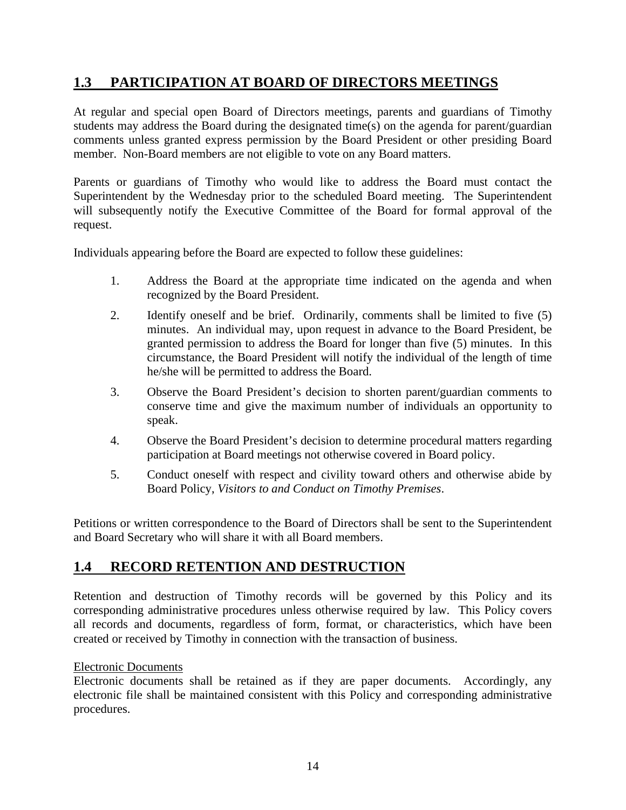# <span id="page-16-0"></span>**1.3 PARTICIPATION AT BOARD OF DIRECTORS MEETINGS**

At regular and special open Board of Directors meetings, parents and guardians of Timothy students may address the Board during the designated time(s) on the agenda for parent/guardian comments unless granted express permission by the Board President or other presiding Board member. Non-Board members are not eligible to vote on any Board matters.

Parents or guardians of Timothy who would like to address the Board must contact the Superintendent by the Wednesday prior to the scheduled Board meeting. The Superintendent will subsequently notify the Executive Committee of the Board for formal approval of the request.

Individuals appearing before the Board are expected to follow these guidelines:

- 1. Address the Board at the appropriate time indicated on the agenda and when recognized by the Board President.
- 2. Identify oneself and be brief. Ordinarily, comments shall be limited to five (5) minutes. An individual may, upon request in advance to the Board President, be granted permission to address the Board for longer than five (5) minutes. In this circumstance, the Board President will notify the individual of the length of time he/she will be permitted to address the Board.
- 3. Observe the Board President's decision to shorten parent/guardian comments to conserve time and give the maximum number of individuals an opportunity to speak.
- 4. Observe the Board President's decision to determine procedural matters regarding participation at Board meetings not otherwise covered in Board policy.
- 5. Conduct oneself with respect and civility toward others and otherwise abide by Board Policy, *Visitors to and Conduct on Timothy Premises*.

Petitions or written correspondence to the Board of Directors shall be sent to the Superintendent and Board Secretary who will share it with all Board members.

# <span id="page-16-1"></span>**1.4 RECORD RETENTION AND DESTRUCTION**

Retention and destruction of Timothy records will be governed by this Policy and its corresponding administrative procedures unless otherwise required by law. This Policy covers all records and documents, regardless of form, format, or characteristics, which have been created or received by Timothy in connection with the transaction of business.

### Electronic Documents

Electronic documents shall be retained as if they are paper documents. Accordingly, any electronic file shall be maintained consistent with this Policy and corresponding administrative procedures.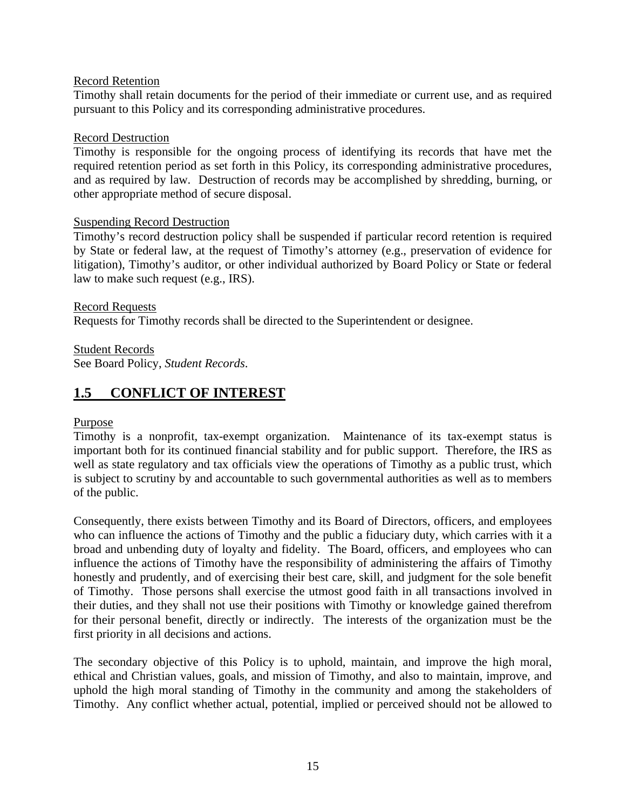### Record Retention

Timothy shall retain documents for the period of their immediate or current use, and as required pursuant to this Policy and its corresponding administrative procedures.

#### Record Destruction

Timothy is responsible for the ongoing process of identifying its records that have met the required retention period as set forth in this Policy, its corresponding administrative procedures, and as required by law. Destruction of records may be accomplished by shredding, burning, or other appropriate method of secure disposal.

### Suspending Record Destruction

Timothy's record destruction policy shall be suspended if particular record retention is required by State or federal law, at the request of Timothy's attorney (e.g., preservation of evidence for litigation), Timothy's auditor, or other individual authorized by Board Policy or State or federal law to make such request (e.g., IRS).

#### Record Requests

Requests for Timothy records shall be directed to the Superintendent or designee.

Student Records

See Board Policy, *Student Records*.

# <span id="page-17-0"></span>**1.5 CONFLICT OF INTEREST**

### Purpose

Timothy is a nonprofit, tax-exempt organization. Maintenance of its tax-exempt status is important both for its continued financial stability and for public support. Therefore, the IRS as well as state regulatory and tax officials view the operations of Timothy as a public trust, which is subject to scrutiny by and accountable to such governmental authorities as well as to members of the public.

Consequently, there exists between Timothy and its Board of Directors, officers, and employees who can influence the actions of Timothy and the public a fiduciary duty, which carries with it a broad and unbending duty of loyalty and fidelity. The Board, officers, and employees who can influence the actions of Timothy have the responsibility of administering the affairs of Timothy honestly and prudently, and of exercising their best care, skill, and judgment for the sole benefit of Timothy. Those persons shall exercise the utmost good faith in all transactions involved in their duties, and they shall not use their positions with Timothy or knowledge gained therefrom for their personal benefit, directly or indirectly. The interests of the organization must be the first priority in all decisions and actions.

The secondary objective of this Policy is to uphold, maintain, and improve the high moral, ethical and Christian values, goals, and mission of Timothy, and also to maintain, improve, and uphold the high moral standing of Timothy in the community and among the stakeholders of Timothy. Any conflict whether actual, potential, implied or perceived should not be allowed to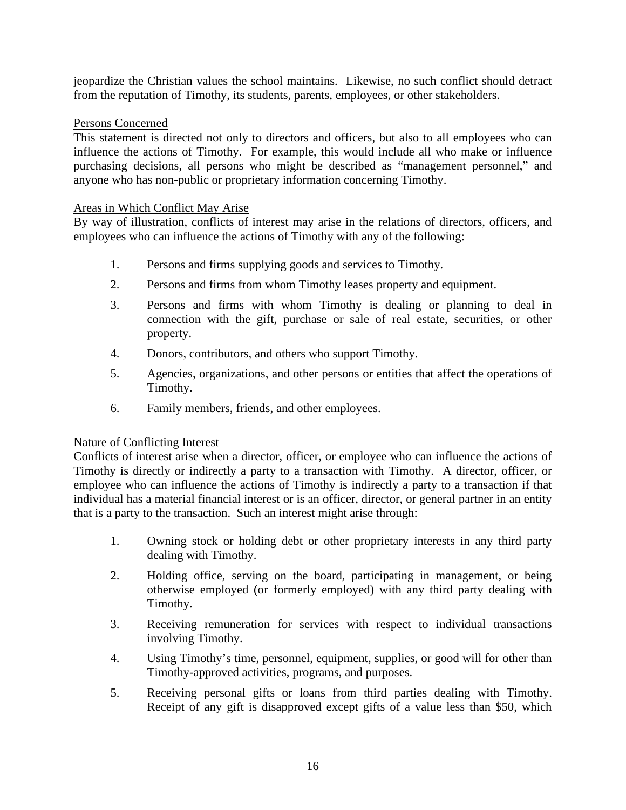jeopardize the Christian values the school maintains. Likewise, no such conflict should detract from the reputation of Timothy, its students, parents, employees, or other stakeholders.

### Persons Concerned

This statement is directed not only to directors and officers, but also to all employees who can influence the actions of Timothy. For example, this would include all who make or influence purchasing decisions, all persons who might be described as "management personnel," and anyone who has non-public or proprietary information concerning Timothy.

### Areas in Which Conflict May Arise

By way of illustration, conflicts of interest may arise in the relations of directors, officers, and employees who can influence the actions of Timothy with any of the following:

- 1. Persons and firms supplying goods and services to Timothy.
- 2. Persons and firms from whom Timothy leases property and equipment.
- 3. Persons and firms with whom Timothy is dealing or planning to deal in connection with the gift, purchase or sale of real estate, securities, or other property.
- 4. Donors, contributors, and others who support Timothy.
- 5. Agencies, organizations, and other persons or entities that affect the operations of Timothy.
- 6. Family members, friends, and other employees.

### Nature of Conflicting Interest

Conflicts of interest arise when a director, officer, or employee who can influence the actions of Timothy is directly or indirectly a party to a transaction with Timothy. A director, officer, or employee who can influence the actions of Timothy is indirectly a party to a transaction if that individual has a material financial interest or is an officer, director, or general partner in an entity that is a party to the transaction. Such an interest might arise through:

- 1. Owning stock or holding debt or other proprietary interests in any third party dealing with Timothy.
- 2. Holding office, serving on the board, participating in management, or being otherwise employed (or formerly employed) with any third party dealing with Timothy.
- 3. Receiving remuneration for services with respect to individual transactions involving Timothy.
- 4. Using Timothy's time, personnel, equipment, supplies, or good will for other than Timothy-approved activities, programs, and purposes.
- 5. Receiving personal gifts or loans from third parties dealing with Timothy. Receipt of any gift is disapproved except gifts of a value less than \$50, which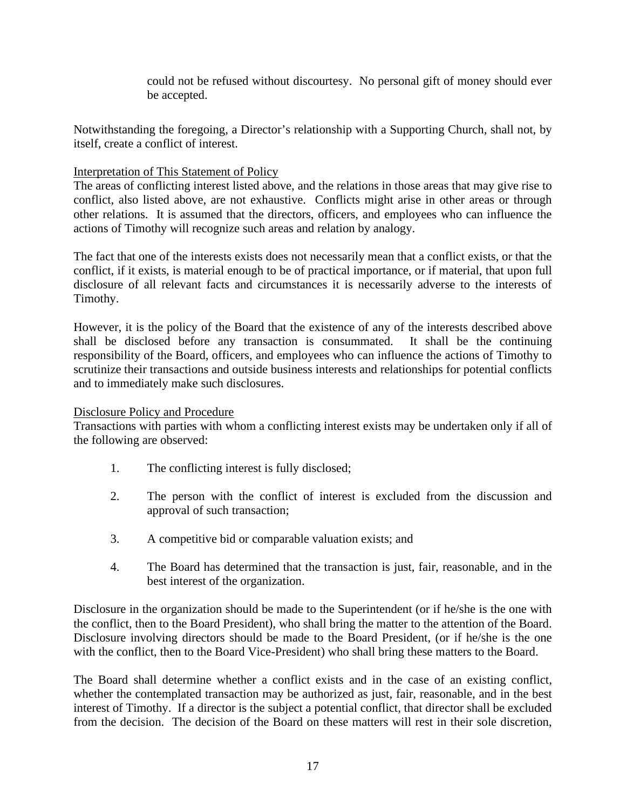could not be refused without discourtesy. No personal gift of money should ever be accepted.

Notwithstanding the foregoing, a Director's relationship with a Supporting Church, shall not, by itself, create a conflict of interest.

### Interpretation of This Statement of Policy

The areas of conflicting interest listed above, and the relations in those areas that may give rise to conflict, also listed above, are not exhaustive. Conflicts might arise in other areas or through other relations. It is assumed that the directors, officers, and employees who can influence the actions of Timothy will recognize such areas and relation by analogy.

The fact that one of the interests exists does not necessarily mean that a conflict exists, or that the conflict, if it exists, is material enough to be of practical importance, or if material, that upon full disclosure of all relevant facts and circumstances it is necessarily adverse to the interests of Timothy.

However, it is the policy of the Board that the existence of any of the interests described above shall be disclosed before any transaction is consummated. It shall be the continuing responsibility of the Board, officers, and employees who can influence the actions of Timothy to scrutinize their transactions and outside business interests and relationships for potential conflicts and to immediately make such disclosures.

#### Disclosure Policy and Procedure

Transactions with parties with whom a conflicting interest exists may be undertaken only if all of the following are observed:

- 1. The conflicting interest is fully disclosed;
- 2. The person with the conflict of interest is excluded from the discussion and approval of such transaction;
- 3. A competitive bid or comparable valuation exists; and
- 4. The Board has determined that the transaction is just, fair, reasonable, and in the best interest of the organization.

Disclosure in the organization should be made to the Superintendent (or if he/she is the one with the conflict, then to the Board President), who shall bring the matter to the attention of the Board. Disclosure involving directors should be made to the Board President, (or if he/she is the one with the conflict, then to the Board Vice-President) who shall bring these matters to the Board.

The Board shall determine whether a conflict exists and in the case of an existing conflict, whether the contemplated transaction may be authorized as just, fair, reasonable, and in the best interest of Timothy. If a director is the subject a potential conflict, that director shall be excluded from the decision. The decision of the Board on these matters will rest in their sole discretion,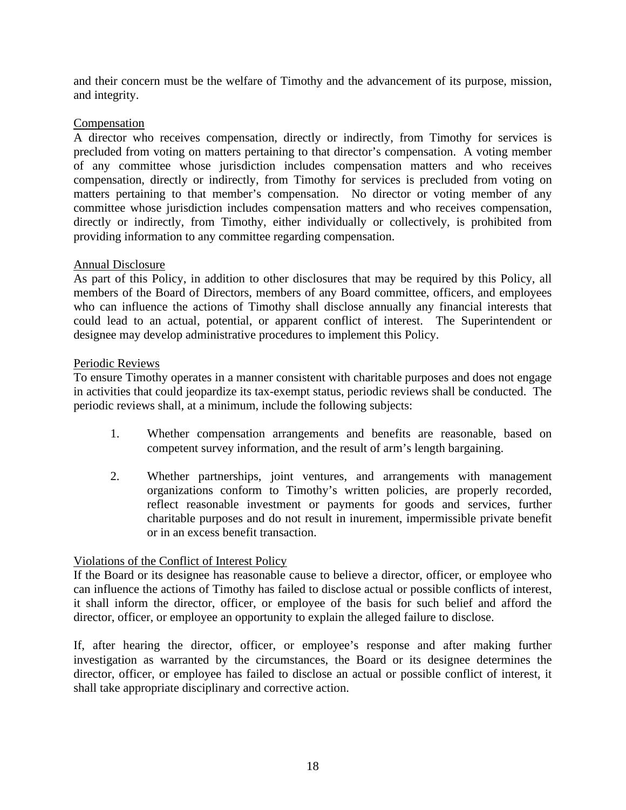and their concern must be the welfare of Timothy and the advancement of its purpose, mission, and integrity.

### Compensation

A director who receives compensation, directly or indirectly, from Timothy for services is precluded from voting on matters pertaining to that director's compensation. A voting member of any committee whose jurisdiction includes compensation matters and who receives compensation, directly or indirectly, from Timothy for services is precluded from voting on matters pertaining to that member's compensation. No director or voting member of any committee whose jurisdiction includes compensation matters and who receives compensation, directly or indirectly, from Timothy, either individually or collectively, is prohibited from providing information to any committee regarding compensation.

### Annual Disclosure

As part of this Policy, in addition to other disclosures that may be required by this Policy, all members of the Board of Directors, members of any Board committee, officers, and employees who can influence the actions of Timothy shall disclose annually any financial interests that could lead to an actual, potential, or apparent conflict of interest. The Superintendent or designee may develop administrative procedures to implement this Policy.

### Periodic Reviews

To ensure Timothy operates in a manner consistent with charitable purposes and does not engage in activities that could jeopardize its tax-exempt status, periodic reviews shall be conducted. The periodic reviews shall, at a minimum, include the following subjects:

- 1. Whether compensation arrangements and benefits are reasonable, based on competent survey information, and the result of arm's length bargaining.
- 2. Whether partnerships, joint ventures, and arrangements with management organizations conform to Timothy's written policies, are properly recorded, reflect reasonable investment or payments for goods and services, further charitable purposes and do not result in inurement, impermissible private benefit or in an excess benefit transaction.

# Violations of the Conflict of Interest Policy

If the Board or its designee has reasonable cause to believe a director, officer, or employee who can influence the actions of Timothy has failed to disclose actual or possible conflicts of interest, it shall inform the director, officer, or employee of the basis for such belief and afford the director, officer, or employee an opportunity to explain the alleged failure to disclose.

If, after hearing the director, officer, or employee's response and after making further investigation as warranted by the circumstances, the Board or its designee determines the director, officer, or employee has failed to disclose an actual or possible conflict of interest, it shall take appropriate disciplinary and corrective action.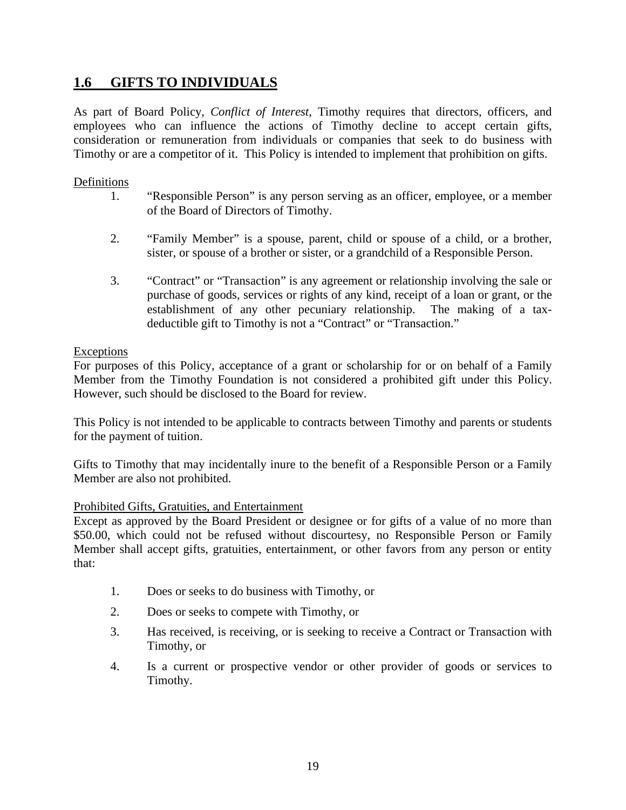# <span id="page-21-0"></span>**1.6 GIFTS TO INDIVIDUALS**

As part of Board Policy, *Conflict of Interest*, Timothy requires that directors, officers, and employees who can influence the actions of Timothy decline to accept certain gifts, consideration or remuneration from individuals or companies that seek to do business with Timothy or are a competitor of it. This Policy is intended to implement that prohibition on gifts.

### Definitions

- 1. "Responsible Person" is any person serving as an officer, employee, or a member of the Board of Directors of Timothy.
- 2. "Family Member" is a spouse, parent, child or spouse of a child, or a brother, sister, or spouse of a brother or sister, or a grandchild of a Responsible Person.
- 3. "Contract" or "Transaction" is any agreement or relationship involving the sale or purchase of goods, services or rights of any kind, receipt of a loan or grant, or the establishment of any other pecuniary relationship. The making of a taxdeductible gift to Timothy is not a "Contract" or "Transaction."

### Exceptions

For purposes of this Policy, acceptance of a grant or scholarship for or on behalf of a Family Member from the Timothy Foundation is not considered a prohibited gift under this Policy. However, such should be disclosed to the Board for review.

This Policy is not intended to be applicable to contracts between Timothy and parents or students for the payment of tuition.

Gifts to Timothy that may incidentally inure to the benefit of a Responsible Person or a Family Member are also not prohibited.

### Prohibited Gifts, Gratuities, and Entertainment

Except as approved by the Board President or designee or for gifts of a value of no more than \$50.00, which could not be refused without discourtesy, no Responsible Person or Family Member shall accept gifts, gratuities, entertainment, or other favors from any person or entity that:

- 1. Does or seeks to do business with Timothy, or
- 2. Does or seeks to compete with Timothy, or
- 3. Has received, is receiving, or is seeking to receive a Contract or Transaction with Timothy, or
- 4. Is a current or prospective vendor or other provider of goods or services to Timothy.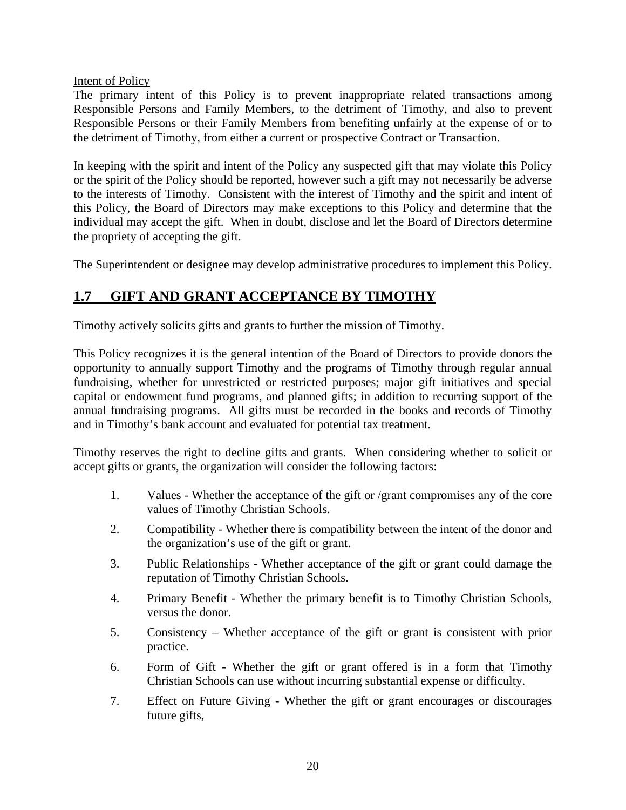### Intent of Policy

The primary intent of this Policy is to prevent inappropriate related transactions among Responsible Persons and Family Members, to the detriment of Timothy, and also to prevent Responsible Persons or their Family Members from benefiting unfairly at the expense of or to the detriment of Timothy, from either a current or prospective Contract or Transaction.

In keeping with the spirit and intent of the Policy any suspected gift that may violate this Policy or the spirit of the Policy should be reported, however such a gift may not necessarily be adverse to the interests of Timothy. Consistent with the interest of Timothy and the spirit and intent of this Policy, the Board of Directors may make exceptions to this Policy and determine that the individual may accept the gift. When in doubt, disclose and let the Board of Directors determine the propriety of accepting the gift.

The Superintendent or designee may develop administrative procedures to implement this Policy.

# <span id="page-22-0"></span>**1.7 GIFT AND GRANT ACCEPTANCE BY TIMOTHY**

Timothy actively solicits gifts and grants to further the mission of Timothy.

This Policy recognizes it is the general intention of the Board of Directors to provide donors the opportunity to annually support Timothy and the programs of Timothy through regular annual fundraising, whether for unrestricted or restricted purposes; major gift initiatives and special capital or endowment fund programs, and planned gifts; in addition to recurring support of the annual fundraising programs. All gifts must be recorded in the books and records of Timothy and in Timothy's bank account and evaluated for potential tax treatment.

Timothy reserves the right to decline gifts and grants. When considering whether to solicit or accept gifts or grants, the organization will consider the following factors:

- 1. Values Whether the acceptance of the gift or /grant compromises any of the core values of Timothy Christian Schools.
- 2. Compatibility Whether there is compatibility between the intent of the donor and the organization's use of the gift or grant.
- 3. Public Relationships Whether acceptance of the gift or grant could damage the reputation of Timothy Christian Schools.
- 4. Primary Benefit Whether the primary benefit is to Timothy Christian Schools, versus the donor.
- 5. Consistency Whether acceptance of the gift or grant is consistent with prior practice.
- 6. Form of Gift Whether the gift or grant offered is in a form that Timothy Christian Schools can use without incurring substantial expense or difficulty.
- 7. Effect on Future Giving Whether the gift or grant encourages or discourages future gifts,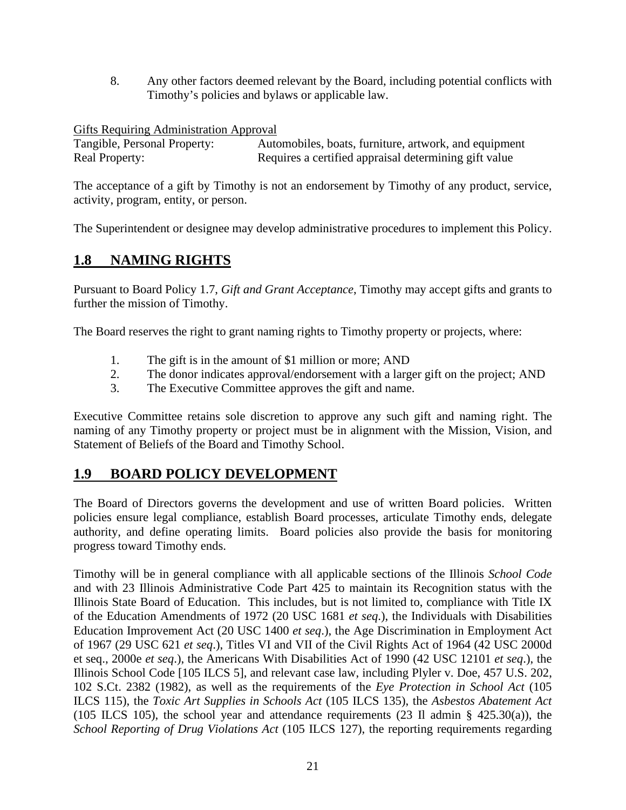8. Any other factors deemed relevant by the Board, including potential conflicts with Timothy's policies and bylaws or applicable law.

Gifts Requiring Administration Approval<br>Tangible, Personal Property: Auto Automobiles, boats, furniture, artwork, and equipment Real Property: Requires a certified appraisal determining gift value

The acceptance of a gift by Timothy is not an endorsement by Timothy of any product, service, activity, program, entity, or person.

The Superintendent or designee may develop administrative procedures to implement this Policy.

# <span id="page-23-0"></span>**1.8 NAMING RIGHTS**

Pursuant to Board Policy 1.7, *Gift and Grant Acceptance*, Timothy may accept gifts and grants to further the mission of Timothy.

The Board reserves the right to grant naming rights to Timothy property or projects, where:

- 1. The gift is in the amount of \$1 million or more; AND
- 2. The donor indicates approval/endorsement with a larger gift on the project; AND
- 3. The Executive Committee approves the gift and name.

Executive Committee retains sole discretion to approve any such gift and naming right. The naming of any Timothy property or project must be in alignment with the Mission, Vision, and Statement of Beliefs of the Board and Timothy School.

# <span id="page-23-1"></span>**1.9 BOARD POLICY DEVELOPMENT**

The Board of Directors governs the development and use of written Board policies. Written policies ensure legal compliance, establish Board processes, articulate Timothy ends, delegate authority, and define operating limits. Board policies also provide the basis for monitoring progress toward Timothy ends.

Timothy will be in general compliance with all applicable sections of the Illinois *School Code* and with 23 Illinois Administrative Code Part 425 to maintain its Recognition status with the Illinois State Board of Education. This includes, but is not limited to, compliance with Title IX of the Education Amendments of 1972 (20 USC 1681 *et seq*.), the Individuals with Disabilities Education Improvement Act (20 USC 1400 *et seq*.), the Age Discrimination in Employment Act of 1967 (29 USC 621 *et seq*.), Titles VI and VII of the Civil Rights Act of 1964 (42 USC 2000d et seq., 2000e *et seq*.), the Americans With Disabilities Act of 1990 (42 USC 12101 *et seq*.), the Illinois School Code [105 ILCS 5], and relevant case law, including Plyler v. Doe, 457 U.S. 202, 102 S.Ct. 2382 (1982), as well as the requirements of the *Eye Protection in School Act* (105 ILCS 115), the *Toxic Art Supplies in Schools Act* (105 ILCS 135), the *Asbestos Abatement Act* (105 ILCS 105), the school year and attendance requirements (23 Il admin § 425.30(a)), the *School Reporting of Drug Violations Act* (105 ILCS 127), the reporting requirements regarding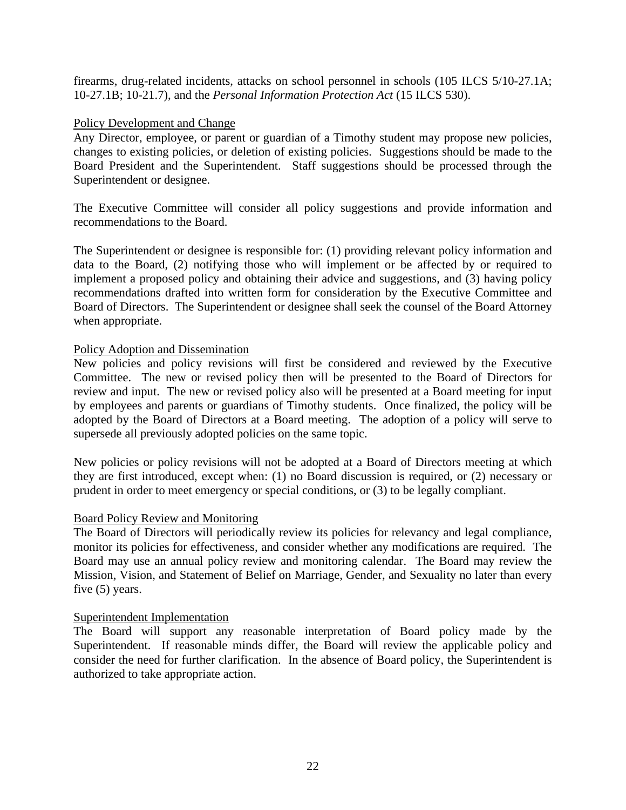firearms, drug-related incidents, attacks on school personnel in schools (105 ILCS 5/10-27.1A; 10-27.1B; 10-21.7), and the *Personal Information Protection Act* (15 ILCS 530).

### Policy Development and Change

Any Director, employee, or parent or guardian of a Timothy student may propose new policies, changes to existing policies, or deletion of existing policies. Suggestions should be made to the Board President and the Superintendent. Staff suggestions should be processed through the Superintendent or designee.

The Executive Committee will consider all policy suggestions and provide information and recommendations to the Board.

The Superintendent or designee is responsible for: (1) providing relevant policy information and data to the Board, (2) notifying those who will implement or be affected by or required to implement a proposed policy and obtaining their advice and suggestions, and (3) having policy recommendations drafted into written form for consideration by the Executive Committee and Board of Directors. The Superintendent or designee shall seek the counsel of the Board Attorney when appropriate.

### Policy Adoption and Dissemination

New policies and policy revisions will first be considered and reviewed by the Executive Committee. The new or revised policy then will be presented to the Board of Directors for review and input. The new or revised policy also will be presented at a Board meeting for input by employees and parents or guardians of Timothy students. Once finalized, the policy will be adopted by the Board of Directors at a Board meeting. The adoption of a policy will serve to supersede all previously adopted policies on the same topic.

New policies or policy revisions will not be adopted at a Board of Directors meeting at which they are first introduced, except when: (1) no Board discussion is required, or (2) necessary or prudent in order to meet emergency or special conditions, or (3) to be legally compliant.

### Board Policy Review and Monitoring

The Board of Directors will periodically review its policies for relevancy and legal compliance, monitor its policies for effectiveness, and consider whether any modifications are required. The Board may use an annual policy review and monitoring calendar. The Board may review the Mission, Vision, and Statement of Belief on Marriage, Gender, and Sexuality no later than every five (5) years.

### Superintendent Implementation

The Board will support any reasonable interpretation of Board policy made by the Superintendent. If reasonable minds differ, the Board will review the applicable policy and consider the need for further clarification. In the absence of Board policy, the Superintendent is authorized to take appropriate action.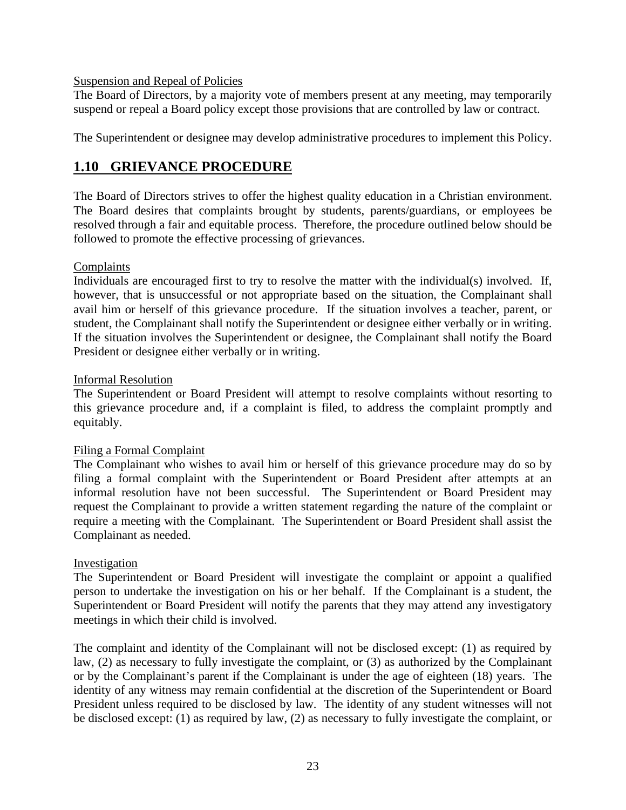### Suspension and Repeal of Policies

The Board of Directors, by a majority vote of members present at any meeting, may temporarily suspend or repeal a Board policy except those provisions that are controlled by law or contract.

The Superintendent or designee may develop administrative procedures to implement this Policy.

# <span id="page-25-0"></span>**1.10 GRIEVANCE PROCEDURE**

The Board of Directors strives to offer the highest quality education in a Christian environment. The Board desires that complaints brought by students, parents/guardians, or employees be resolved through a fair and equitable process. Therefore, the procedure outlined below should be followed to promote the effective processing of grievances.

### Complaints

Individuals are encouraged first to try to resolve the matter with the individual(s) involved. If, however, that is unsuccessful or not appropriate based on the situation, the Complainant shall avail him or herself of this grievance procedure. If the situation involves a teacher, parent, or student, the Complainant shall notify the Superintendent or designee either verbally or in writing. If the situation involves the Superintendent or designee, the Complainant shall notify the Board President or designee either verbally or in writing.

### Informal Resolution

The Superintendent or Board President will attempt to resolve complaints without resorting to this grievance procedure and, if a complaint is filed, to address the complaint promptly and equitably.

### Filing a Formal Complaint

The Complainant who wishes to avail him or herself of this grievance procedure may do so by filing a formal complaint with the Superintendent or Board President after attempts at an informal resolution have not been successful. The Superintendent or Board President may request the Complainant to provide a written statement regarding the nature of the complaint or require a meeting with the Complainant. The Superintendent or Board President shall assist the Complainant as needed.

### Investigation

The Superintendent or Board President will investigate the complaint or appoint a qualified person to undertake the investigation on his or her behalf. If the Complainant is a student, the Superintendent or Board President will notify the parents that they may attend any investigatory meetings in which their child is involved.

The complaint and identity of the Complainant will not be disclosed except: (1) as required by law, (2) as necessary to fully investigate the complaint, or (3) as authorized by the Complainant or by the Complainant's parent if the Complainant is under the age of eighteen (18) years. The identity of any witness may remain confidential at the discretion of the Superintendent or Board President unless required to be disclosed by law. The identity of any student witnesses will not be disclosed except: (1) as required by law, (2) as necessary to fully investigate the complaint, or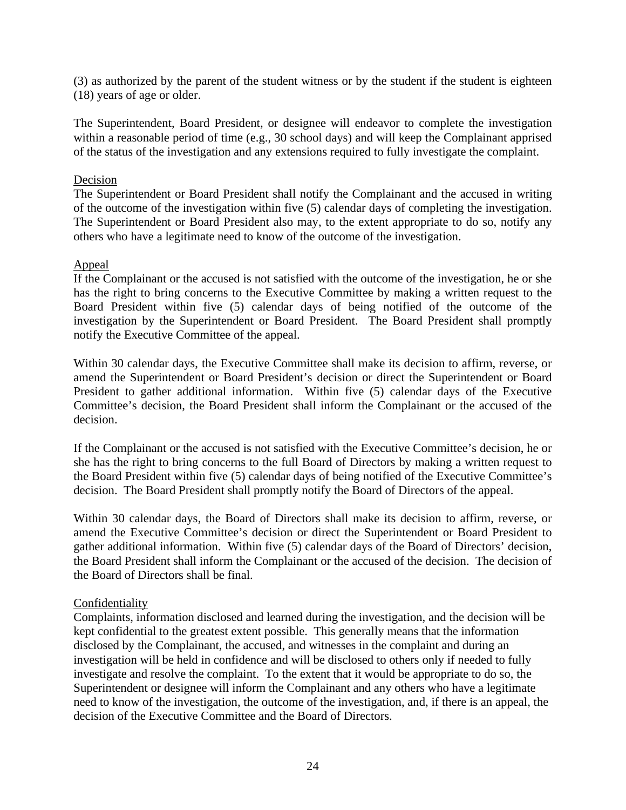(3) as authorized by the parent of the student witness or by the student if the student is eighteen (18) years of age or older.

The Superintendent, Board President, or designee will endeavor to complete the investigation within a reasonable period of time (e.g., 30 school days) and will keep the Complainant apprised of the status of the investigation and any extensions required to fully investigate the complaint.

### Decision

The Superintendent or Board President shall notify the Complainant and the accused in writing of the outcome of the investigation within five (5) calendar days of completing the investigation. The Superintendent or Board President also may, to the extent appropriate to do so, notify any others who have a legitimate need to know of the outcome of the investigation.

### Appeal

If the Complainant or the accused is not satisfied with the outcome of the investigation, he or she has the right to bring concerns to the Executive Committee by making a written request to the Board President within five (5) calendar days of being notified of the outcome of the investigation by the Superintendent or Board President. The Board President shall promptly notify the Executive Committee of the appeal.

Within 30 calendar days, the Executive Committee shall make its decision to affirm, reverse, or amend the Superintendent or Board President's decision or direct the Superintendent or Board President to gather additional information. Within five (5) calendar days of the Executive Committee's decision, the Board President shall inform the Complainant or the accused of the decision.

If the Complainant or the accused is not satisfied with the Executive Committee's decision, he or she has the right to bring concerns to the full Board of Directors by making a written request to the Board President within five (5) calendar days of being notified of the Executive Committee's decision. The Board President shall promptly notify the Board of Directors of the appeal.

Within 30 calendar days, the Board of Directors shall make its decision to affirm, reverse, or amend the Executive Committee's decision or direct the Superintendent or Board President to gather additional information. Within five (5) calendar days of the Board of Directors' decision, the Board President shall inform the Complainant or the accused of the decision. The decision of the Board of Directors shall be final.

# Confidentiality

Complaints, information disclosed and learned during the investigation, and the decision will be kept confidential to the greatest extent possible. This generally means that the information disclosed by the Complainant, the accused, and witnesses in the complaint and during an investigation will be held in confidence and will be disclosed to others only if needed to fully investigate and resolve the complaint. To the extent that it would be appropriate to do so, the Superintendent or designee will inform the Complainant and any others who have a legitimate need to know of the investigation, the outcome of the investigation, and, if there is an appeal, the decision of the Executive Committee and the Board of Directors.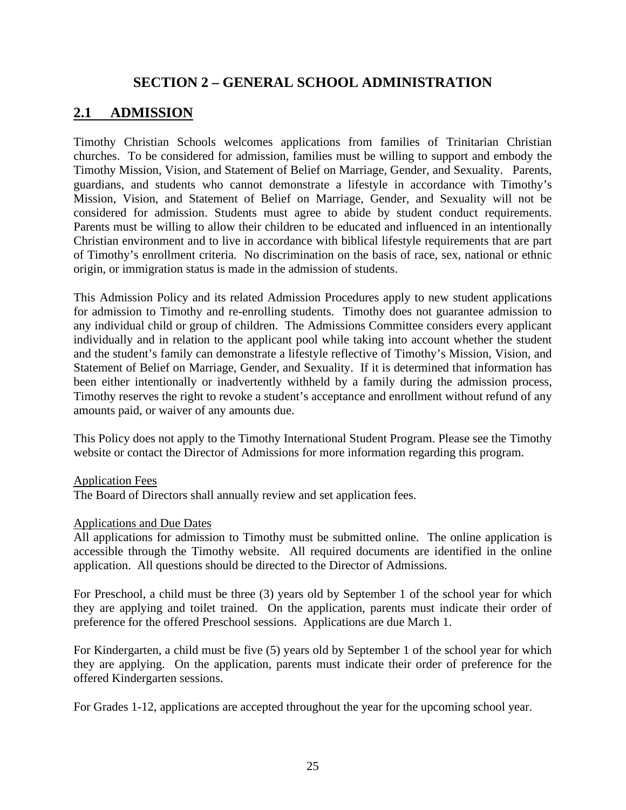# **SECTION 2 – GENERAL SCHOOL ADMINISTRATION**

# <span id="page-27-1"></span><span id="page-27-0"></span>**2.1 ADMISSION**

Timothy Christian Schools welcomes applications from families of Trinitarian Christian churches. To be considered for admission, families must be willing to support and embody the Timothy Mission, Vision, and Statement of Belief on Marriage, Gender, and Sexuality. Parents, guardians, and students who cannot demonstrate a lifestyle in accordance with Timothy's Mission, Vision, and Statement of Belief on Marriage, Gender, and Sexuality will not be considered for admission. Students must agree to abide by student conduct requirements. Parents must be willing to allow their children to be educated and influenced in an intentionally Christian environment and to live in accordance with biblical lifestyle requirements that are part of Timothy's enrollment criteria. No discrimination on the basis of race, sex, national or ethnic origin, or immigration status is made in the admission of students.

This Admission Policy and its related Admission Procedures apply to new student applications for admission to Timothy and re-enrolling students. Timothy does not guarantee admission to any individual child or group of children. The Admissions Committee considers every applicant individually and in relation to the applicant pool while taking into account whether the student and the student's family can demonstrate a lifestyle reflective of Timothy's Mission, Vision, and Statement of Belief on Marriage, Gender, and Sexuality. If it is determined that information has been either intentionally or inadvertently withheld by a family during the admission process, Timothy reserves the right to revoke a student's acceptance and enrollment without refund of any amounts paid, or waiver of any amounts due.

This Policy does not apply to the Timothy International Student Program. Please see the Timothy website or contact the Director of Admissions for more information regarding this program.

### Application Fees

The Board of Directors shall annually review and set application fees.

### Applications and Due Dates

All applications for admission to Timothy must be submitted online. The online application is accessible through the Timothy website. All required documents are identified in the online application. All questions should be directed to the Director of Admissions.

For Preschool, a child must be three (3) years old by September 1 of the school year for which they are applying and toilet trained. On the application, parents must indicate their order of preference for the offered Preschool sessions. Applications are due March 1.

For Kindergarten, a child must be five (5) years old by September 1 of the school year for which they are applying. On the application, parents must indicate their order of preference for the offered Kindergarten sessions.

For Grades 1-12, applications are accepted throughout the year for the upcoming school year.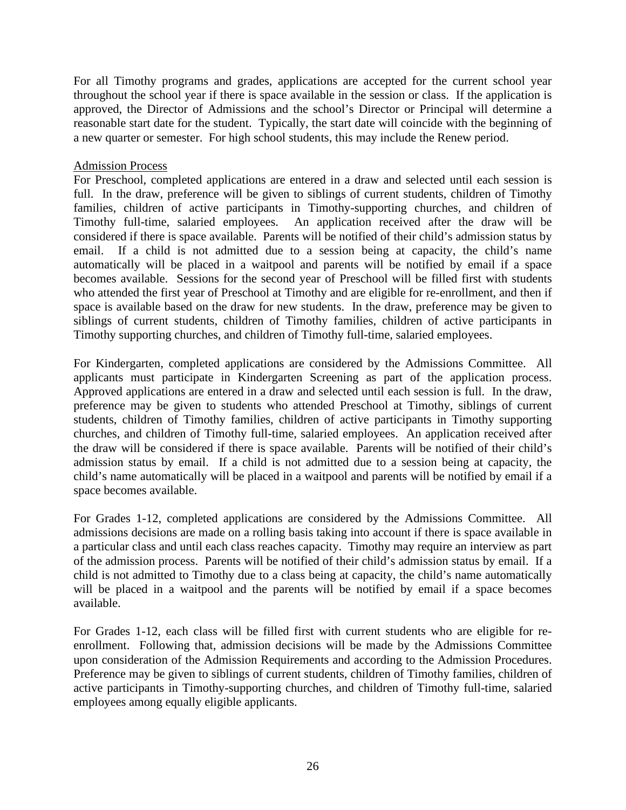For all Timothy programs and grades, applications are accepted for the current school year throughout the school year if there is space available in the session or class. If the application is approved, the Director of Admissions and the school's Director or Principal will determine a reasonable start date for the student. Typically, the start date will coincide with the beginning of a new quarter or semester. For high school students, this may include the Renew period.

### Admission Process

For Preschool, completed applications are entered in a draw and selected until each session is full. In the draw, preference will be given to siblings of current students, children of Timothy families, children of active participants in Timothy-supporting churches, and children of Timothy full-time, salaried employees. An application received after the draw will be considered if there is space available. Parents will be notified of their child's admission status by email. If a child is not admitted due to a session being at capacity, the child's name automatically will be placed in a waitpool and parents will be notified by email if a space becomes available. Sessions for the second year of Preschool will be filled first with students who attended the first year of Preschool at Timothy and are eligible for re-enrollment, and then if space is available based on the draw for new students. In the draw, preference may be given to siblings of current students, children of Timothy families, children of active participants in Timothy supporting churches, and children of Timothy full-time, salaried employees.

For Kindergarten, completed applications are considered by the Admissions Committee. All applicants must participate in Kindergarten Screening as part of the application process. Approved applications are entered in a draw and selected until each session is full. In the draw, preference may be given to students who attended Preschool at Timothy, siblings of current students, children of Timothy families, children of active participants in Timothy supporting churches, and children of Timothy full-time, salaried employees. An application received after the draw will be considered if there is space available. Parents will be notified of their child's admission status by email. If a child is not admitted due to a session being at capacity, the child's name automatically will be placed in a waitpool and parents will be notified by email if a space becomes available.

For Grades 1-12, completed applications are considered by the Admissions Committee. All admissions decisions are made on a rolling basis taking into account if there is space available in a particular class and until each class reaches capacity. Timothy may require an interview as part of the admission process. Parents will be notified of their child's admission status by email. If a child is not admitted to Timothy due to a class being at capacity, the child's name automatically will be placed in a waitpool and the parents will be notified by email if a space becomes available.

For Grades 1-12, each class will be filled first with current students who are eligible for reenrollment. Following that, admission decisions will be made by the Admissions Committee upon consideration of the Admission Requirements and according to the Admission Procedures. Preference may be given to siblings of current students, children of Timothy families, children of active participants in Timothy-supporting churches, and children of Timothy full-time, salaried employees among equally eligible applicants.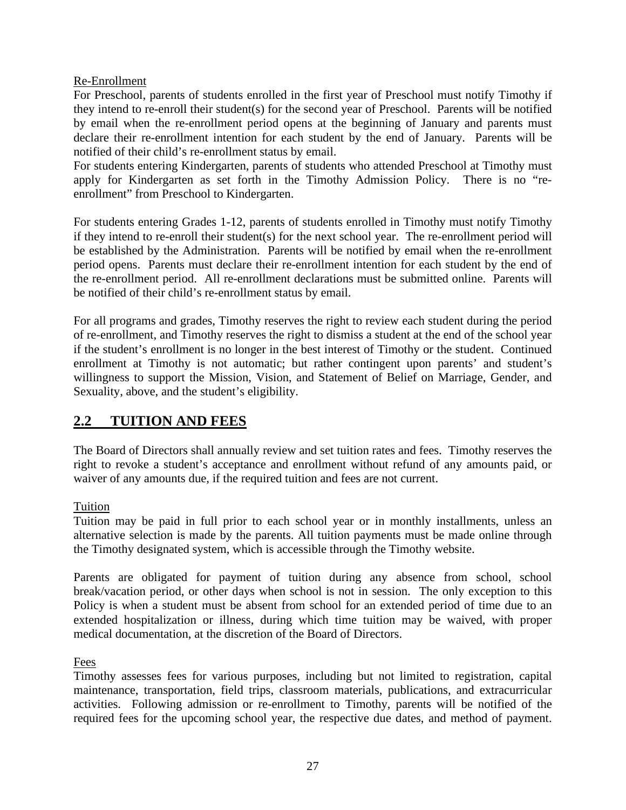# Re-Enrollment

For Preschool, parents of students enrolled in the first year of Preschool must notify Timothy if they intend to re-enroll their student(s) for the second year of Preschool. Parents will be notified by email when the re-enrollment period opens at the beginning of January and parents must declare their re-enrollment intention for each student by the end of January. Parents will be notified of their child's re-enrollment status by email.

For students entering Kindergarten, parents of students who attended Preschool at Timothy must apply for Kindergarten as set forth in the Timothy Admission Policy. There is no "reenrollment" from Preschool to Kindergarten.

For students entering Grades 1-12, parents of students enrolled in Timothy must notify Timothy if they intend to re-enroll their student(s) for the next school year. The re-enrollment period will be established by the Administration. Parents will be notified by email when the re-enrollment period opens. Parents must declare their re-enrollment intention for each student by the end of the re-enrollment period. All re-enrollment declarations must be submitted online. Parents will be notified of their child's re-enrollment status by email.

For all programs and grades, Timothy reserves the right to review each student during the period of re-enrollment, and Timothy reserves the right to dismiss a student at the end of the school year if the student's enrollment is no longer in the best interest of Timothy or the student. Continued enrollment at Timothy is not automatic; but rather contingent upon parents' and student's willingness to support the Mission, Vision, and Statement of Belief on Marriage, Gender, and Sexuality, above, and the student's eligibility.

# <span id="page-29-0"></span>**2.2 TUITION AND FEES**

The Board of Directors shall annually review and set tuition rates and fees. Timothy reserves the right to revoke a student's acceptance and enrollment without refund of any amounts paid, or waiver of any amounts due, if the required tuition and fees are not current.

# Tuition

Tuition may be paid in full prior to each school year or in monthly installments, unless an alternative selection is made by the parents. All tuition payments must be made online through the Timothy designated system, which is accessible through the Timothy website.

Parents are obligated for payment of tuition during any absence from school, school break/vacation period, or other days when school is not in session. The only exception to this Policy is when a student must be absent from school for an extended period of time due to an extended hospitalization or illness, during which time tuition may be waived, with proper medical documentation, at the discretion of the Board of Directors.

Fees

Timothy assesses fees for various purposes, including but not limited to registration, capital maintenance, transportation, field trips, classroom materials, publications, and extracurricular activities. Following admission or re-enrollment to Timothy, parents will be notified of the required fees for the upcoming school year, the respective due dates, and method of payment.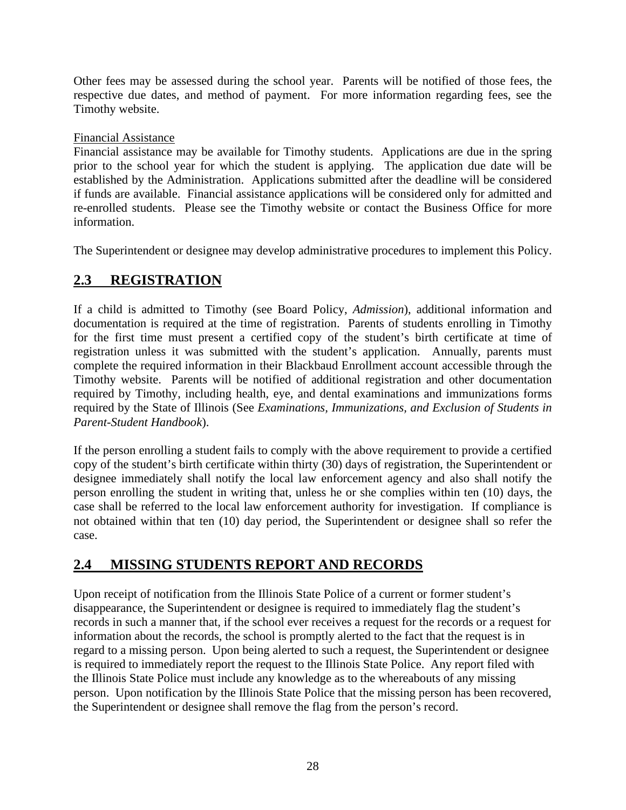Other fees may be assessed during the school year. Parents will be notified of those fees, the respective due dates, and method of payment. For more information regarding fees, see the Timothy website.

# Financial Assistance

Financial assistance may be available for Timothy students. Applications are due in the spring prior to the school year for which the student is applying. The application due date will be established by the Administration. Applications submitted after the deadline will be considered if funds are available. Financial assistance applications will be considered only for admitted and re-enrolled students. Please see the Timothy website or contact the Business Office for more information.

The Superintendent or designee may develop administrative procedures to implement this Policy.

# <span id="page-30-0"></span>**2.3 REGISTRATION**

If a child is admitted to Timothy (see Board Policy, *Admission*), additional information and documentation is required at the time of registration. Parents of students enrolling in Timothy for the first time must present a certified copy of the student's birth certificate at time of registration unless it was submitted with the student's application. Annually, parents must complete the required information in their Blackbaud Enrollment account accessible through the Timothy website. Parents will be notified of additional registration and other documentation required by Timothy, including health, eye, and dental examinations and immunizations forms required by the State of Illinois (See *Examinations, Immunizations, and Exclusion of Students in Parent-Student Handbook*).

If the person enrolling a student fails to comply with the above requirement to provide a certified copy of the student's birth certificate within thirty (30) days of registration, the Superintendent or designee immediately shall notify the local law enforcement agency and also shall notify the person enrolling the student in writing that, unless he or she complies within ten (10) days, the case shall be referred to the local law enforcement authority for investigation. If compliance is not obtained within that ten (10) day period, the Superintendent or designee shall so refer the case.

# <span id="page-30-1"></span>**2.4 MISSING STUDENTS REPORT AND RECORDS**

Upon receipt of notification from the Illinois State Police of a current or former student's disappearance, the Superintendent or designee is required to immediately flag the student's records in such a manner that, if the school ever receives a request for the records or a request for information about the records, the school is promptly alerted to the fact that the request is in regard to a missing person. Upon being alerted to such a request, the Superintendent or designee is required to immediately report the request to the Illinois State Police. Any report filed with the Illinois State Police must include any knowledge as to the whereabouts of any missing person. Upon notification by the Illinois State Police that the missing person has been recovered, the Superintendent or designee shall remove the flag from the person's record.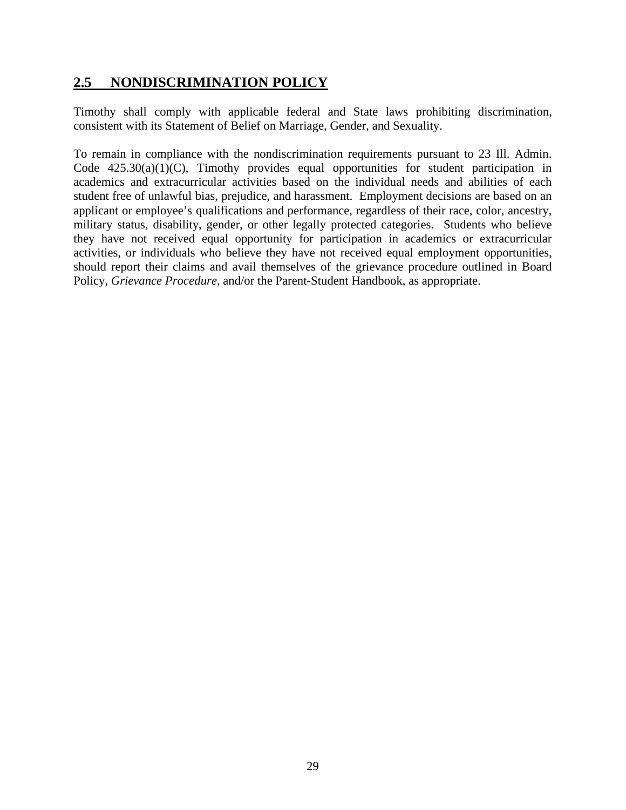# <span id="page-31-0"></span>**2.5 NONDISCRIMINATION POLICY**

Timothy shall comply with applicable federal and State laws prohibiting discrimination, consistent with its Statement of Belief on Marriage, Gender, and Sexuality.

To remain in compliance with the nondiscrimination requirements pursuant to 23 Ill. Admin. Code 425.30(a)(1)(C), Timothy provides equal opportunities for student participation in academics and extracurricular activities based on the individual needs and abilities of each student free of unlawful bias, prejudice, and harassment. Employment decisions are based on an applicant or employee's qualifications and performance, regardless of their race, color, ancestry, military status, disability, gender, or other legally protected categories. Students who believe they have not received equal opportunity for participation in academics or extracurricular activities, or individuals who believe they have not received equal employment opportunities, should report their claims and avail themselves of the grievance procedure outlined in Board Policy, *Grievance Procedure,* and/or the Parent-Student Handbook, as appropriate.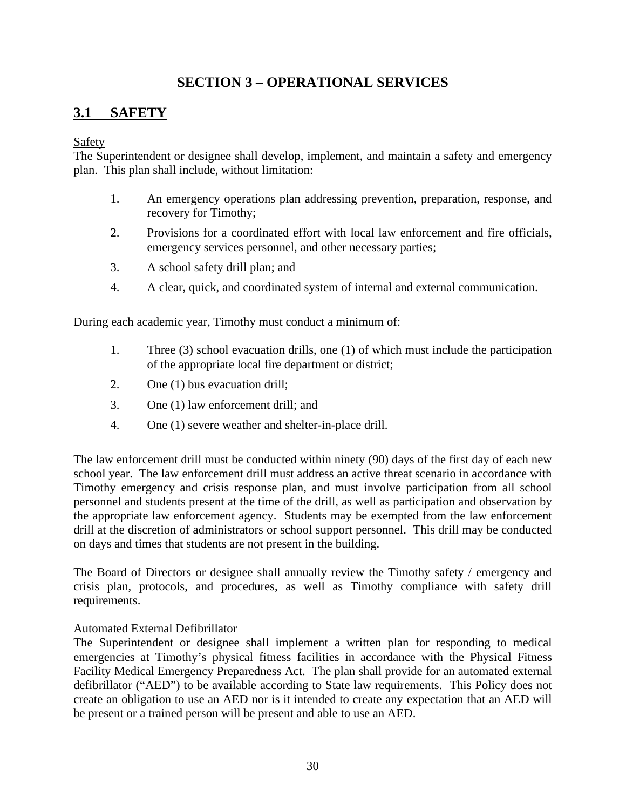# **SECTION 3 – OPERATIONAL SERVICES**

# <span id="page-32-1"></span><span id="page-32-0"></span>**3.1 SAFETY**

# Safety

The Superintendent or designee shall develop, implement, and maintain a safety and emergency plan. This plan shall include, without limitation:

- 1. An emergency operations plan addressing prevention, preparation, response, and recovery for Timothy;
- 2. Provisions for a coordinated effort with local law enforcement and fire officials, emergency services personnel, and other necessary parties;
- 3. A school safety drill plan; and
- 4. A clear, quick, and coordinated system of internal and external communication.

During each academic year, Timothy must conduct a minimum of:

- 1. Three (3) school evacuation drills, one (1) of which must include the participation of the appropriate local fire department or district;
- 2. One (1) bus evacuation drill;
- 3. One (1) law enforcement drill; and
- 4. One (1) severe weather and shelter-in-place drill.

The law enforcement drill must be conducted within ninety (90) days of the first day of each new school year. The law enforcement drill must address an active threat scenario in accordance with Timothy emergency and crisis response plan, and must involve participation from all school personnel and students present at the time of the drill, as well as participation and observation by the appropriate law enforcement agency. Students may be exempted from the law enforcement drill at the discretion of administrators or school support personnel. This drill may be conducted on days and times that students are not present in the building.

The Board of Directors or designee shall annually review the Timothy safety / emergency and crisis plan, protocols, and procedures, as well as Timothy compliance with safety drill requirements.

### Automated External Defibrillator

The Superintendent or designee shall implement a written plan for responding to medical emergencies at Timothy's physical fitness facilities in accordance with the Physical Fitness Facility Medical Emergency Preparedness Act. The plan shall provide for an automated external defibrillator ("AED") to be available according to State law requirements. This Policy does not create an obligation to use an AED nor is it intended to create any expectation that an AED will be present or a trained person will be present and able to use an AED.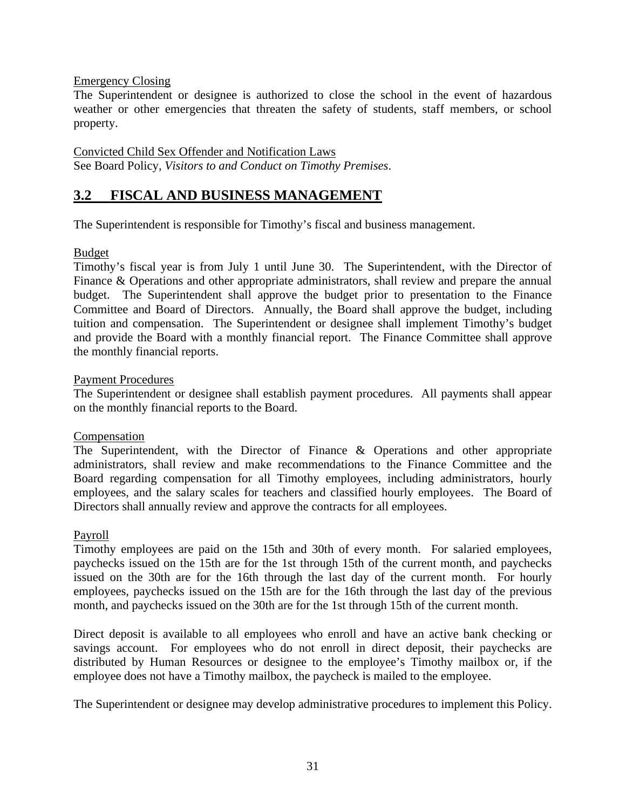### Emergency Closing

The Superintendent or designee is authorized to close the school in the event of hazardous weather or other emergencies that threaten the safety of students, staff members, or school property.

#### Convicted Child Sex Offender and Notification Laws See Board Policy, *Visitors to and Conduct on Timothy Premises*.

# <span id="page-33-0"></span>**3.2 FISCAL AND BUSINESS MANAGEMENT**

The Superintendent is responsible for Timothy's fiscal and business management.

### Budget

Timothy's fiscal year is from July 1 until June 30. The Superintendent, with the Director of Finance & Operations and other appropriate administrators, shall review and prepare the annual budget. The Superintendent shall approve the budget prior to presentation to the Finance Committee and Board of Directors. Annually, the Board shall approve the budget, including tuition and compensation. The Superintendent or designee shall implement Timothy's budget and provide the Board with a monthly financial report. The Finance Committee shall approve the monthly financial reports.

### Payment Procedures

The Superintendent or designee shall establish payment procedures. All payments shall appear on the monthly financial reports to the Board.

### Compensation

The Superintendent, with the Director of Finance & Operations and other appropriate administrators, shall review and make recommendations to the Finance Committee and the Board regarding compensation for all Timothy employees, including administrators, hourly employees, and the salary scales for teachers and classified hourly employees. The Board of Directors shall annually review and approve the contracts for all employees.

### Payroll

Timothy employees are paid on the 15th and 30th of every month. For salaried employees, paychecks issued on the 15th are for the 1st through 15th of the current month, and paychecks issued on the 30th are for the 16th through the last day of the current month. For hourly employees, paychecks issued on the 15th are for the 16th through the last day of the previous month, and paychecks issued on the 30th are for the 1st through 15th of the current month.

Direct deposit is available to all employees who enroll and have an active bank checking or savings account. For employees who do not enroll in direct deposit, their paychecks are distributed by Human Resources or designee to the employee's Timothy mailbox or, if the employee does not have a Timothy mailbox, the paycheck is mailed to the employee.

The Superintendent or designee may develop administrative procedures to implement this Policy.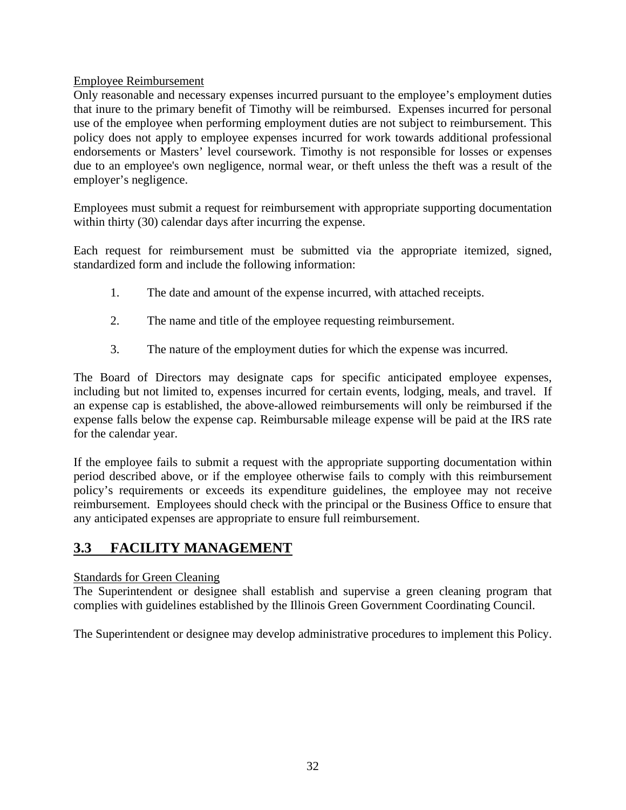# Employee Reimbursement

Only reasonable and necessary expenses incurred pursuant to the employee's employment duties that inure to the primary benefit of Timothy will be reimbursed. Expenses incurred for personal use of the employee when performing employment duties are not subject to reimbursement. This policy does not apply to employee expenses incurred for work towards additional professional endorsements or Masters' level coursework. Timothy is not responsible for losses or expenses due to an employee's own negligence, normal wear, or theft unless the theft was a result of the employer's negligence.

Employees must submit a request for reimbursement with appropriate supporting documentation within thirty (30) calendar days after incurring the expense.

Each request for reimbursement must be submitted via the appropriate itemized, signed, standardized form and include the following information:

- 1. The date and amount of the expense incurred, with attached receipts.
- 2. The name and title of the employee requesting reimbursement.
- 3. The nature of the employment duties for which the expense was incurred.

The Board of Directors may designate caps for specific anticipated employee expenses, including but not limited to, expenses incurred for certain events, lodging, meals, and travel. If an expense cap is established, the above-allowed reimbursements will only be reimbursed if the expense falls below the expense cap. Reimbursable mileage expense will be paid at the IRS rate for the calendar year.

If the employee fails to submit a request with the appropriate supporting documentation within period described above, or if the employee otherwise fails to comply with this reimbursement policy's requirements or exceeds its expenditure guidelines, the employee may not receive reimbursement. Employees should check with the principal or the Business Office to ensure that any anticipated expenses are appropriate to ensure full reimbursement.

# <span id="page-34-0"></span>**3.3 FACILITY MANAGEMENT**

### Standards for Green Cleaning

The Superintendent or designee shall establish and supervise a green cleaning program that complies with guidelines established by the Illinois Green Government Coordinating Council.

The Superintendent or designee may develop administrative procedures to implement this Policy.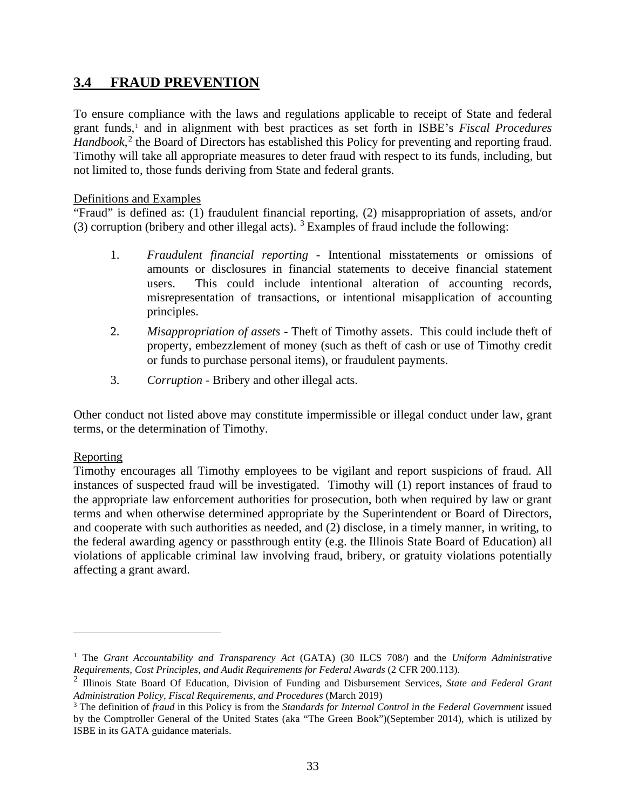# <span id="page-35-0"></span>**3.4 FRAUD PREVENTION**

To ensure compliance with the laws and regulations applicable to receipt of State and federal grant funds,<sup>[1](#page-35-1)</sup> and in alignment with best practices as set forth in ISBE's *Fiscal Procedures* Handbook,<sup>[2](#page-35-2)</sup> the Board of Directors has established this Policy for preventing and reporting fraud. Timothy will take all appropriate measures to deter fraud with respect to its funds, including, but not limited to, those funds deriving from State and federal grants.

### Definitions and Examples

"Fraud" is defined as: (1) fraudulent financial reporting, (2) misappropriation of assets, and/or ([3](#page-35-3)) corruption (bribery and other illegal acts).  $3$  Examples of fraud include the following:

- 1. *Fraudulent financial reporting* Intentional misstatements or omissions of amounts or disclosures in financial statements to deceive financial statement users. This could include intentional alteration of accounting records, misrepresentation of transactions, or intentional misapplication of accounting principles.
- 2. *Misappropriation of assets* Theft of Timothy assets. This could include theft of property, embezzlement of money (such as theft of cash or use of Timothy credit or funds to purchase personal items), or fraudulent payments.
- 3. *Corruption*  Bribery and other illegal acts.

Other conduct not listed above may constitute impermissible or illegal conduct under law, grant terms, or the determination of Timothy.

### Reporting

Timothy encourages all Timothy employees to be vigilant and report suspicions of fraud. All instances of suspected fraud will be investigated. Timothy will (1) report instances of fraud to the appropriate law enforcement authorities for prosecution, both when required by law or grant terms and when otherwise determined appropriate by the Superintendent or Board of Directors, and cooperate with such authorities as needed, and (2) disclose, in a timely manner, in writing, to the federal awarding agency or passthrough entity (e.g. the Illinois State Board of Education) all violations of applicable criminal law involving fraud, bribery, or gratuity violations potentially affecting a grant award.

<span id="page-35-1"></span><sup>1</sup> The *Grant Accountability and Transparency Act* (GATA) (30 ILCS 708/) and the *Uniform Administrative Requirements, Cost Principles, and Audit Requirements for Federal Awards* (2 CFR 200.113).

<span id="page-35-2"></span><sup>2</sup> Illinois State Board Of Education, Division of Funding and Disbursement Services, *State and Federal Grant Administration Policy, Fiscal Requirements, and Procedures* (March 2019)

<span id="page-35-3"></span><sup>3</sup> The definition of *fraud* in this Policy is from the *Standards for Internal Control in the Federal Government* issued by the Comptroller General of the United States (aka "The Green Book")(September 2014), which is utilized by ISBE in its GATA guidance materials.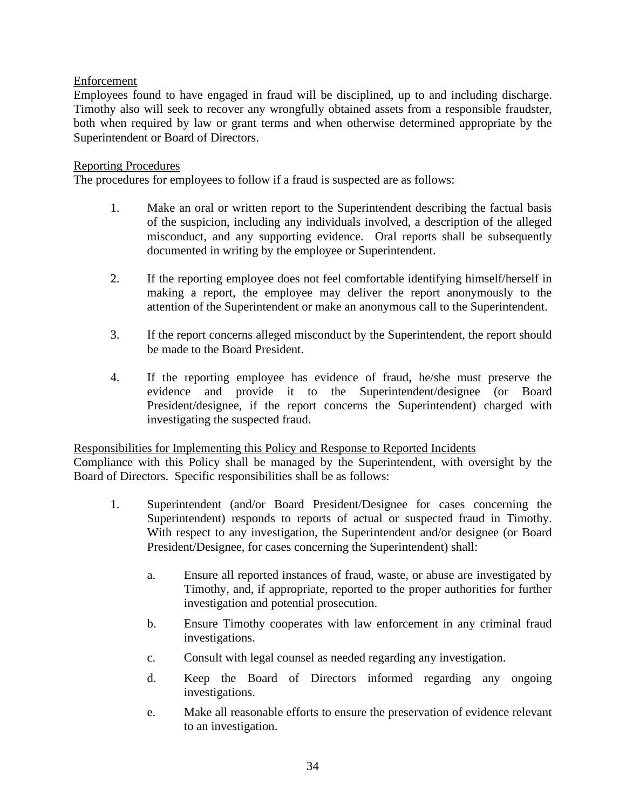# Enforcement

Employees found to have engaged in fraud will be disciplined, up to and including discharge. Timothy also will seek to recover any wrongfully obtained assets from a responsible fraudster, both when required by law or grant terms and when otherwise determined appropriate by the Superintendent or Board of Directors.

### Reporting Procedures

The procedures for employees to follow if a fraud is suspected are as follows:

- 1. Make an oral or written report to the Superintendent describing the factual basis of the suspicion, including any individuals involved, a description of the alleged misconduct, and any supporting evidence. Oral reports shall be subsequently documented in writing by the employee or Superintendent.
- 2. If the reporting employee does not feel comfortable identifying himself/herself in making a report, the employee may deliver the report anonymously to the attention of the Superintendent or make an anonymous call to the Superintendent.
- 3. If the report concerns alleged misconduct by the Superintendent, the report should be made to the Board President.
- 4. If the reporting employee has evidence of fraud, he/she must preserve the evidence and provide it to the Superintendent/designee (or Board President/designee, if the report concerns the Superintendent) charged with investigating the suspected fraud.

#### Responsibilities for Implementing this Policy and Response to Reported Incidents

Compliance with this Policy shall be managed by the Superintendent, with oversight by the Board of Directors. Specific responsibilities shall be as follows:

- 1. Superintendent (and/or Board President/Designee for cases concerning the Superintendent) responds to reports of actual or suspected fraud in Timothy. With respect to any investigation, the Superintendent and/or designee (or Board President/Designee, for cases concerning the Superintendent) shall:
	- a. Ensure all reported instances of fraud, waste, or abuse are investigated by Timothy, and, if appropriate, reported to the proper authorities for further investigation and potential prosecution.
	- b. Ensure Timothy cooperates with law enforcement in any criminal fraud investigations.
	- c. Consult with legal counsel as needed regarding any investigation.
	- d. Keep the Board of Directors informed regarding any ongoing investigations.
	- e. Make all reasonable efforts to ensure the preservation of evidence relevant to an investigation.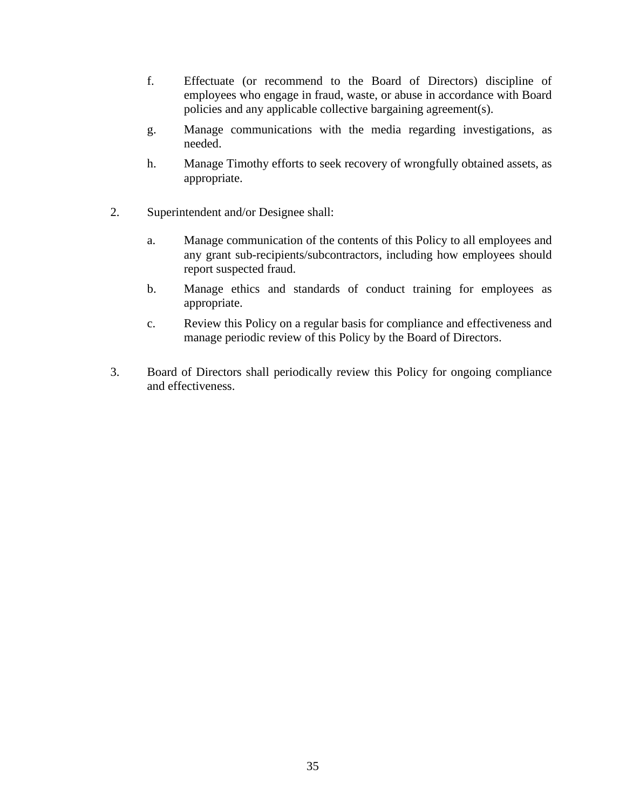- f. Effectuate (or recommend to the Board of Directors) discipline of employees who engage in fraud, waste, or abuse in accordance with Board policies and any applicable collective bargaining agreement(s).
- g. Manage communications with the media regarding investigations, as needed.
- h. Manage Timothy efforts to seek recovery of wrongfully obtained assets, as appropriate.
- 2. Superintendent and/or Designee shall:
	- a. Manage communication of the contents of this Policy to all employees and any grant sub-recipients/subcontractors, including how employees should report suspected fraud.
	- b. Manage ethics and standards of conduct training for employees as appropriate.
	- c. Review this Policy on a regular basis for compliance and effectiveness and manage periodic review of this Policy by the Board of Directors.
- 3. Board of Directors shall periodically review this Policy for ongoing compliance and effectiveness.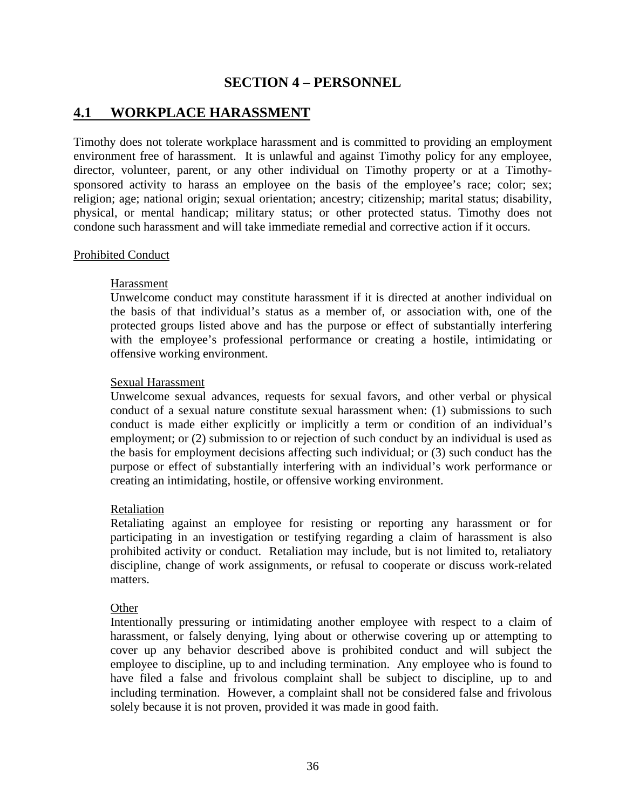# **SECTION 4 – PERSONNEL**

# <span id="page-38-1"></span><span id="page-38-0"></span>**4.1 WORKPLACE HARASSMENT**

Timothy does not tolerate workplace harassment and is committed to providing an employment environment free of harassment. It is unlawful and against Timothy policy for any employee, director, volunteer, parent, or any other individual on Timothy property or at a Timothysponsored activity to harass an employee on the basis of the employee's race; color; sex; religion; age; national origin; sexual orientation; ancestry; citizenship; marital status; disability, physical, or mental handicap; military status; or other protected status. Timothy does not condone such harassment and will take immediate remedial and corrective action if it occurs.

#### Prohibited Conduct

### Harassment

Unwelcome conduct may constitute harassment if it is directed at another individual on the basis of that individual's status as a member of, or association with, one of the protected groups listed above and has the purpose or effect of substantially interfering with the employee's professional performance or creating a hostile, intimidating or offensive working environment.

#### Sexual Harassment

Unwelcome sexual advances, requests for sexual favors, and other verbal or physical conduct of a sexual nature constitute sexual harassment when: (1) submissions to such conduct is made either explicitly or implicitly a term or condition of an individual's employment; or (2) submission to or rejection of such conduct by an individual is used as the basis for employment decisions affecting such individual; or (3) such conduct has the purpose or effect of substantially interfering with an individual's work performance or creating an intimidating, hostile, or offensive working environment.

#### Retaliation

Retaliating against an employee for resisting or reporting any harassment or for participating in an investigation or testifying regarding a claim of harassment is also prohibited activity or conduct. Retaliation may include, but is not limited to, retaliatory discipline, change of work assignments, or refusal to cooperate or discuss work-related matters.

### **Other**

Intentionally pressuring or intimidating another employee with respect to a claim of harassment, or falsely denying, lying about or otherwise covering up or attempting to cover up any behavior described above is prohibited conduct and will subject the employee to discipline, up to and including termination. Any employee who is found to have filed a false and frivolous complaint shall be subject to discipline, up to and including termination. However, a complaint shall not be considered false and frivolous solely because it is not proven, provided it was made in good faith.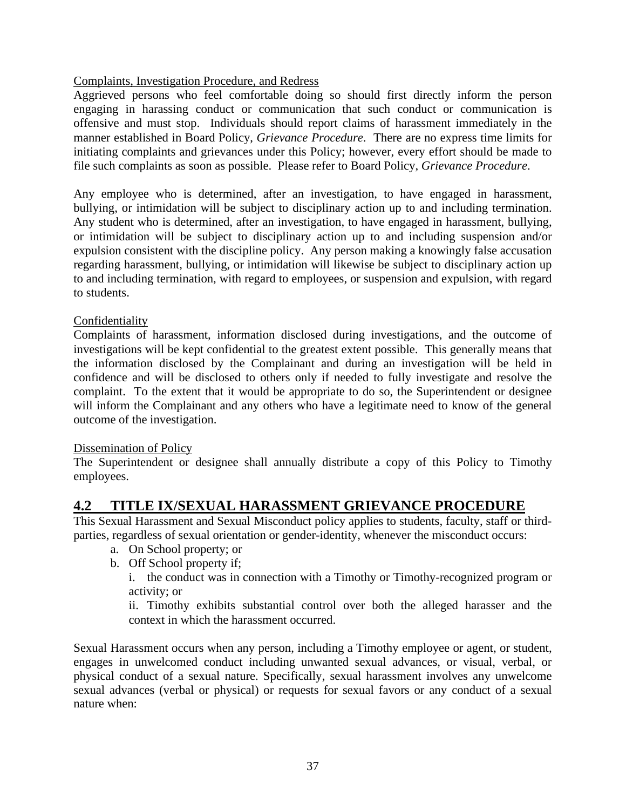# Complaints, Investigation Procedure, and Redress

Aggrieved persons who feel comfortable doing so should first directly inform the person engaging in harassing conduct or communication that such conduct or communication is offensive and must stop. Individuals should report claims of harassment immediately in the manner established in Board Policy, *Grievance Procedure*. There are no express time limits for initiating complaints and grievances under this Policy; however, every effort should be made to file such complaints as soon as possible. Please refer to Board Policy, *Grievance Procedure*.

Any employee who is determined, after an investigation, to have engaged in harassment, bullying, or intimidation will be subject to disciplinary action up to and including termination. Any student who is determined, after an investigation, to have engaged in harassment, bullying, or intimidation will be subject to disciplinary action up to and including suspension and/or expulsion consistent with the discipline policy. Any person making a knowingly false accusation regarding harassment, bullying, or intimidation will likewise be subject to disciplinary action up to and including termination, with regard to employees, or suspension and expulsion, with regard to students.

# Confidentiality

Complaints of harassment, information disclosed during investigations, and the outcome of investigations will be kept confidential to the greatest extent possible. This generally means that the information disclosed by the Complainant and during an investigation will be held in confidence and will be disclosed to others only if needed to fully investigate and resolve the complaint. To the extent that it would be appropriate to do so, the Superintendent or designee will inform the Complainant and any others who have a legitimate need to know of the general outcome of the investigation.

### Dissemination of Policy

The Superintendent or designee shall annually distribute a copy of this Policy to Timothy employees.

# <span id="page-39-0"></span>**4.2 TITLE IX/SEXUAL HARASSMENT GRIEVANCE PROCEDURE**

This Sexual Harassment and Sexual Misconduct policy applies to students, faculty, staff or thirdparties, regardless of sexual orientation or gender-identity, whenever the misconduct occurs:

- a. On School property; or
- b. Off School property if;

i. the conduct was in connection with a Timothy or Timothy-recognized program or activity; or

ii. Timothy exhibits substantial control over both the alleged harasser and the context in which the harassment occurred.

Sexual Harassment occurs when any person, including a Timothy employee or agent, or student, engages in unwelcomed conduct including unwanted sexual advances, or visual, verbal, or physical conduct of a sexual nature. Specifically, sexual harassment involves any unwelcome sexual advances (verbal or physical) or requests for sexual favors or any conduct of a sexual nature when: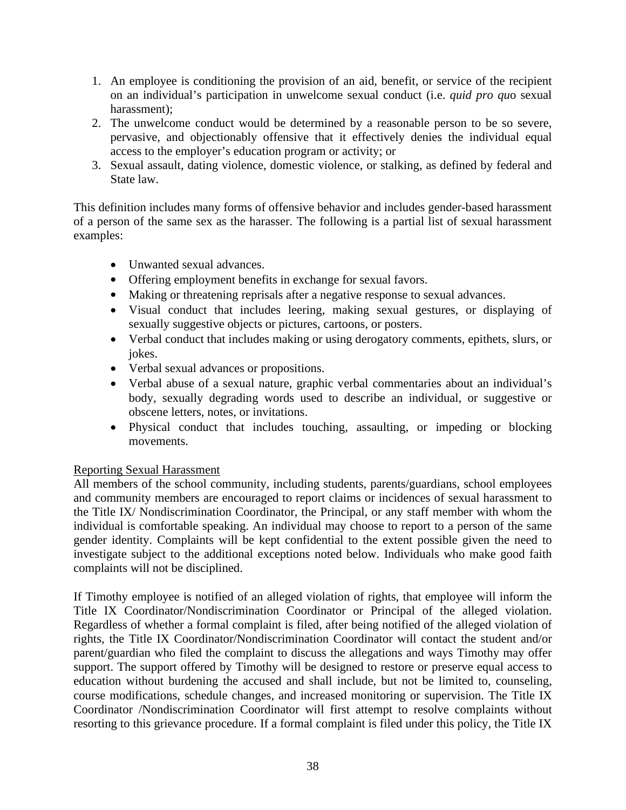- 1. An employee is conditioning the provision of an aid, benefit, or service of the recipient on an individual's participation in unwelcome sexual conduct (i.e. *quid pro qu*o sexual harassment);
- 2. The unwelcome conduct would be determined by a reasonable person to be so severe, pervasive, and objectionably offensive that it effectively denies the individual equal access to the employer's education program or activity; or
- 3. Sexual assault, dating violence, domestic violence, or stalking, as defined by federal and State law.

This definition includes many forms of offensive behavior and includes gender-based harassment of a person of the same sex as the harasser. The following is a partial list of sexual harassment examples:

- Unwanted sexual advances.
- Offering employment benefits in exchange for sexual favors.
- Making or threatening reprisals after a negative response to sexual advances.
- Visual conduct that includes leering, making sexual gestures, or displaying of sexually suggestive objects or pictures, cartoons, or posters.
- Verbal conduct that includes making or using derogatory comments, epithets, slurs, or jokes.
- Verbal sexual advances or propositions.
- Verbal abuse of a sexual nature, graphic verbal commentaries about an individual's body, sexually degrading words used to describe an individual, or suggestive or obscene letters, notes, or invitations.
- Physical conduct that includes touching, assaulting, or impeding or blocking movements.

# Reporting Sexual Harassment

All members of the school community, including students, parents/guardians, school employees and community members are encouraged to report claims or incidences of sexual harassment to the Title IX/ Nondiscrimination Coordinator, the Principal, or any staff member with whom the individual is comfortable speaking. An individual may choose to report to a person of the same gender identity. Complaints will be kept confidential to the extent possible given the need to investigate subject to the additional exceptions noted below. Individuals who make good faith complaints will not be disciplined.

If Timothy employee is notified of an alleged violation of rights, that employee will inform the Title IX Coordinator/Nondiscrimination Coordinator or Principal of the alleged violation. Regardless of whether a formal complaint is filed, after being notified of the alleged violation of rights, the Title IX Coordinator/Nondiscrimination Coordinator will contact the student and/or parent/guardian who filed the complaint to discuss the allegations and ways Timothy may offer support. The support offered by Timothy will be designed to restore or preserve equal access to education without burdening the accused and shall include, but not be limited to, counseling, course modifications, schedule changes, and increased monitoring or supervision. The Title IX Coordinator /Nondiscrimination Coordinator will first attempt to resolve complaints without resorting to this grievance procedure. If a formal complaint is filed under this policy, the Title IX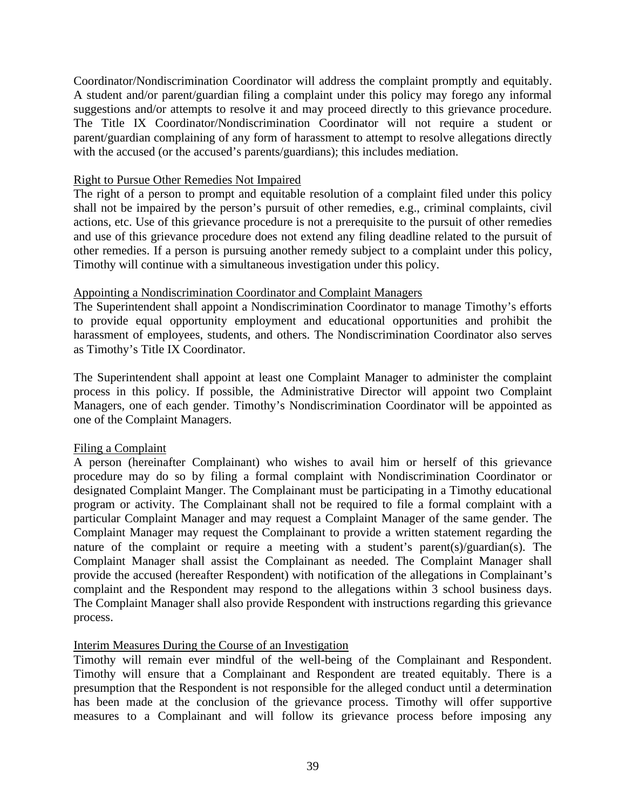Coordinator/Nondiscrimination Coordinator will address the complaint promptly and equitably. A student and/or parent/guardian filing a complaint under this policy may forego any informal suggestions and/or attempts to resolve it and may proceed directly to this grievance procedure. The Title IX Coordinator/Nondiscrimination Coordinator will not require a student or parent/guardian complaining of any form of harassment to attempt to resolve allegations directly with the accused (or the accused's parents/guardians); this includes mediation.

### Right to Pursue Other Remedies Not Impaired

The right of a person to prompt and equitable resolution of a complaint filed under this policy shall not be impaired by the person's pursuit of other remedies, e.g., criminal complaints, civil actions, etc. Use of this grievance procedure is not a prerequisite to the pursuit of other remedies and use of this grievance procedure does not extend any filing deadline related to the pursuit of other remedies. If a person is pursuing another remedy subject to a complaint under this policy, Timothy will continue with a simultaneous investigation under this policy.

### Appointing a Nondiscrimination Coordinator and Complaint Managers

The Superintendent shall appoint a Nondiscrimination Coordinator to manage Timothy's efforts to provide equal opportunity employment and educational opportunities and prohibit the harassment of employees, students, and others. The Nondiscrimination Coordinator also serves as Timothy's Title IX Coordinator.

The Superintendent shall appoint at least one Complaint Manager to administer the complaint process in this policy. If possible, the Administrative Director will appoint two Complaint Managers, one of each gender. Timothy's Nondiscrimination Coordinator will be appointed as one of the Complaint Managers.

# Filing a Complaint

A person (hereinafter Complainant) who wishes to avail him or herself of this grievance procedure may do so by filing a formal complaint with Nondiscrimination Coordinator or designated Complaint Manger. The Complainant must be participating in a Timothy educational program or activity. The Complainant shall not be required to file a formal complaint with a particular Complaint Manager and may request a Complaint Manager of the same gender. The Complaint Manager may request the Complainant to provide a written statement regarding the nature of the complaint or require a meeting with a student's parent(s)/guardian(s). The Complaint Manager shall assist the Complainant as needed. The Complaint Manager shall provide the accused (hereafter Respondent) with notification of the allegations in Complainant's complaint and the Respondent may respond to the allegations within 3 school business days. The Complaint Manager shall also provide Respondent with instructions regarding this grievance process.

### Interim Measures During the Course of an Investigation

Timothy will remain ever mindful of the well-being of the Complainant and Respondent. Timothy will ensure that a Complainant and Respondent are treated equitably. There is a presumption that the Respondent is not responsible for the alleged conduct until a determination has been made at the conclusion of the grievance process. Timothy will offer supportive measures to a Complainant and will follow its grievance process before imposing any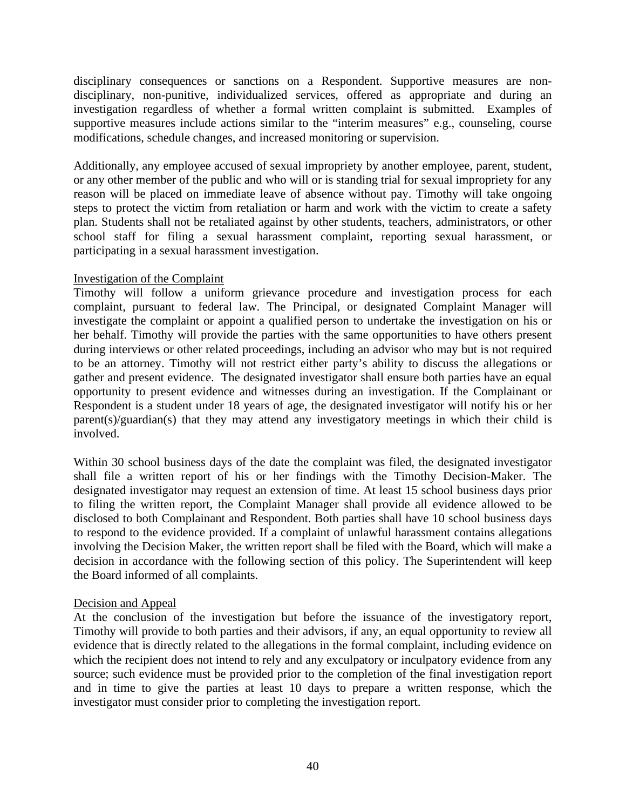disciplinary consequences or sanctions on a Respondent. Supportive measures are nondisciplinary, non-punitive, individualized services, offered as appropriate and during an investigation regardless of whether a formal written complaint is submitted. Examples of supportive measures include actions similar to the "interim measures" e.g., counseling, course modifications, schedule changes, and increased monitoring or supervision.

Additionally, any employee accused of sexual impropriety by another employee, parent, student, or any other member of the public and who will or is standing trial for sexual impropriety for any reason will be placed on immediate leave of absence without pay. Timothy will take ongoing steps to protect the victim from retaliation or harm and work with the victim to create a safety plan. Students shall not be retaliated against by other students, teachers, administrators, or other school staff for filing a sexual harassment complaint, reporting sexual harassment, or participating in a sexual harassment investigation.

#### Investigation of the Complaint

Timothy will follow a uniform grievance procedure and investigation process for each complaint, pursuant to federal law. The Principal, or designated Complaint Manager will investigate the complaint or appoint a qualified person to undertake the investigation on his or her behalf. Timothy will provide the parties with the same opportunities to have others present during interviews or other related proceedings, including an advisor who may but is not required to be an attorney. Timothy will not restrict either party's ability to discuss the allegations or gather and present evidence. The designated investigator shall ensure both parties have an equal opportunity to present evidence and witnesses during an investigation. If the Complainant or Respondent is a student under 18 years of age, the designated investigator will notify his or her parent(s)/guardian(s) that they may attend any investigatory meetings in which their child is involved.

Within 30 school business days of the date the complaint was filed, the designated investigator shall file a written report of his or her findings with the Timothy Decision-Maker. The designated investigator may request an extension of time. At least 15 school business days prior to filing the written report, the Complaint Manager shall provide all evidence allowed to be disclosed to both Complainant and Respondent. Both parties shall have 10 school business days to respond to the evidence provided. If a complaint of unlawful harassment contains allegations involving the Decision Maker, the written report shall be filed with the Board, which will make a decision in accordance with the following section of this policy. The Superintendent will keep the Board informed of all complaints.

### Decision and Appeal

At the conclusion of the investigation but before the issuance of the investigatory report, Timothy will provide to both parties and their advisors, if any, an equal opportunity to review all evidence that is directly related to the allegations in the formal complaint, including evidence on which the recipient does not intend to rely and any exculpatory or inculpatory evidence from any source; such evidence must be provided prior to the completion of the final investigation report and in time to give the parties at least 10 days to prepare a written response, which the investigator must consider prior to completing the investigation report.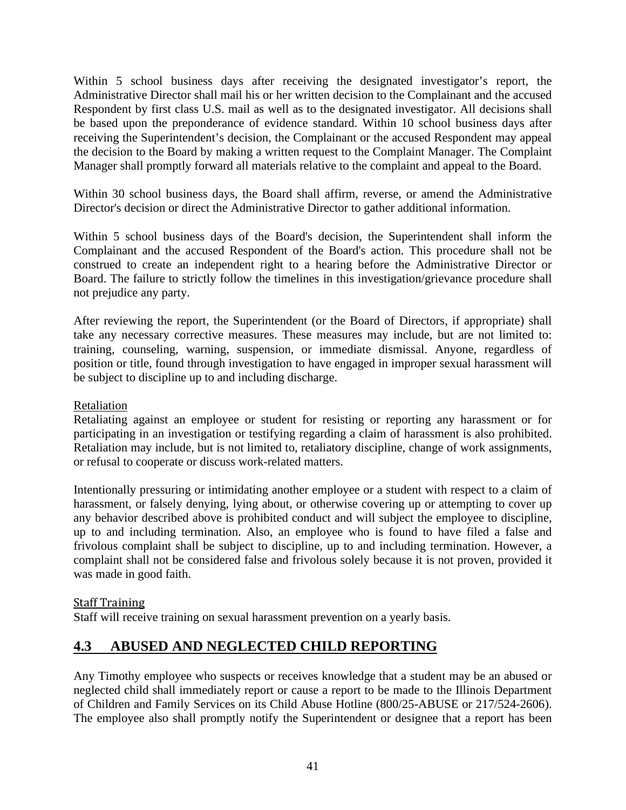Within 5 school business days after receiving the designated investigator's report, the Administrative Director shall mail his or her written decision to the Complainant and the accused Respondent by first class U.S. mail as well as to the designated investigator. All decisions shall be based upon the preponderance of evidence standard. Within 10 school business days after receiving the Superintendent's decision, the Complainant or the accused Respondent may appeal the decision to the Board by making a written request to the Complaint Manager. The Complaint Manager shall promptly forward all materials relative to the complaint and appeal to the Board.

Within 30 school business days, the Board shall affirm, reverse, or amend the Administrative Director's decision or direct the Administrative Director to gather additional information.

Within 5 school business days of the Board's decision, the Superintendent shall inform the Complainant and the accused Respondent of the Board's action. This procedure shall not be construed to create an independent right to a hearing before the Administrative Director or Board. The failure to strictly follow the timelines in this investigation/grievance procedure shall not prejudice any party.

After reviewing the report, the Superintendent (or the Board of Directors, if appropriate) shall take any necessary corrective measures. These measures may include, but are not limited to: training, counseling, warning, suspension, or immediate dismissal. Anyone, regardless of position or title, found through investigation to have engaged in improper sexual harassment will be subject to discipline up to and including discharge.

# Retaliation

Retaliating against an employee or student for resisting or reporting any harassment or for participating in an investigation or testifying regarding a claim of harassment is also prohibited. Retaliation may include, but is not limited to, retaliatory discipline, change of work assignments, or refusal to cooperate or discuss work-related matters.

Intentionally pressuring or intimidating another employee or a student with respect to a claim of harassment, or falsely denying, lying about, or otherwise covering up or attempting to cover up any behavior described above is prohibited conduct and will subject the employee to discipline, up to and including termination. Also, an employee who is found to have filed a false and frivolous complaint shall be subject to discipline, up to and including termination. However, a complaint shall not be considered false and frivolous solely because it is not proven, provided it was made in good faith.

### Staff Training

Staff will receive training on sexual harassment prevention on a yearly basis.

# <span id="page-43-0"></span>**4.3 ABUSED AND NEGLECTED CHILD REPORTING**

Any Timothy employee who suspects or receives knowledge that a student may be an abused or neglected child shall immediately report or cause a report to be made to the Illinois Department of Children and Family Services on its Child Abuse Hotline (800/25-ABUSE or 217/524-2606). The employee also shall promptly notify the Superintendent or designee that a report has been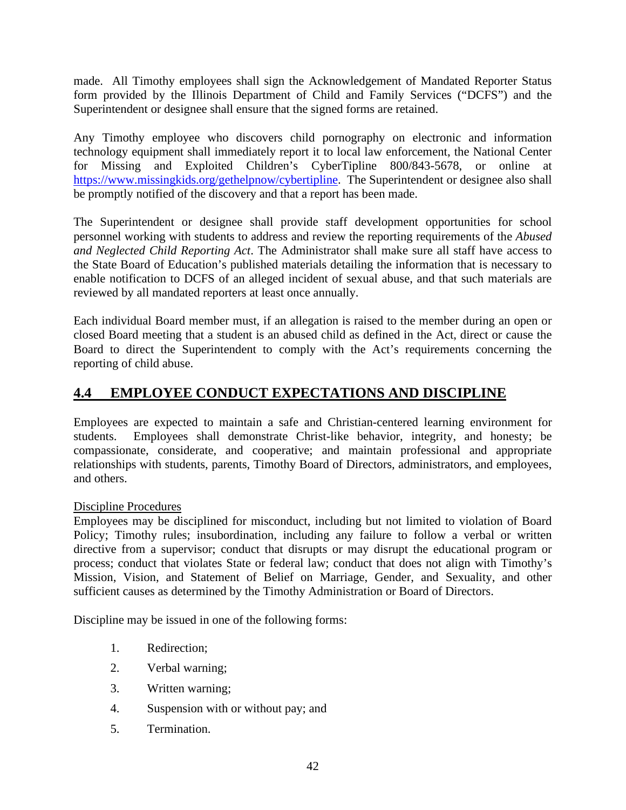made. All Timothy employees shall sign the Acknowledgement of Mandated Reporter Status form provided by the Illinois Department of Child and Family Services ("DCFS") and the Superintendent or designee shall ensure that the signed forms are retained.

Any Timothy employee who discovers child pornography on electronic and information technology equipment shall immediately report it to local law enforcement, the National Center for Missing and Exploited Children's CyberTipline 800/843-5678, or online at [https://www.missingkids.org/gethelpnow/cybertipline.](https://www.missingkids.org/gethelpnow/cybertipline) The Superintendent or designee also shall be promptly notified of the discovery and that a report has been made.

The Superintendent or designee shall provide staff development opportunities for school personnel working with students to address and review the reporting requirements of the *Abused and Neglected Child Reporting Act*. The Administrator shall make sure all staff have access to the State Board of Education's published materials detailing the information that is necessary to enable notification to DCFS of an alleged incident of sexual abuse, and that such materials are reviewed by all mandated reporters at least once annually.

Each individual Board member must, if an allegation is raised to the member during an open or closed Board meeting that a student is an abused child as defined in the Act, direct or cause the Board to direct the Superintendent to comply with the Act's requirements concerning the reporting of child abuse.

# <span id="page-44-0"></span>**4.4 EMPLOYEE CONDUCT EXPECTATIONS AND DISCIPLINE**

Employees are expected to maintain a safe and Christian-centered learning environment for students. Employees shall demonstrate Christ-like behavior, integrity, and honesty; be compassionate, considerate, and cooperative; and maintain professional and appropriate relationships with students, parents, Timothy Board of Directors, administrators, and employees, and others.

# Discipline Procedures

Employees may be disciplined for misconduct, including but not limited to violation of Board Policy; Timothy rules; insubordination, including any failure to follow a verbal or written directive from a supervisor; conduct that disrupts or may disrupt the educational program or process; conduct that violates State or federal law; conduct that does not align with Timothy's Mission, Vision, and Statement of Belief on Marriage, Gender, and Sexuality, and other sufficient causes as determined by the Timothy Administration or Board of Directors.

Discipline may be issued in one of the following forms:

- 1. Redirection;
- 2. Verbal warning;
- 3. Written warning;
- 4. Suspension with or without pay; and
- 5. Termination.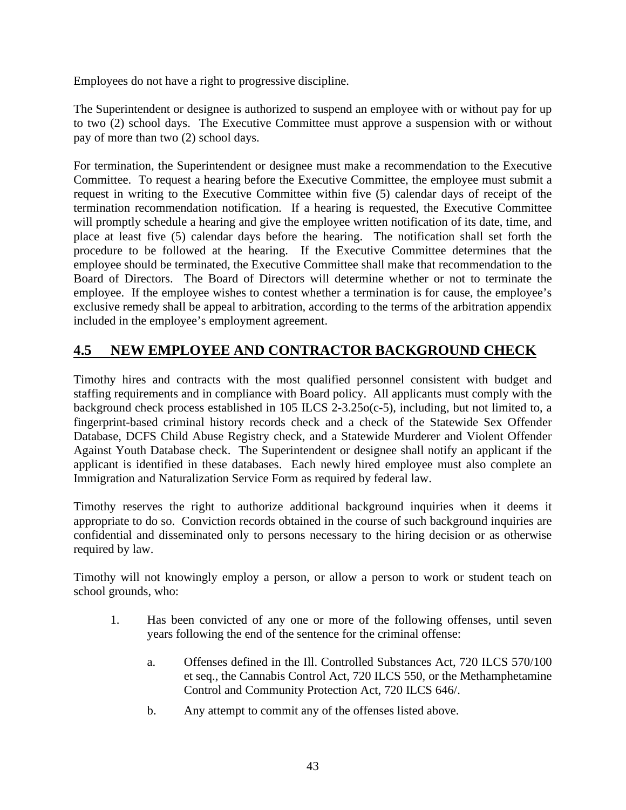Employees do not have a right to progressive discipline.

The Superintendent or designee is authorized to suspend an employee with or without pay for up to two (2) school days. The Executive Committee must approve a suspension with or without pay of more than two (2) school days.

For termination, the Superintendent or designee must make a recommendation to the Executive Committee. To request a hearing before the Executive Committee, the employee must submit a request in writing to the Executive Committee within five (5) calendar days of receipt of the termination recommendation notification. If a hearing is requested, the Executive Committee will promptly schedule a hearing and give the employee written notification of its date, time, and place at least five (5) calendar days before the hearing. The notification shall set forth the procedure to be followed at the hearing. If the Executive Committee determines that the employee should be terminated, the Executive Committee shall make that recommendation to the Board of Directors. The Board of Directors will determine whether or not to terminate the employee. If the employee wishes to contest whether a termination is for cause, the employee's exclusive remedy shall be appeal to arbitration, according to the terms of the arbitration appendix included in the employee's employment agreement.

# <span id="page-45-0"></span>**4.5 NEW EMPLOYEE AND CONTRACTOR BACKGROUND CHECK**

Timothy hires and contracts with the most qualified personnel consistent with budget and staffing requirements and in compliance with Board policy. All applicants must comply with the background check process established in 105 ILCS 2-3.25o(c-5), including, but not limited to, a fingerprint-based criminal history records check and a check of the Statewide Sex Offender Database, DCFS Child Abuse Registry check, and a Statewide Murderer and Violent Offender Against Youth Database check. The Superintendent or designee shall notify an applicant if the applicant is identified in these databases. Each newly hired employee must also complete an Immigration and Naturalization Service Form as required by federal law.

Timothy reserves the right to authorize additional background inquiries when it deems it appropriate to do so. Conviction records obtained in the course of such background inquiries are confidential and disseminated only to persons necessary to the hiring decision or as otherwise required by law.

Timothy will not knowingly employ a person, or allow a person to work or student teach on school grounds, who:

- 1. Has been convicted of any one or more of the following offenses, until seven years following the end of the sentence for the criminal offense:
	- a. Offenses defined in the Ill. Controlled Substances Act, 720 ILCS 570/100 et seq., the Cannabis Control Act, 720 ILCS 550, or the Methamphetamine Control and Community Protection Act, 720 ILCS 646/.
	- b. Any attempt to commit any of the offenses listed above.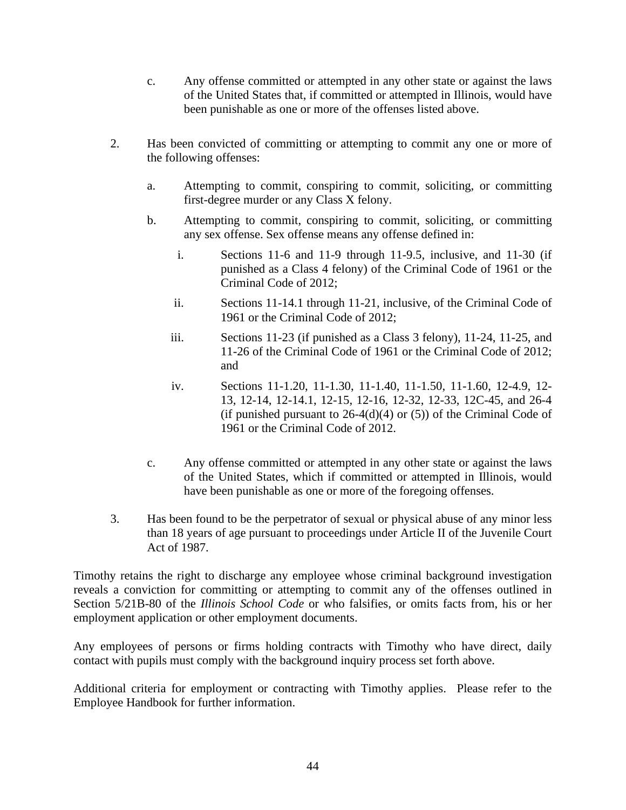- c. Any offense committed or attempted in any other state or against the laws of the United States that, if committed or attempted in Illinois, would have been punishable as one or more of the offenses listed above.
- 2. Has been convicted of committing or attempting to commit any one or more of the following offenses:
	- a. Attempting to commit, conspiring to commit, soliciting, or committing first-degree murder or any Class X felony.
	- b. Attempting to commit, conspiring to commit, soliciting, or committing any sex offense. Sex offense means any offense defined in:
		- i. Sections 11-6 and 11-9 through 11-9.5, inclusive, and 11-30 (if punished as a Class 4 felony) of the Criminal Code of 1961 or the Criminal Code of 2012;
		- ii. Sections 11-14.1 through 11-21, inclusive, of the Criminal Code of 1961 or the Criminal Code of 2012;
		- iii. Sections 11-23 (if punished as a Class 3 felony), 11-24, 11-25, and 11-26 of the Criminal Code of 1961 or the Criminal Code of 2012; and
		- iv. Sections 11-1.20, 11-1.30, 11-1.40, 11-1.50, 11-1.60, 12-4.9, 12- 13, 12-14, 12-14.1, 12-15, 12-16, 12-32, 12-33, 12C-45, and 26-4 (if punished pursuant to  $26-4(d)(4)$  or (5)) of the Criminal Code of 1961 or the Criminal Code of 2012.
	- c. Any offense committed or attempted in any other state or against the laws of the United States, which if committed or attempted in Illinois, would have been punishable as one or more of the foregoing offenses.
- 3. Has been found to be the perpetrator of sexual or physical abuse of any minor less than 18 years of age pursuant to proceedings under Article II of the Juvenile Court Act of 1987.

Timothy retains the right to discharge any employee whose criminal background investigation reveals a conviction for committing or attempting to commit any of the offenses outlined in Section 5/21B-80 of the *Illinois School Code* or who falsifies, or omits facts from, his or her employment application or other employment documents.

Any employees of persons or firms holding contracts with Timothy who have direct, daily contact with pupils must comply with the background inquiry process set forth above.

Additional criteria for employment or contracting with Timothy applies. Please refer to the Employee Handbook for further information.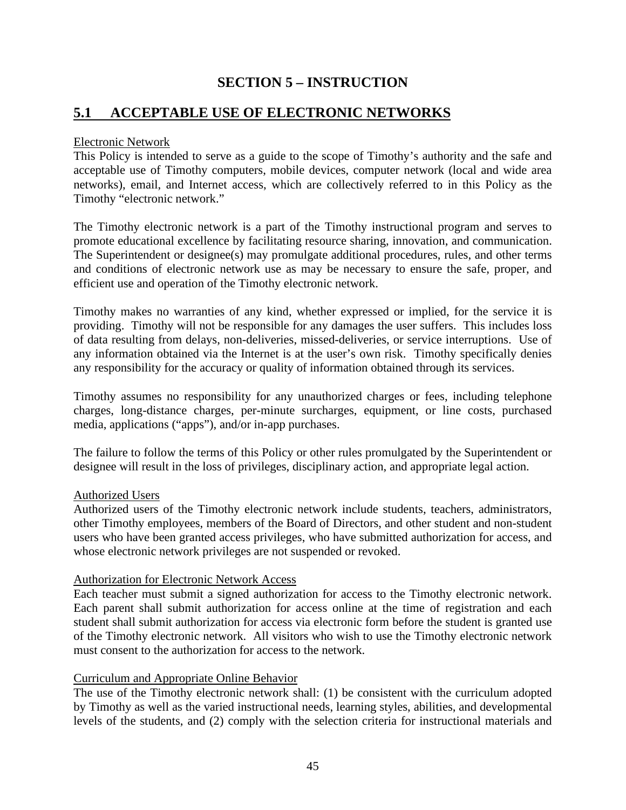# **SECTION 5 – INSTRUCTION**

# <span id="page-47-1"></span><span id="page-47-0"></span>**5.1 ACCEPTABLE USE OF ELECTRONIC NETWORKS**

#### Electronic Network

This Policy is intended to serve as a guide to the scope of Timothy's authority and the safe and acceptable use of Timothy computers, mobile devices, computer network (local and wide area networks), email, and Internet access, which are collectively referred to in this Policy as the Timothy "electronic network."

The Timothy electronic network is a part of the Timothy instructional program and serves to promote educational excellence by facilitating resource sharing, innovation, and communication. The Superintendent or designee(s) may promulgate additional procedures, rules, and other terms and conditions of electronic network use as may be necessary to ensure the safe, proper, and efficient use and operation of the Timothy electronic network.

Timothy makes no warranties of any kind, whether expressed or implied, for the service it is providing. Timothy will not be responsible for any damages the user suffers. This includes loss of data resulting from delays, non-deliveries, missed-deliveries, or service interruptions. Use of any information obtained via the Internet is at the user's own risk. Timothy specifically denies any responsibility for the accuracy or quality of information obtained through its services.

Timothy assumes no responsibility for any unauthorized charges or fees, including telephone charges, long-distance charges, per-minute surcharges, equipment, or line costs, purchased media, applications ("apps"), and/or in-app purchases.

The failure to follow the terms of this Policy or other rules promulgated by the Superintendent or designee will result in the loss of privileges, disciplinary action, and appropriate legal action.

### Authorized Users

Authorized users of the Timothy electronic network include students, teachers, administrators, other Timothy employees, members of the Board of Directors, and other student and non-student users who have been granted access privileges, who have submitted authorization for access, and whose electronic network privileges are not suspended or revoked.

### Authorization for Electronic Network Access

Each teacher must submit a signed authorization for access to the Timothy electronic network. Each parent shall submit authorization for access online at the time of registration and each student shall submit authorization for access via electronic form before the student is granted use of the Timothy electronic network. All visitors who wish to use the Timothy electronic network must consent to the authorization for access to the network.

### Curriculum and Appropriate Online Behavior

The use of the Timothy electronic network shall: (1) be consistent with the curriculum adopted by Timothy as well as the varied instructional needs, learning styles, abilities, and developmental levels of the students, and (2) comply with the selection criteria for instructional materials and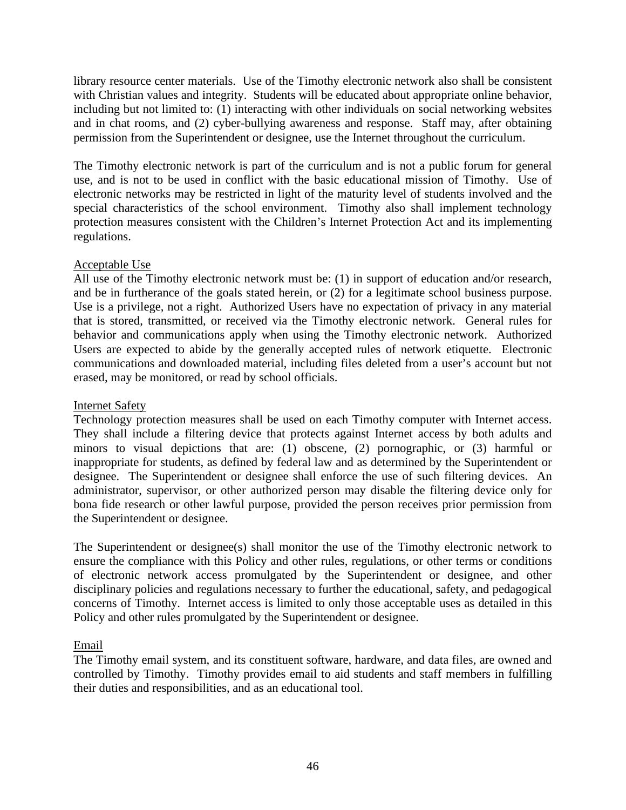library resource center materials. Use of the Timothy electronic network also shall be consistent with Christian values and integrity. Students will be educated about appropriate online behavior, including but not limited to: (1) interacting with other individuals on social networking websites and in chat rooms, and (2) cyber-bullying awareness and response. Staff may, after obtaining permission from the Superintendent or designee, use the Internet throughout the curriculum.

The Timothy electronic network is part of the curriculum and is not a public forum for general use, and is not to be used in conflict with the basic educational mission of Timothy. Use of electronic networks may be restricted in light of the maturity level of students involved and the special characteristics of the school environment. Timothy also shall implement technology protection measures consistent with the Children's Internet Protection Act and its implementing regulations.

# Acceptable Use

All use of the Timothy electronic network must be: (1) in support of education and/or research, and be in furtherance of the goals stated herein, or (2) for a legitimate school business purpose. Use is a privilege, not a right. Authorized Users have no expectation of privacy in any material that is stored, transmitted, or received via the Timothy electronic network. General rules for behavior and communications apply when using the Timothy electronic network. Authorized Users are expected to abide by the generally accepted rules of network etiquette. Electronic communications and downloaded material, including files deleted from a user's account but not erased, may be monitored, or read by school officials.

### Internet Safety

Technology protection measures shall be used on each Timothy computer with Internet access. They shall include a filtering device that protects against Internet access by both adults and minors to visual depictions that are: (1) obscene, (2) pornographic, or (3) harmful or inappropriate for students, as defined by federal law and as determined by the Superintendent or designee. The Superintendent or designee shall enforce the use of such filtering devices. An administrator, supervisor, or other authorized person may disable the filtering device only for bona fide research or other lawful purpose, provided the person receives prior permission from the Superintendent or designee.

The Superintendent or designee(s) shall monitor the use of the Timothy electronic network to ensure the compliance with this Policy and other rules, regulations, or other terms or conditions of electronic network access promulgated by the Superintendent or designee, and other disciplinary policies and regulations necessary to further the educational, safety, and pedagogical concerns of Timothy. Internet access is limited to only those acceptable uses as detailed in this Policy and other rules promulgated by the Superintendent or designee.

### Email

The Timothy email system, and its constituent software, hardware, and data files, are owned and controlled by Timothy. Timothy provides email to aid students and staff members in fulfilling their duties and responsibilities, and as an educational tool.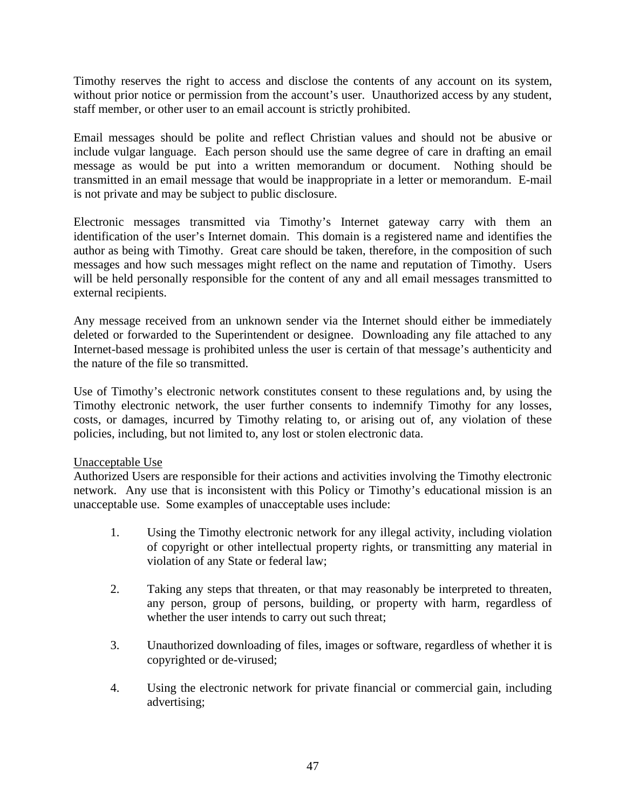Timothy reserves the right to access and disclose the contents of any account on its system, without prior notice or permission from the account's user. Unauthorized access by any student, staff member, or other user to an email account is strictly prohibited.

Email messages should be polite and reflect Christian values and should not be abusive or include vulgar language. Each person should use the same degree of care in drafting an email message as would be put into a written memorandum or document. Nothing should be transmitted in an email message that would be inappropriate in a letter or memorandum. E-mail is not private and may be subject to public disclosure.

Electronic messages transmitted via Timothy's Internet gateway carry with them an identification of the user's Internet domain. This domain is a registered name and identifies the author as being with Timothy. Great care should be taken, therefore, in the composition of such messages and how such messages might reflect on the name and reputation of Timothy. Users will be held personally responsible for the content of any and all email messages transmitted to external recipients.

Any message received from an unknown sender via the Internet should either be immediately deleted or forwarded to the Superintendent or designee. Downloading any file attached to any Internet-based message is prohibited unless the user is certain of that message's authenticity and the nature of the file so transmitted.

Use of Timothy's electronic network constitutes consent to these regulations and, by using the Timothy electronic network, the user further consents to indemnify Timothy for any losses, costs, or damages, incurred by Timothy relating to, or arising out of, any violation of these policies, including, but not limited to, any lost or stolen electronic data.

### Unacceptable Use

Authorized Users are responsible for their actions and activities involving the Timothy electronic network. Any use that is inconsistent with this Policy or Timothy's educational mission is an unacceptable use. Some examples of unacceptable uses include:

- 1. Using the Timothy electronic network for any illegal activity, including violation of copyright or other intellectual property rights, or transmitting any material in violation of any State or federal law;
- 2. Taking any steps that threaten, or that may reasonably be interpreted to threaten, any person, group of persons, building, or property with harm, regardless of whether the user intends to carry out such threat;
- 3. Unauthorized downloading of files, images or software, regardless of whether it is copyrighted or de-virused;
- 4. Using the electronic network for private financial or commercial gain, including advertising;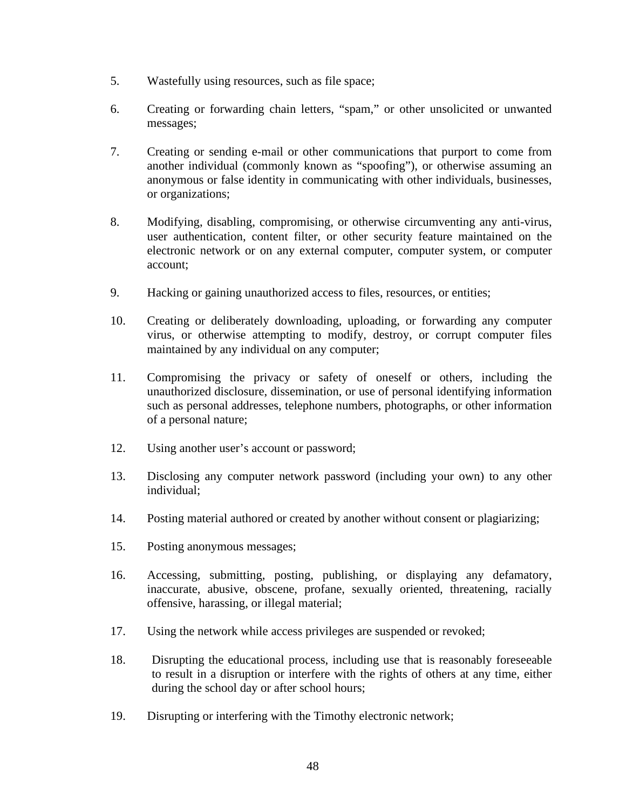- 5. Wastefully using resources, such as file space;
- 6. Creating or forwarding chain letters, "spam," or other unsolicited or unwanted messages;
- 7. Creating or sending e-mail or other communications that purport to come from another individual (commonly known as "spoofing"), or otherwise assuming an anonymous or false identity in communicating with other individuals, businesses, or organizations;
- 8. Modifying, disabling, compromising, or otherwise circumventing any anti-virus, user authentication, content filter, or other security feature maintained on the electronic network or on any external computer, computer system, or computer account;
- 9. Hacking or gaining unauthorized access to files, resources, or entities;
- 10. Creating or deliberately downloading, uploading, or forwarding any computer virus, or otherwise attempting to modify, destroy, or corrupt computer files maintained by any individual on any computer;
- 11. Compromising the privacy or safety of oneself or others, including the unauthorized disclosure, dissemination, or use of personal identifying information such as personal addresses, telephone numbers, photographs, or other information of a personal nature;
- 12. Using another user's account or password;
- 13. Disclosing any computer network password (including your own) to any other individual;
- 14. Posting material authored or created by another without consent or plagiarizing;
- 15. Posting anonymous messages;
- 16. Accessing, submitting, posting, publishing, or displaying any defamatory, inaccurate, abusive, obscene, profane, sexually oriented, threatening, racially offensive, harassing, or illegal material;
- 17. Using the network while access privileges are suspended or revoked;
- 18. Disrupting the educational process, including use that is reasonably foreseeable to result in a disruption or interfere with the rights of others at any time, either during the school day or after school hours;
- 19. Disrupting or interfering with the Timothy electronic network;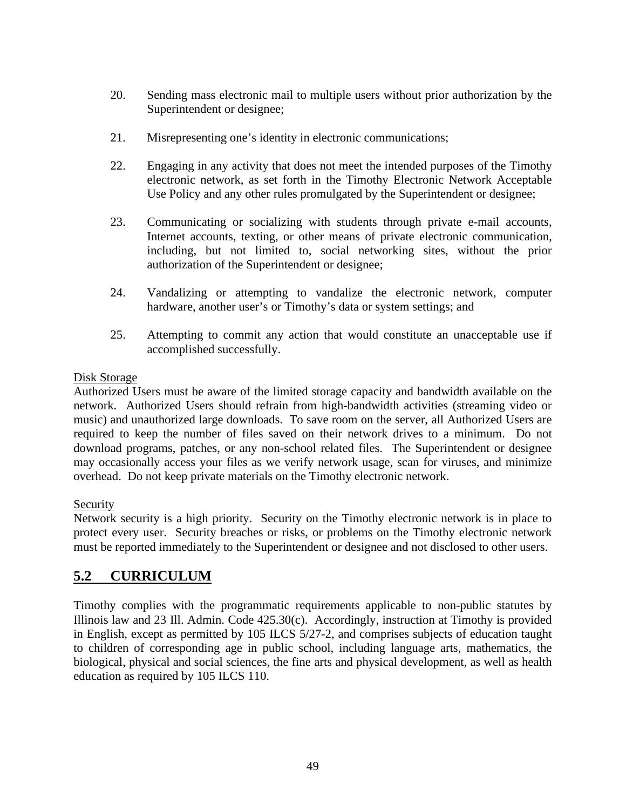- 20. Sending mass electronic mail to multiple users without prior authorization by the Superintendent or designee;
- 21. Misrepresenting one's identity in electronic communications;
- 22. Engaging in any activity that does not meet the intended purposes of the Timothy electronic network, as set forth in the Timothy Electronic Network Acceptable Use Policy and any other rules promulgated by the Superintendent or designee;
- 23. Communicating or socializing with students through private e-mail accounts, Internet accounts, texting, or other means of private electronic communication, including, but not limited to, social networking sites, without the prior authorization of the Superintendent or designee;
- 24. Vandalizing or attempting to vandalize the electronic network, computer hardware, another user's or Timothy's data or system settings; and
- 25. Attempting to commit any action that would constitute an unacceptable use if accomplished successfully.

# Disk Storage

Authorized Users must be aware of the limited storage capacity and bandwidth available on the network. Authorized Users should refrain from high-bandwidth activities (streaming video or music) and unauthorized large downloads. To save room on the server, all Authorized Users are required to keep the number of files saved on their network drives to a minimum. Do not download programs, patches, or any non-school related files. The Superintendent or designee may occasionally access your files as we verify network usage, scan for viruses, and minimize overhead. Do not keep private materials on the Timothy electronic network.

# Security

Network security is a high priority. Security on the Timothy electronic network is in place to protect every user. Security breaches or risks, or problems on the Timothy electronic network must be reported immediately to the Superintendent or designee and not disclosed to other users.

# <span id="page-51-0"></span>**5.2 CURRICULUM**

Timothy complies with the programmatic requirements applicable to non-public statutes by Illinois law and 23 Ill. Admin. Code 425.30(c). Accordingly, instruction at Timothy is provided in English, except as permitted by 105 ILCS 5/27-2, and comprises subjects of education taught to children of corresponding age in public school, including language arts, mathematics, the biological, physical and social sciences, the fine arts and physical development, as well as health education as required by 105 ILCS 110.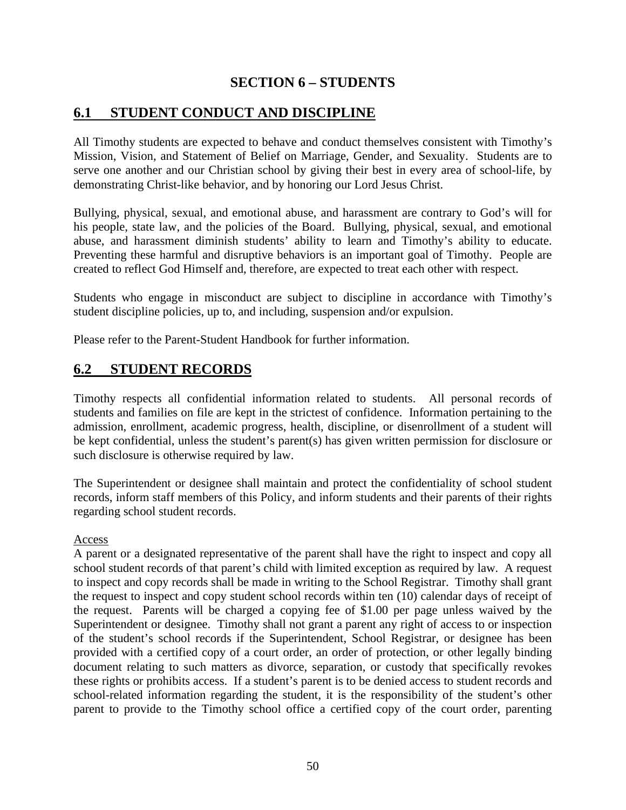# **SECTION 6 – STUDENTS**

# <span id="page-52-1"></span><span id="page-52-0"></span>**6.1 STUDENT CONDUCT AND DISCIPLINE**

All Timothy students are expected to behave and conduct themselves consistent with Timothy's Mission, Vision, and Statement of Belief on Marriage, Gender, and Sexuality. Students are to serve one another and our Christian school by giving their best in every area of school-life, by demonstrating Christ-like behavior, and by honoring our Lord Jesus Christ.

Bullying, physical, sexual, and emotional abuse, and harassment are contrary to God's will for his people, state law, and the policies of the Board. Bullying, physical, sexual, and emotional abuse, and harassment diminish students' ability to learn and Timothy's ability to educate. Preventing these harmful and disruptive behaviors is an important goal of Timothy. People are created to reflect God Himself and, therefore, are expected to treat each other with respect.

Students who engage in misconduct are subject to discipline in accordance with Timothy's student discipline policies, up to, and including, suspension and/or expulsion.

Please refer to the Parent-Student Handbook for further information.

# <span id="page-52-2"></span>**6.2 STUDENT RECORDS**

Timothy respects all confidential information related to students. All personal records of students and families on file are kept in the strictest of confidence. Information pertaining to the admission, enrollment, academic progress, health, discipline, or disenrollment of a student will be kept confidential, unless the student's parent(s) has given written permission for disclosure or such disclosure is otherwise required by law.

The Superintendent or designee shall maintain and protect the confidentiality of school student records, inform staff members of this Policy, and inform students and their parents of their rights regarding school student records.

### Access

A parent or a designated representative of the parent shall have the right to inspect and copy all school student records of that parent's child with limited exception as required by law. A request to inspect and copy records shall be made in writing to the School Registrar. Timothy shall grant the request to inspect and copy student school records within ten (10) calendar days of receipt of the request. Parents will be charged a copying fee of \$1.00 per page unless waived by the Superintendent or designee. Timothy shall not grant a parent any right of access to or inspection of the student's school records if the Superintendent, School Registrar, or designee has been provided with a certified copy of a court order, an order of protection, or other legally binding document relating to such matters as divorce, separation, or custody that specifically revokes these rights or prohibits access. If a student's parent is to be denied access to student records and school-related information regarding the student, it is the responsibility of the student's other parent to provide to the Timothy school office a certified copy of the court order, parenting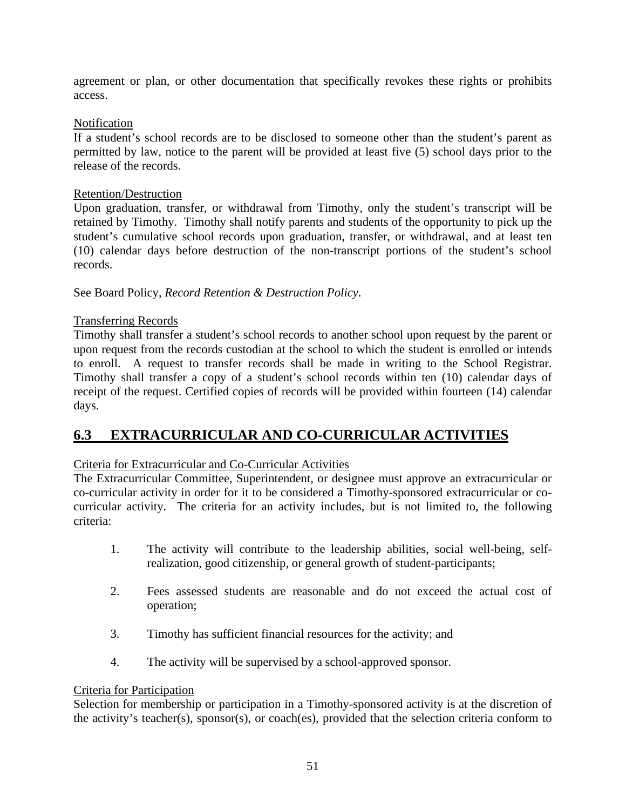agreement or plan, or other documentation that specifically revokes these rights or prohibits access.

### Notification

If a student's school records are to be disclosed to someone other than the student's parent as permitted by law, notice to the parent will be provided at least five (5) school days prior to the release of the records.

### Retention/Destruction

Upon graduation, transfer, or withdrawal from Timothy, only the student's transcript will be retained by Timothy. Timothy shall notify parents and students of the opportunity to pick up the student's cumulative school records upon graduation, transfer, or withdrawal, and at least ten (10) calendar days before destruction of the non-transcript portions of the student's school records.

See Board Policy, *Record Retention & Destruction Policy*.

# Transferring Records

Timothy shall transfer a student's school records to another school upon request by the parent or upon request from the records custodian at the school to which the student is enrolled or intends to enroll. A request to transfer records shall be made in writing to the School Registrar. Timothy shall transfer a copy of a student's school records within ten (10) calendar days of receipt of the request. Certified copies of records will be provided within fourteen (14) calendar days.

# <span id="page-53-0"></span>**6.3 EXTRACURRICULAR AND CO-CURRICULAR ACTIVITIES**

# Criteria for Extracurricular and Co-Curricular Activities

The Extracurricular Committee, Superintendent, or designee must approve an extracurricular or co-curricular activity in order for it to be considered a Timothy-sponsored extracurricular or cocurricular activity. The criteria for an activity includes, but is not limited to, the following criteria:

- 1. The activity will contribute to the leadership abilities, social well-being, selfrealization, good citizenship, or general growth of student-participants;
- 2. Fees assessed students are reasonable and do not exceed the actual cost of operation;
- 3. Timothy has sufficient financial resources for the activity; and
- 4. The activity will be supervised by a school-approved sponsor.

### Criteria for Participation

Selection for membership or participation in a Timothy-sponsored activity is at the discretion of the activity's teacher(s), sponsor(s), or coach(es), provided that the selection criteria conform to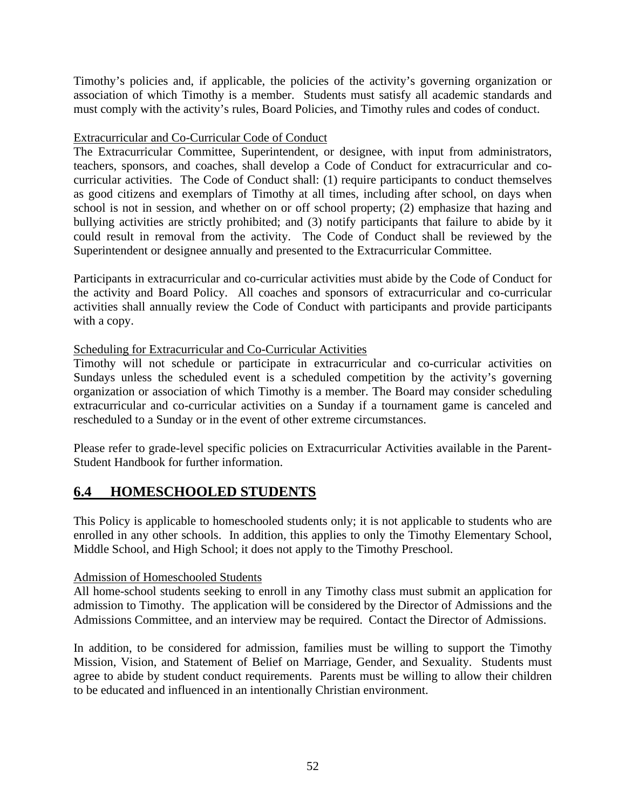Timothy's policies and, if applicable, the policies of the activity's governing organization or association of which Timothy is a member. Students must satisfy all academic standards and must comply with the activity's rules, Board Policies, and Timothy rules and codes of conduct.

# Extracurricular and Co-Curricular Code of Conduct

The Extracurricular Committee, Superintendent, or designee, with input from administrators, teachers, sponsors, and coaches, shall develop a Code of Conduct for extracurricular and cocurricular activities. The Code of Conduct shall: (1) require participants to conduct themselves as good citizens and exemplars of Timothy at all times, including after school, on days when school is not in session, and whether on or off school property; (2) emphasize that hazing and bullying activities are strictly prohibited; and (3) notify participants that failure to abide by it could result in removal from the activity. The Code of Conduct shall be reviewed by the Superintendent or designee annually and presented to the Extracurricular Committee.

Participants in extracurricular and co-curricular activities must abide by the Code of Conduct for the activity and Board Policy. All coaches and sponsors of extracurricular and co-curricular activities shall annually review the Code of Conduct with participants and provide participants with a copy.

# Scheduling for Extracurricular and Co-Curricular Activities

Timothy will not schedule or participate in extracurricular and co-curricular activities on Sundays unless the scheduled event is a scheduled competition by the activity's governing organization or association of which Timothy is a member. The Board may consider scheduling extracurricular and co-curricular activities on a Sunday if a tournament game is canceled and rescheduled to a Sunday or in the event of other extreme circumstances.

Please refer to grade-level specific policies on Extracurricular Activities available in the Parent-Student Handbook for further information.

# <span id="page-54-0"></span>**6.4 HOMESCHOOLED STUDENTS**

This Policy is applicable to homeschooled students only; it is not applicable to students who are enrolled in any other schools. In addition, this applies to only the Timothy Elementary School, Middle School, and High School; it does not apply to the Timothy Preschool.

# Admission of Homeschooled Students

All home-school students seeking to enroll in any Timothy class must submit an application for admission to Timothy. The application will be considered by the Director of Admissions and the Admissions Committee, and an interview may be required. Contact the Director of Admissions.

In addition, to be considered for admission, families must be willing to support the Timothy Mission, Vision, and Statement of Belief on Marriage, Gender, and Sexuality. Students must agree to abide by student conduct requirements. Parents must be willing to allow their children to be educated and influenced in an intentionally Christian environment.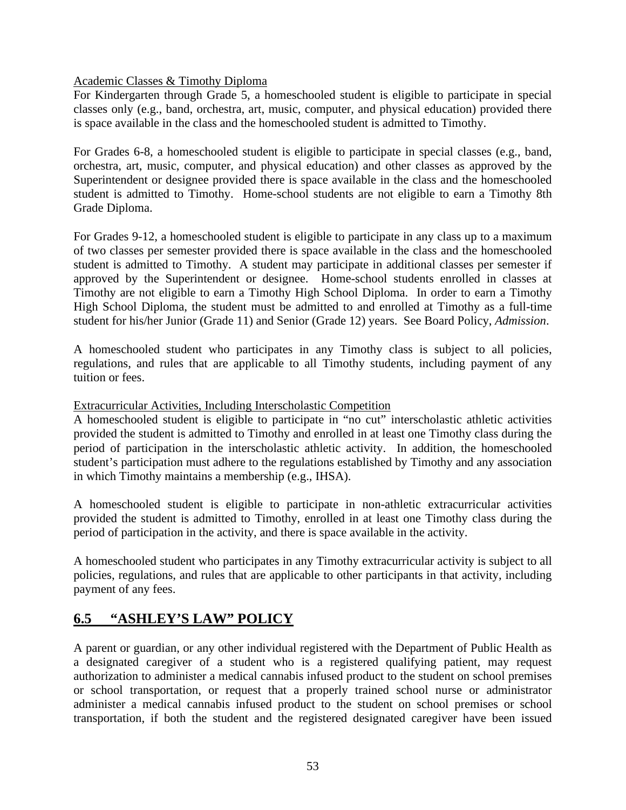Academic Classes & Timothy Diploma

For Kindergarten through Grade 5, a homeschooled student is eligible to participate in special classes only (e.g., band, orchestra, art, music, computer, and physical education) provided there is space available in the class and the homeschooled student is admitted to Timothy.

For Grades 6-8, a homeschooled student is eligible to participate in special classes (e.g., band, orchestra, art, music, computer, and physical education) and other classes as approved by the Superintendent or designee provided there is space available in the class and the homeschooled student is admitted to Timothy. Home-school students are not eligible to earn a Timothy 8th Grade Diploma.

For Grades 9-12, a homeschooled student is eligible to participate in any class up to a maximum of two classes per semester provided there is space available in the class and the homeschooled student is admitted to Timothy. A student may participate in additional classes per semester if approved by the Superintendent or designee. Home-school students enrolled in classes at Timothy are not eligible to earn a Timothy High School Diploma. In order to earn a Timothy High School Diploma, the student must be admitted to and enrolled at Timothy as a full-time student for his/her Junior (Grade 11) and Senior (Grade 12) years. See Board Policy, *Admission*.

A homeschooled student who participates in any Timothy class is subject to all policies, regulations, and rules that are applicable to all Timothy students, including payment of any tuition or fees.

Extracurricular Activities, Including Interscholastic Competition

A homeschooled student is eligible to participate in "no cut" interscholastic athletic activities provided the student is admitted to Timothy and enrolled in at least one Timothy class during the period of participation in the interscholastic athletic activity. In addition, the homeschooled student's participation must adhere to the regulations established by Timothy and any association in which Timothy maintains a membership (e.g., IHSA).

A homeschooled student is eligible to participate in non-athletic extracurricular activities provided the student is admitted to Timothy, enrolled in at least one Timothy class during the period of participation in the activity, and there is space available in the activity.

A homeschooled student who participates in any Timothy extracurricular activity is subject to all policies, regulations, and rules that are applicable to other participants in that activity, including payment of any fees.

# <span id="page-55-0"></span>**6.5 "ASHLEY'S LAW" POLICY**

A parent or guardian, or any other individual registered with the Department of Public Health as a designated caregiver of a student who is a registered qualifying patient, may request authorization to administer a medical cannabis infused product to the student on school premises or school transportation, or request that a properly trained school nurse or administrator administer a medical cannabis infused product to the student on school premises or school transportation, if both the student and the registered designated caregiver have been issued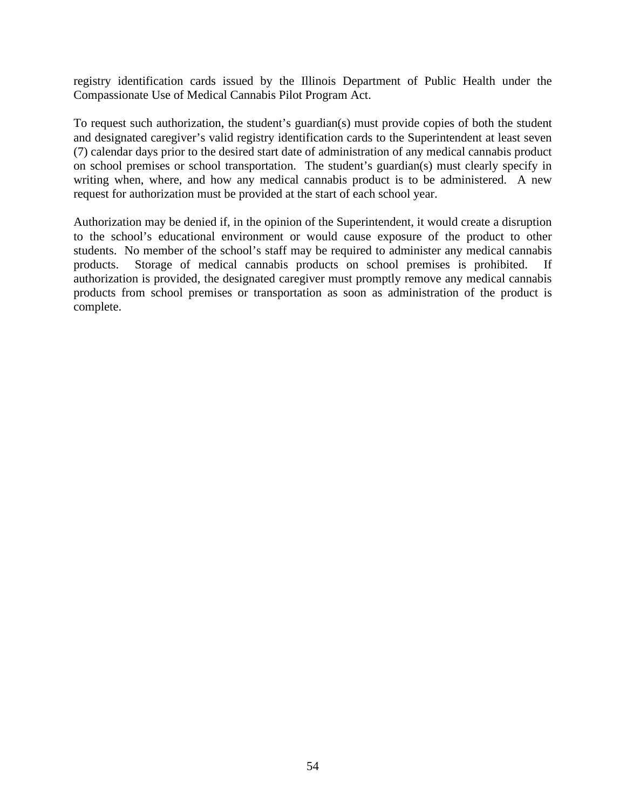registry identification cards issued by the Illinois Department of Public Health under the Compassionate Use of Medical Cannabis Pilot Program Act.

To request such authorization, the student's guardian(s) must provide copies of both the student and designated caregiver's valid registry identification cards to the Superintendent at least seven (7) calendar days prior to the desired start date of administration of any medical cannabis product on school premises or school transportation. The student's guardian(s) must clearly specify in writing when, where, and how any medical cannabis product is to be administered. A new request for authorization must be provided at the start of each school year.

Authorization may be denied if, in the opinion of the Superintendent, it would create a disruption to the school's educational environment or would cause exposure of the product to other students. No member of the school's staff may be required to administer any medical cannabis products. Storage of medical cannabis products on school premises is prohibited. If authorization is provided, the designated caregiver must promptly remove any medical cannabis products from school premises or transportation as soon as administration of the product is complete.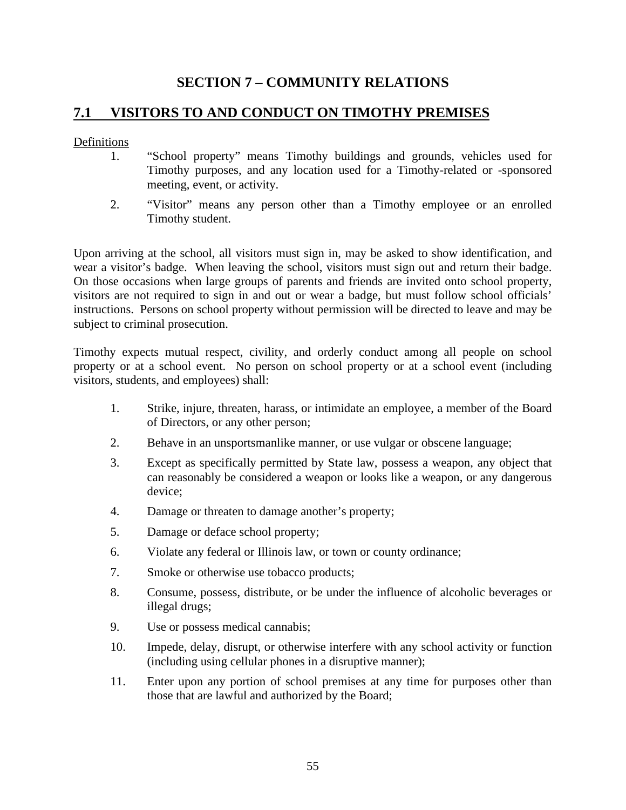# **SECTION 7 – COMMUNITY RELATIONS**

# <span id="page-57-1"></span><span id="page-57-0"></span>**7.1 VISITORS TO AND CONDUCT ON TIMOTHY PREMISES**

### Definitions

- 1. "School property" means Timothy buildings and grounds, vehicles used for Timothy purposes, and any location used for a Timothy-related or -sponsored meeting, event, or activity.
- 2. "Visitor" means any person other than a Timothy employee or an enrolled Timothy student.

Upon arriving at the school, all visitors must sign in, may be asked to show identification, and wear a visitor's badge. When leaving the school, visitors must sign out and return their badge. On those occasions when large groups of parents and friends are invited onto school property, visitors are not required to sign in and out or wear a badge, but must follow school officials' instructions. Persons on school property without permission will be directed to leave and may be subject to criminal prosecution.

Timothy expects mutual respect, civility, and orderly conduct among all people on school property or at a school event. No person on school property or at a school event (including visitors, students, and employees) shall:

- 1. Strike, injure, threaten, harass, or intimidate an employee, a member of the Board of Directors, or any other person;
- 2. Behave in an unsportsmanlike manner, or use vulgar or obscene language;
- 3. Except as specifically permitted by State law, possess a weapon, any object that can reasonably be considered a weapon or looks like a weapon, or any dangerous device;
- 4. Damage or threaten to damage another's property;
- 5. Damage or deface school property;
- 6. Violate any federal or Illinois law, or town or county ordinance;
- 7. Smoke or otherwise use tobacco products;
- 8. Consume, possess, distribute, or be under the influence of alcoholic beverages or illegal drugs;
- 9. Use or possess medical cannabis;
- 10. Impede, delay, disrupt, or otherwise interfere with any school activity or function (including using cellular phones in a disruptive manner);
- 11. Enter upon any portion of school premises at any time for purposes other than those that are lawful and authorized by the Board;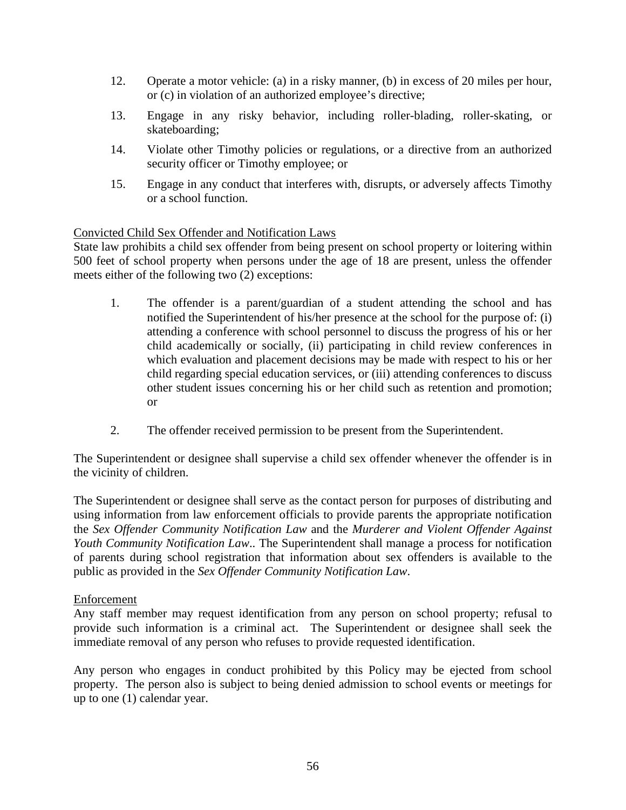- 12. Operate a motor vehicle: (a) in a risky manner, (b) in excess of 20 miles per hour, or (c) in violation of an authorized employee's directive;
- 13. Engage in any risky behavior, including roller-blading, roller-skating, or skateboarding;
- 14. Violate other Timothy policies or regulations, or a directive from an authorized security officer or Timothy employee; or
- 15. Engage in any conduct that interferes with, disrupts, or adversely affects Timothy or a school function.

### Convicted Child Sex Offender and Notification Laws

State law prohibits a child sex offender from being present on school property or loitering within 500 feet of school property when persons under the age of 18 are present, unless the offender meets either of the following two (2) exceptions:

- 1. The offender is a parent/guardian of a student attending the school and has notified the Superintendent of his/her presence at the school for the purpose of: (i) attending a conference with school personnel to discuss the progress of his or her child academically or socially, (ii) participating in child review conferences in which evaluation and placement decisions may be made with respect to his or her child regarding special education services, or (iii) attending conferences to discuss other student issues concerning his or her child such as retention and promotion; or
- 2. The offender received permission to be present from the Superintendent.

The Superintendent or designee shall supervise a child sex offender whenever the offender is in the vicinity of children.

The Superintendent or designee shall serve as the contact person for purposes of distributing and using information from law enforcement officials to provide parents the appropriate notification the *Sex Offender Community Notification Law* and the *Murderer and Violent Offender Against Youth Community Notification Law*.. The Superintendent shall manage a process for notification of parents during school registration that information about sex offenders is available to the public as provided in the *Sex Offender Community Notification Law*.

### **Enforcement**

Any staff member may request identification from any person on school property; refusal to provide such information is a criminal act. The Superintendent or designee shall seek the immediate removal of any person who refuses to provide requested identification.

Any person who engages in conduct prohibited by this Policy may be ejected from school property. The person also is subject to being denied admission to school events or meetings for up to one (1) calendar year.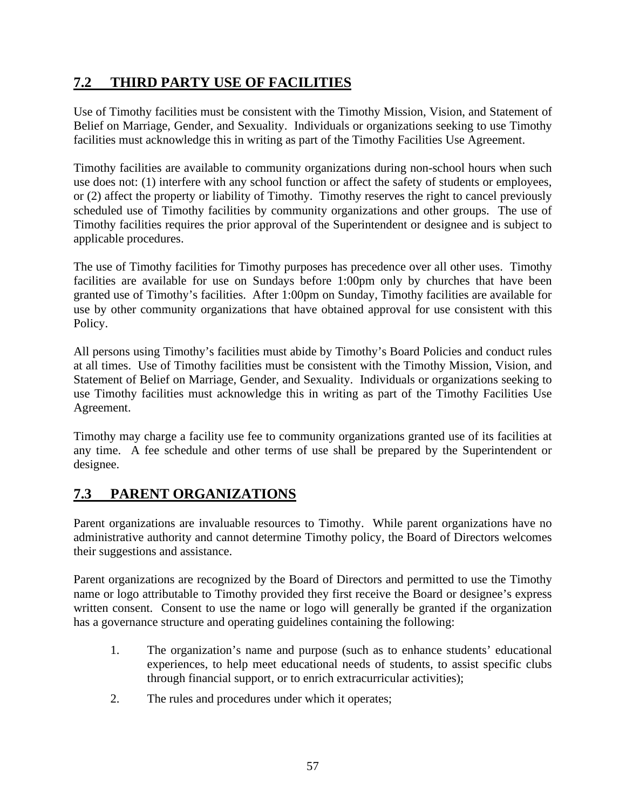# <span id="page-59-0"></span>**7.2 THIRD PARTY USE OF FACILITIES**

Use of Timothy facilities must be consistent with the Timothy Mission, Vision, and Statement of Belief on Marriage, Gender, and Sexuality. Individuals or organizations seeking to use Timothy facilities must acknowledge this in writing as part of the Timothy Facilities Use Agreement.

Timothy facilities are available to community organizations during non-school hours when such use does not: (1) interfere with any school function or affect the safety of students or employees, or (2) affect the property or liability of Timothy. Timothy reserves the right to cancel previously scheduled use of Timothy facilities by community organizations and other groups. The use of Timothy facilities requires the prior approval of the Superintendent or designee and is subject to applicable procedures.

The use of Timothy facilities for Timothy purposes has precedence over all other uses. Timothy facilities are available for use on Sundays before 1:00pm only by churches that have been granted use of Timothy's facilities. After 1:00pm on Sunday, Timothy facilities are available for use by other community organizations that have obtained approval for use consistent with this Policy.

All persons using Timothy's facilities must abide by Timothy's Board Policies and conduct rules at all times. Use of Timothy facilities must be consistent with the Timothy Mission, Vision, and Statement of Belief on Marriage, Gender, and Sexuality. Individuals or organizations seeking to use Timothy facilities must acknowledge this in writing as part of the Timothy Facilities Use Agreement.

Timothy may charge a facility use fee to community organizations granted use of its facilities at any time. A fee schedule and other terms of use shall be prepared by the Superintendent or designee.

# <span id="page-59-1"></span>**7.3 PARENT ORGANIZATIONS**

Parent organizations are invaluable resources to Timothy. While parent organizations have no administrative authority and cannot determine Timothy policy, the Board of Directors welcomes their suggestions and assistance.

Parent organizations are recognized by the Board of Directors and permitted to use the Timothy name or logo attributable to Timothy provided they first receive the Board or designee's express written consent. Consent to use the name or logo will generally be granted if the organization has a governance structure and operating guidelines containing the following:

- 1. The organization's name and purpose (such as to enhance students' educational experiences, to help meet educational needs of students, to assist specific clubs through financial support, or to enrich extracurricular activities);
- 2. The rules and procedures under which it operates;